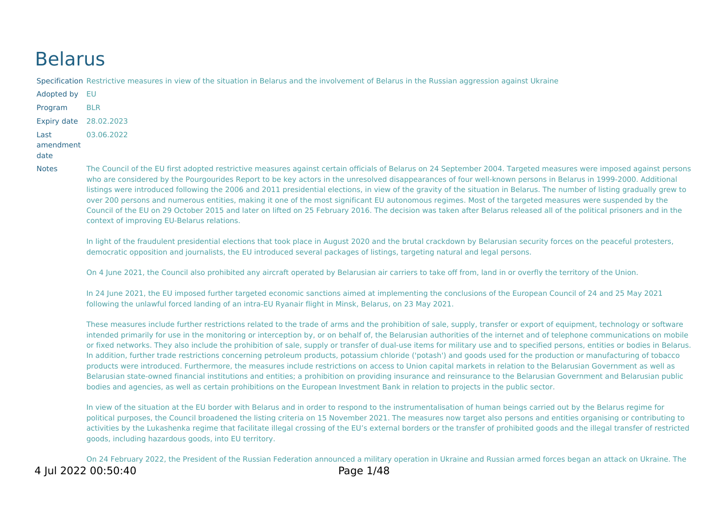# Belarus

Specification Restrictive measures in view of the situation in Belarus and the involvement of Belarus in the Russian aggression against Ukraine

Adopted by EU Program BLR Expiry date 28.02.2023 Last amendment 03.06.2022

#### date

Notes The Council of the EU first adopted restrictive measures against certain officials of Belarus on 24 September 2004. Targeted measures were imposed against persons who are considered by the Pourgourides Report to be key actors in the unresolved disappearances of four well-known persons in Belarus in 1999-2000. Additional listings were introduced following the 2006 and 2011 presidential elections, in view of the gravity of the situation in Belarus. The number of listing gradually grew to over 200 persons and numerous entities, making it one of the most significant EU autonomous regimes. Most of the targeted measures were suspended by the Council of the EU on 29 October 2015 and later on lifted on 25 February 2016. The decision was taken after Belarus released all of the political prisoners and in the context of improving EU-Belarus relations.

In light of the fraudulent presidential elections that took place in August 2020 and the brutal crackdown by Belarusian security forces on the peaceful protesters, democratic opposition and journalists, the EU introduced several packages of listings, targeting natural and legal persons.

On 4 June 2021, the Council also prohibited any aircraft operated by Belarusian air carriers to take off from, land in or overfly the territory of the Union.

In 24 June 2021, the EU imposed further targeted economic sanctions aimed at implementing the conclusions of the European Council of 24 and 25 May 2021 following the unlawful forced landing of an intra-EU Ryanair flight in Minsk, Belarus, on 23 May 2021.

These measures include further restrictions related to the trade of arms and the prohibition of sale, supply, transfer or export of equipment, technology or software intended primarily for use in the monitoring or interception by, or on behalf of, the Belarusian authorities of the internet and of telephone communications on mobile or fixed networks. They also include the prohibition of sale, supply or transfer of dual-use items for military use and to specified persons, entities or bodies in Belarus. In addition, further trade restrictions concerning petroleum products, potassium chloride ('potash') and goods used for the production or manufacturing of tobacco products were introduced. Furthermore, the measures include restrictions on access to Union capital markets in relation to the Belarusian Government as well as Belarusian state-owned financial institutions and entities; a prohibition on providing insurance and reinsurance to the Belarusian Government and Belarusian public bodies and agencies, as well as certain prohibitions on the European Investment Bank in relation to projects in the public sector.

In view of the situation at the EU border with Belarus and in order to respond to the instrumentalisation of human beings carried out by the Belarus regime for political purposes, the Council broadened the listing criteria on 15 November 2021. The measures now target also persons and entities organising or contributing to activities by the Lukashenka regime that facilitate illegal crossing of the EU's external borders or the transfer of prohibited goods and the illegal transfer of restricted goods, including hazardous goods, into EU territory.

On 24 February 2022, the President of the Russian Federation announced a military operation in Ukraine and Russian armed forces began an attack on Ukraine. The 4 Jul 2022 00:50:40 Page 1/48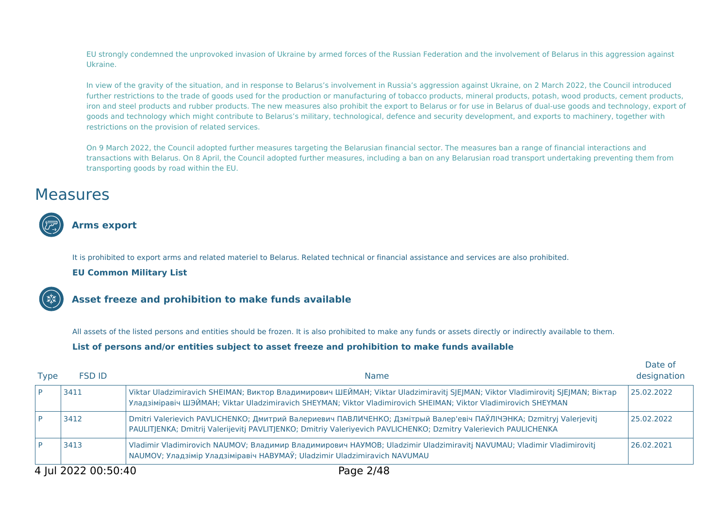EU strongly condemned the unprovoked invasion of Ukraine by armed forces of the Russian Federation and the involvement of Belarus in this aggression against Ukraine.

In view of the gravity of the situation, and in response to Belarus's involvement in Russia's aggression against Ukraine, on 2 March 2022, the Council introduced further restrictions to the trade of goods used for the production or manufacturing of tobacco products, mineral products, potash, wood products, cement products, iron and steel products and rubber products. The new measures also prohibit the export to Belarus or for use in Belarus of dual-use goods and technology, export of goods and technology which might contribute to Belarus's military, technological, defence and security development, and exports to machinery, together with restrictions on the provision of related services.

On 9 March 2022, the Council adopted further measures targeting the Belarusian financial sector. The measures ban a range of financial interactions and transactions with Belarus. On 8 April, the Council adopted further measures, including a ban on any Belarusian road transport undertaking preventing them from transporting goods by road within the EU.

## **Measures**



## **Arms export**

It is prohibited to export arms and related materiel to Belarus. Related technical or financial assistance and services are also prohibited.

#### **EU Common Military List**



#### **Asset freeze and prohibition to make funds available**

All assets of the listed persons and entities should be frozen. It is also prohibited to make any funds or assets directly or indirectly available to them.

#### **List of persons and/or entities subject to asset freeze and prohibition to make funds available**

| <b>Type</b> | <b>FSD ID</b>                    | <b>Name</b>                                                                                                                                                                                                                                       | Date of<br>designation |
|-------------|----------------------------------|---------------------------------------------------------------------------------------------------------------------------------------------------------------------------------------------------------------------------------------------------|------------------------|
|             | 3411                             | Viktar Uladzimiravich SHEIMAN; Виктор Владимирович ШЕЙМАН; Viktar Uladzimiravitj SJEJMAN; Viktor Vladimirovitj SJEJMAN; Віктар<br>Уладзіміравіч ШЭЙМАН; Viktar Uladzimiravich SHEYMAN; Viktor Vladimirovich SHEIMAN; Viktor Vladimirovich SHEYMAN | 25.02.2022             |
|             | 3412                             | Dmitri Valerievich PAVLICHENKO; Дмитрий Валериевич ПАВЛИЧЕНКО; Дзмітрый Валер'евіч ПАЎЛІЧЭНКА; Dzmitryj Valerjevitj<br>PAULITJENKA; Dmitrij Valerijevitj PAVLITJENKO; Dmitriy Valeriyevich PAVLICHENKO; Dzmitry Valerievich PAULICHENKA           | 25.02.2022             |
|             | 3413                             | Vladimir Vladimirovich NAUMOV; Владимир Владимирович НАУМОВ; Uladzimir Uladzimiravitj NAVUMAU; Vladimir Vladimirovitj<br>NAUMOV; Уладзімір Уладзіміравіч НАВУМАЎ; Uladzimir Uladzimiravich NAVUMAU                                                | 26.02.2021             |
| .           | $\begin{array}{c} \n\end{array}$ | $\begin{array}{c} \hline \end{array}$<br>-                                                                                                                                                                                                        |                        |

Date of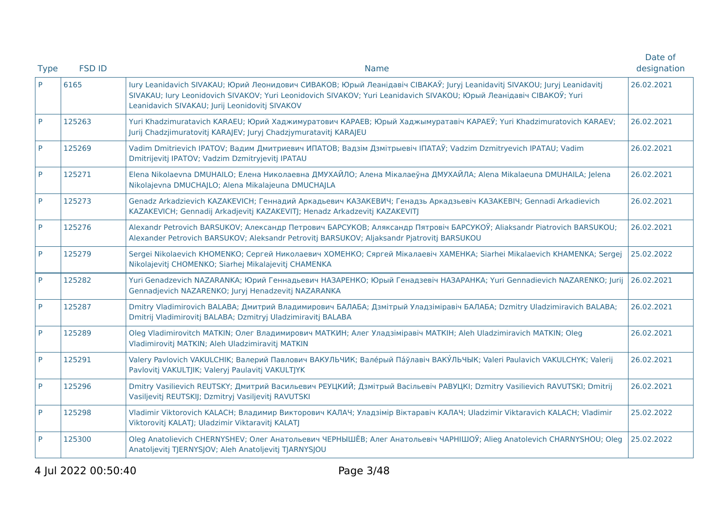| <b>Type</b> | <b>FSD ID</b> | <b>Name</b>                                                                                                                                                                                                                                                                                        | Date of<br>designation |
|-------------|---------------|----------------------------------------------------------------------------------------------------------------------------------------------------------------------------------------------------------------------------------------------------------------------------------------------------|------------------------|
| <b>P</b>    | 6165          | lury Leanidavich SIVAKAU; Юрий Леонидович СИВАКОВ; Юрый Леанідавіч СІВАКАЎ; Juryj Leanidavitj SIVAKOU; Juryj Leanidavitj<br>SIVAKAU; lury Leonidovich SIVAKOV; Yuri Leonidovich SIVAKOV; Yuri Leanidavich SIVAKOU; Юрый Леанідавіч СІВАКОЎ; Yuri<br>Leanidavich SIVAKAU; Jurij Leonidovitj SIVAKOV | 26.02.2021             |
| P           | 125263        | Yuri Khadzimuratavich KARAEU; Юрий Хаджимуратович КАРАЕВ; Юрый Хаджымуратавіч КАРАЕЎ; Yuri Khadzimuratovich KARAEV;<br>Jurij Chadzjimuratovitj KARAJEV; Juryj Chadzjymuratavitj KARAJEU                                                                                                            | 26.02.2021             |
| P           | 125269        | Vadim Dmitrievich IPATOV; Вадим Дмитриевич ИПАТОВ; Вадзім Дзмітрыевіч ІПАТАЎ; Vadzim Dzmitryevich IPATAU; Vadim<br>Dmitrijevitj IPATOV; Vadzim Dzmitryjevitj IPATAU                                                                                                                                | 26.02.2021             |
| P           | 125271        | Elena Nikolaevna DMUHAILO; Елена Николаевна ДМУХАЙЛО; Алена Мікалаеўна ДМУХАЙЛА; Alena Mikalaeuna DMUHAILA; Jelena<br>Nikolajevna DMUCHAJLO; Alena Mikalajeuna DMUCHAJLA                                                                                                                           | 26.02.2021             |
| P           | 125273        | Genadz Arkadzievich KAZAKEVICH; Геннадий Аркадьевич КАЗАКЕВИЧ; Генадзь Аркадзьевіч КАЗАКЕВІЧ; Gennadi Arkadievich<br>KAZAKEVICH; Gennadij Arkadjevitj KAZAKEVITJ; Henadz Arkadzevitj KAZAKEVITJ                                                                                                    | 26.02.2021             |
| P           | 125276        | Alexandr Petrovich BARSUKOV; Александр Петрович БАРСУКОВ; Аляксандр Пятровіч БАРСУКОЎ; Aliaksandr Piatrovich BARSUKOU;<br>Alexander Petrovich BARSUKOV; Aleksandr Petrovitj BARSUKOV; Aljaksandr Pjatrovitj BARSUKOU                                                                               | 26.02.2021             |
| P           | 125279        | Sergei Nikolaevich KHOMENKO; Сергей Николаевич ХОМЕНКО; Сяргей Мікалаевіч ХАМЕНКА; Siarhei Mikalaevich КНАМЕNКА; Sergej<br>Nikolajevitj CHOMENKO; Siarhej Mikalajevitj CHAMENKA                                                                                                                    | 25.02.2022             |
| P           | 125282        | Yuri Genadzevich NAZARANKA; Юрий Геннадьевич НАЗАРЕНКО; Юрый Генадзевіч НАЗАРАНКА; Yuri Gennadievich NAZARENKO; Jurij<br>Gennadjevich NAZARENKO; Juryj Henadzevitj NAZARANKA                                                                                                                       | 26.02.2021             |
| P           | 125287        | Dmitry Vladimirovich BALABA; Дмитрий Владимирович БАЛАБА; Дзмітрый Уладзіміравіч БАЛАБА; Dzmitry Uladzimiravich BALABA;<br>Dmitrij Vladimirovitj BALABA; Dzmitryj Uladzimiravitj BALABA                                                                                                            | 26.02.2021             |
| P           | 125289        | Oleg Vladimirovitch MATKIN; Олег Владимирович МАТКИН; Алег Уладзіміравіч МАТКІН; Aleh Uladzimiravich MATKIN; Oleg<br>Vladimirovitj MATKIN; Aleh Uladzimiravitj MATKIN                                                                                                                              | 26.02.2021             |
| P           | 125291        | Valery Pavlovich VAKULCHIK; Валерий Павлович ВАКУЛЬЧИК; Вале́рый Па́ўлавіч ВАКУ́ЛЬЧЫК; Valeri Paulavich VAKULCHYK; Valerij<br>Pavlovitj VAKULTJIK; Valeryj Paulavitj VAKULTJYK                                                                                                                     | 26.02.2021             |
| <b>P</b>    | 125296        | Dmitry Vasilievich REUTSKY; Дмитрий Васильевич РЕУЦКИЙ; Дзмітрый Васільевіч РАВУЦКІ; Dzmitry Vasilievich RAVUTSKI; Dmitrij<br>Vasiljevitj REUTSKIJ; Dzmitryj Vasiljevitj RAVUTSKI                                                                                                                  | 26.02.2021             |
| P           | 125298        | Vladimir Viktorovich KALACH; Владимир Викторович КАЛАЧ; Уладзімір Віктаравіч КАЛАЧ; Uladzimir Viktaravich KALACH; Vladimir<br>Viktorovitj KALATJ; Uladzimir Viktaravitj KALATJ                                                                                                                     | 25.02.2022             |
| P           | 125300        | Oleg Anatolievich CHERNYSHEV; Олег Анатольевич ЧЕРНЫШЁВ; Алег Анатольевіч ЧАРНІШОЎ; Alieg Anatolevich CHARNYSHOU; Oleg<br>Anatoljevitj TJERNYSJOV; Aleh Anatoljevitj TJARNYSJOU                                                                                                                    | 25.02.2022             |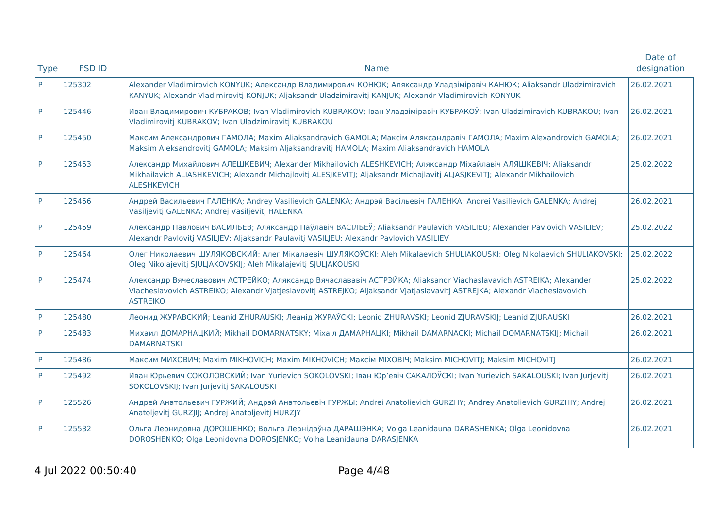| <b>Type</b> | <b>FSD ID</b> | <b>Name</b>                                                                                                                                                                                                                                                       | Date of<br>designation |
|-------------|---------------|-------------------------------------------------------------------------------------------------------------------------------------------------------------------------------------------------------------------------------------------------------------------|------------------------|
| P           | 125302        | Alexander Vladimirovich KONYUK; Александр Владимирович КОНЮК; Аляксандр Уладзіміравіч КАНЮК; Aliaksandr Uladzimiravich<br>KANYUK; Alexandr Vladimirovitj KONJUK; Aljaksandr Uladzimiravitj KANJUK; Alexandr Vladimirovich KONYUK                                  | 26.02.2021             |
| P           | 125446        | Иван Владимирович КУБРАКОВ; Ivan Vladimirovich KUBRAKOV; Іван Уладзіміравіч КУБРАКОЎ; Ivan Uladzimiravich KUBRAKOU; Ivan<br>Vladimirovitj KUBRAKOV; Ivan Uladzimiravitj KUBRAKOU                                                                                  | 26.02.2021             |
| P           | 125450        | Максим Александрович ГАМОЛА; Maxim Aliaksandravich GAMOLA; Максім Аляксандравіч ГАМОЛА; Maxim Alexandrovich GAMOLA;<br>Maksim Aleksandrovitj GAMOLA; Maksim Aljaksandravitj HAMOLA; Maxim Aliaksandravich HAMOLA                                                  | 26.02.2021             |
| P           | 125453        | Александр Михайлович АЛЕШКЕВИЧ; Alexander Mikhailovich ALESHKEVICH; Аляксандр Міхайлавіч АЛЯШКЕВІЧ; Aliaksandr<br>Mikhailavich ALIASHKEVICH; Alexandr Michajlovitj ALESJKEVITJ; Aljaksandr Michajlavitj ALJASJKEVITJ; Alexandr Mikhailovich<br><b>ALESHKEVICH</b> | 25.02.2022             |
| P           | 125456        | Андрей Васильевич ГАЛЕНКА; Andrey Vasilievich GALENKA; Андрэй Васільевіч ГАЛЕНКА; Andrei Vasilievich GALENKA; Andrej<br>Vasiljevitj GALENKA; Andrej Vasiljevitj HALENKA                                                                                           | 26.02.2021             |
| P           | 125459        | Александр Павлович ВАСИЛЬЕВ; Аляксандр Паўлавіч ВАСІЛЬЕЎ; Aliaksandr Paulavich VASILIEU; Alexander Pavlovich VASILIEV;<br>Alexandr Pavlovitj VASILJEV; Aljaksandr Paulavitj VASILJEU; Alexandr Pavlovich VASILIEV                                                 | 25.02.2022             |
| P           | 125464        | Олег Николаевич ШУЛЯКОВСКИЙ; Алег Мікалаевіч ШУЛЯКОЎСКІ; Aleh Mikalaevich SHULIAKOUSKI; Oleg Nikolaevich SHULIAKOVSKI;<br>Oleg Nikolajevitj SJULJAKOVSKIJ; Aleh Mikalajevitj SJULJAKOUSKI                                                                         | 25.02.2022             |
| <b>P</b>    | 125474        | Александр Вячеславович АСТРЕЙКО; Аляксандр Вячаслававіч АСТРЭЙКА; Aliaksandr Viachaslavavich ASTREIKA; Alexander<br>Viacheslavovich ASTREIKO; Alexandr Vjatjeslavovitj ASTREJKO; Aljaksandr Vjatjaslavavitj ASTREJKA; Alexandr Viacheslavovich<br><b>ASTREIKO</b> | 25.02.2022             |
| P           | 125480        | Леонид ЖУРАВСКИЙ; Leanid ZHURAUSKI; Леанід ЖУРАЎСКІ; Leonid ZHURAVSKI; Leonid ZJURAVSKIJ; Leanid ZJURAUSKI                                                                                                                                                        | 26.02.2021             |
| <b>P</b>    | 125483        | Михаил ДОМАРНАЦКИЙ; Mikhail DOMARNATSKY; Mixaiл ДАМАРНАЦКІ; Mikhail DAMARNACKI; Michail DOMARNATSKIJ; Michail<br><b>DAMARNATSKI</b>                                                                                                                               | 26.02.2021             |
| P           | 125486        | Максим МИХОВИЧ; Maxim MIKHOVICH; Maxim MIKHOVICH; Maксім МІХОВІЧ; Maksim MICHOVITJ; Maksim MICHOVITJ                                                                                                                                                              | 26.02.2021             |
| <b>P</b>    | 125492        | Иван Юрьевич СОКОЛОВСКИЙ; Ivan Yurievich SOKOLOVSKI; Іван Юр'евіч САКАЛОЎСКІ; Ivan Yurievich SAKALOUSKI; Ivan Jurjevitj<br>SOKOLOVSKIJ; Ivan Jurjevitj SAKALOUSKI                                                                                                 | 26.02.2021             |
| P           | 125526        | Андрей Анатольевич ГУРЖИЙ; Андрэй Анатольевіч ГУРЖЫ; Andrei Anatolievich GURZHY; Andrey Anatolievich GURZHIY; Andrej<br>Anatoljevitj GURZJIJ; Andrej Anatoljevitj HURZJY                                                                                          | 26.02.2021             |
| P           | 125532        | Ольга Леонидовна ДОРОШЕНКО; Вольга Леанідаўна ДАРАШЭНКА; Volga Leanidauna DARASHENKA; Olga Leonidovna<br>DOROSHENKO; Olga Leonidovna DOROSJENKO; Volha Leanidauna DARASJENKA                                                                                      | 26.02.2021             |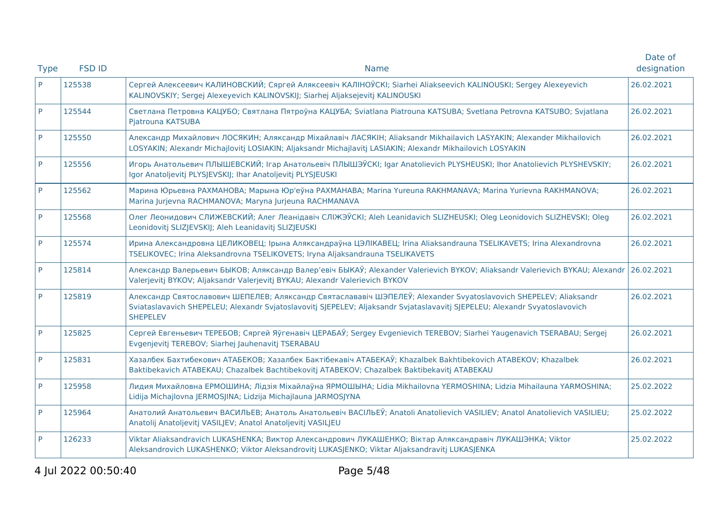|             |               |                                                                                                                                                                                                                                                                   | Date of     |
|-------------|---------------|-------------------------------------------------------------------------------------------------------------------------------------------------------------------------------------------------------------------------------------------------------------------|-------------|
| <b>Type</b> | <b>FSD ID</b> | <b>Name</b>                                                                                                                                                                                                                                                       | designation |
| P.          | 125538        | Сергей Алексеевич КАЛИНОВСКИЙ; Сяргей Аляксеевіч КАЛІНОЎСКІ; Siarhei Aliakseevich KALINOUSKI; Sergey Alexeyevich<br>KALINOVSKIY; Sergej Alexeyevich KALINOVSKIJ; Siarhej Aljaksejevitj KALINOUSKI                                                                 | 26.02.2021  |
| P           | 125544        | Светлана Петровна КАЦУБО; Святлана Пятроўна КАЦУБА; Sviatlana Piatrouna KATSUBA; Svetlana Petrovna KATSUBO; Svjatlana<br>Pjatrouna KATSUBA                                                                                                                        | 26.02.2021  |
| P           | 125550        | Александр Михайлович ЛОСЯКИН; Аляксандр Міхайлавіч ЛАСЯКІН; Aliaksandr Mikhailavich LASYAKIN; Alexander Mikhailovich<br>LOSYAKIN; Alexandr Michajlovitj LOSIAKIN; Aljaksandr Michajlavitj LASIAKIN; Alexandr Mikhailovich LOSYAKIN                                | 26.02.2021  |
| P           | 125556        | Игорь Анатольевич ПЛЫШЕВСКИЙ; Ігар Анатольевіч ПЛЫШЭЎСКІ; Igar Anatolievich PLYSHEUSKI; Ihor Anatolievich PLYSHEVSKIY;<br>Igor Anatoljevitj PLYSJEVSKIJ; Ihar Anatoljevitj PLYSJEUSKI                                                                             | 26.02.2021  |
| P           | 125562        | Марина Юрьевна РАХМАНОВА; Марына Юр'еўна РАХМАНАВА; Marina Yureuna RAKHMANAVA; Marina Yurievna RAKHMANOVA;<br>Marina Jurjevna RACHMANOVA; Maryna Jurjeuna RACHMANAVA                                                                                              | 26.02.2021  |
| P           | 125568        | Олег Леонидович СЛИЖЕВСКИЙ; Алег Леанідавіч СЛІЖЭЎСКІ; Aleh Leanidavich SLIZHEUSKI; Oleg Leonidovich SLIZHEVSKI; Oleg<br>Leonidovitj SLIZJEVSKIJ; Aleh Leanidavitj SLIZJEUSKI                                                                                     | 26.02.2021  |
| P           | 125574        | Ирина Александровна ЦЕЛИКОВЕЦ; Ірына Аляксандраўна ЦЭЛІКАВЕЦ; Irina Aliaksandrauna TSELIKAVETS; Irina Alexandrovna<br>TSELIKOVEC; Irina Aleksandrovna TSELIKOVETS; Iryna Aljaksandrauna TSELIKAVETS                                                               | 26.02.2021  |
| P           | 125814        | Александр Валерьевич БЫКОВ; Аляксандр Валер'евіч БЫКАЎ; Alexander Valerievich BYKOV; Aliaksandr Valerievich BYKAU; Alexandr<br>Valerjevitj BYKOV; Aljaksandr Valerjevitj BYKAU; Alexandr Valerievich BYKOV                                                        | 26.02.2021  |
| P           | 125819        | Александр Святославович ШЕПЕЛЕВ; Аляксандр Святаслававіч ШЭПЕЛЕЎ; Alexander Svyatoslavovich SHEPELEV; Aliaksandr<br>Sviataslavavich SHEPELEU; Alexandr Svjatoslavovitj SJEPELEV; Aljaksandr Svjataslavavitj SJEPELEU; Alexandr Svyatoslavovich<br><b>SHEPELEV</b> | 26.02.2021  |
| P           | 125825        | Сергей Евгеньевич ТЕРЕБОВ; Сяргей Яўгенавіч ЦЕРАБАЎ; Sergey Evgenievich TEREBOV; Siarhei Yaugenavich TSERABAU; Sergej<br>Evgenjevitj TEREBOV; Siarhej Jauhenavitj TSERABAU                                                                                        | 26.02.2021  |
| P           | 125831        | Хазалбек Бахтибекович АТАБЕКОВ; Хазалбек Бактібекавіч АТАБЕКАЎ; Khazalbek Bakhtibekovich ATABEKOV; Khazalbek<br>Baktibekavich ATABEKAU; Chazalbek Bachtibekovitj ATABEKOV; Chazalbek Baktibekavitj ATABEKAU                                                       | 26.02.2021  |
| P           | 125958        | Лидия Михайловна ЕРМОШИНА; Лідзія Міхайлаўна ЯРМОШЫНА; Lidia Mikhailovna YERMOSHINA; Lidzia Mihailauna YARMOSHINA;<br>Lidija Michajlovna JERMOSJINA; Lidzija Michajlauna JARMOSJYNA                                                                               | 25.02.2022  |
| P           | 125964        | Анатолий Анатольевич ВАСИЛЬЕВ; Анатоль Анатольевіч ВАСІЛЬЕЎ; Anatoli Anatolievich VASILIEV; Anatol Anatolievich VASILIEU;<br>Anatolij Anatoljevitj VASILJEV; Anatol Anatoljevitj VASILJEU                                                                         | 25.02.2022  |
| P           | 126233        | Viktar Aliaksandravich LUKASHENKA; Виктор Александрович ЛУКАШЕНКО; Віктар Аляксандравіч ЛУКАШЭНКА; Viktor<br>Aleksandrovich LUKASHENKO; Viktor Aleksandrovitj LUKASJENKO; Viktar Aljaksandravitj LUKASJENKA                                                       | 25.02.2022  |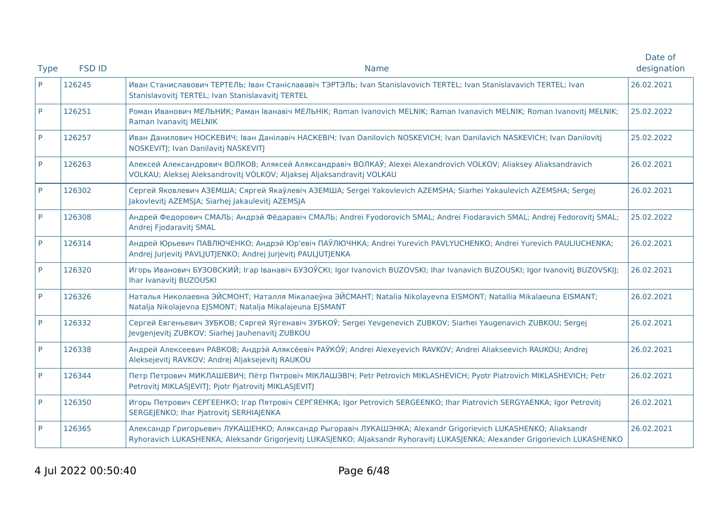|             |               |                                                                                                                                                                                                                                               | Date of     |
|-------------|---------------|-----------------------------------------------------------------------------------------------------------------------------------------------------------------------------------------------------------------------------------------------|-------------|
| <b>Type</b> | <b>FSD ID</b> | <b>Name</b>                                                                                                                                                                                                                                   | designation |
| <b>P</b>    | 126245        | Иван Станиславович ТЕРТЕЛЬ; Іван Станіслававіч ТЭРТЭЛЬ; Ivan Stanislavovich TERTEL; Ivan Stanislavavich TERTEL; Ivan<br>Stanislavovitj TERTEL; Ivan Stanislavavitj TERTEL                                                                     | 26.02.2021  |
| P           | 126251        | Роман Иванович МЕЛЬНИК; Раман Іванавіч МЕЛЬНІК; Roman Ivanovich MELNIK; Raman Ivanavich MELNIK; Roman Ivanovitj MELNIK;<br>Raman Ivanavitj MELNIK                                                                                             | 25.02.2022  |
| P           | 126257        | Иван Данилович НОСКЕВИЧ; Іван Данілавіч НАСКЕВІЧ; Ivan Danilovich NOSKEVICH; Ivan Danilavich NASKEVICH; Ivan Danilovitj<br>NOSKEVITJ; Ivan Danilavitj NASKEVITJ                                                                               | 25.02.2022  |
| P           | 126263        | Алексей Александрович ВОЛКОВ; Аляксей Аляксандравіч ВОЛКАЎ; Alexei Alexandrovich VOLKOV; Aliaksey Aliaksandravich<br>VOLKAU; Aleksej Aleksandrovitj VOLKOV; Aljaksej Aljaksandravitj VOLKAU                                                   | 26.02.2021  |
| P           | 126302        | Сергей Яковлевич АЗЕМША; Сяргей Якаўлевіч АЗЕМША; Sergei Yakovlevich AZEMSHA; Siarhei Yakaulevich AZEMSHA; Sergej<br>Jakovlevitj AZEMSJA; Siarhej Jakaulevitj AZEMSJA                                                                         | 26.02.2021  |
| P           | 126308        | Андрей Федорович СМАЛЬ; Андрэй Фёдаравіч СМАЛЬ; Andrei Fyodorovich SMAL; Andrei Fiodaravich SMAL; Andrej Fedorovitj SMAL;<br>Andrej Fjodaravitj SMAL                                                                                          | 25.02.2022  |
| P           | 126314        | Андрей Юрьевич ПАВЛЮЧЕНКО; Андрэй Юр'евіч ПАЎЛЮЧНКА; Andrei Yurevich PAVLYUCHENKO; Andrei Yurevich PAULIUCHENKA;<br>Andrej Jurjevitj PAVLJUTJENKO; Andrej Jurjevitj PAULJUTJENKA                                                              | 26.02.2021  |
| P           | 126320        | Игорь Иванович БУЗОВСКИЙ; Irap Іванавіч БУЗОЎСКІ; Igor Ivanovich BUZOVSKI; Ihar Ivanavich BUZOUSKI; Igor Ivanovitj BUZOVSKIJ;<br>Ihar Ivanavitj BUZOUSKI                                                                                      | 26.02.2021  |
| P           | 126326        | Наталья Николаевна ЭЙСМОНТ; Наталля Мікалаеўна ЭЙСМАНТ; Natalia Nikolayevna EISMONT; Natallia Mikalaeuna EISMANT;<br>Natalja Nikolajevna EJSMONT; Natalja Mikalajeuna EJSMANT                                                                 | 26.02.2021  |
| P           | 126332        | Сергей Евгеньевич ЗУБКОВ; Сяргей Яўгенавіч ЗУБКОЎ; Sergei Yevgenevich ZUBKOV; Siarhei Yaugenavich ZUBKOU; Sergej<br>Jevgenjevitj ZUBKOV; Siarhej Jauhenavitj ZUBKOU                                                                           | 26.02.2021  |
| <b>P</b>    | 126338        | Андрей Алексеевич РАВКОВ; Андрэ́й Аляксе́евіч РАЎКО́Ў; Andrei Alexeyevich RAVKOV; Andrei Aliakseevich RAUKOU; Andrej<br>Aleksejevitj RAVKOV; Andrej Aljaksejevitj RAUKOU                                                                      | 26.02.2021  |
| <b>P</b>    | 126344        | Петр Петрович МИКЛАШЕВИЧ; Пётр Пятровіч МІКЛАШЭВІЧ; Petr Petrovich MIKLASHEVICH; Pyotr Piatrovich MIKLASHEVICH; Petr<br>Petrovitj MIKLASJEVITJ; Pjotr Pjatrovitj MIKLASJEVITJ                                                                 | 26.02.2021  |
| P           | 126350        | Игорь Петрович СЕРГЕЕНКО; Iгар Пятровіч СЕРГЯЕНКА; Igor Petrovich SERGEENKO; Ihar Piatrovich SERGYAENKA; Igor Petrovitj<br>SERGEJENKO; Ihar Pjatrovitj SERHIAJENKA                                                                            | 26.02.2021  |
| P           | 126365        | Александр Григорьевич ЛУКАШЕНКО; Аляксандр Рыгоравіч ЛУКАШЭНКА; Alexandr Grigorievich LUKASHENKO; Aliaksandr<br>Ryhoravich LUKASHENKA; Aleksandr Grigorjevitj LUKASJENKO; Aljaksandr Ryhoravitj LUKASJENKA; Alexander Grigorievich LUKASHENKO | 26.02.2021  |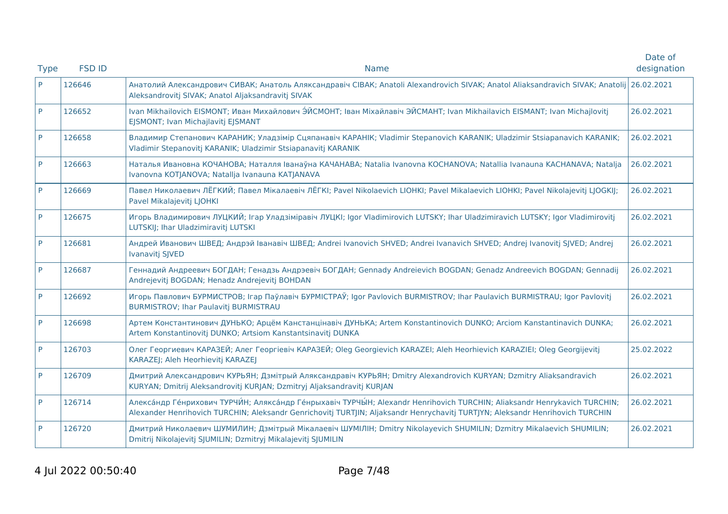|             |               |                                                                                                                                                                                                                                                          | Date of     |
|-------------|---------------|----------------------------------------------------------------------------------------------------------------------------------------------------------------------------------------------------------------------------------------------------------|-------------|
| <b>Type</b> | <b>FSD ID</b> | <b>Name</b>                                                                                                                                                                                                                                              | designation |
| P           | 126646        | Анатолий Александрович СИВАК; Анатоль Аляксандравіч СІВАК; Anatoli Alexandrovich SIVAK; Anatol Aliaksandravich SIVAK; Anatolij<br>Aleksandrovitj SIVAK; Anatol Aljaksandravitj SIVAK                                                                     | 26.02.2021  |
| P           | 126652        | Ivan Mikhailovich EISMONT; Иван Михайлович ЭЙСМОНТ; Іван Міхайлавіч ЭЙСМАНТ; Ivan Mikhailavich EISMANT; Ivan Michajlovitj<br>EJSMONT; Ivan Michajlavitj EJSMANT                                                                                          | 26.02.2021  |
| P           | 126658        | Владимир Степанович КАРАНИК; Уладзімір Сцяпанавіч КАРАНІК; Vladimir Stepanovich KARANIK; Uladzimir Stsiapanavich KARANIK;<br>Vladimir Stepanovitj KARANIK; Uladzimir Stsiapanavitj KARANIK                                                               | 26.02.2021  |
| P           | 126663        | Наталья Ивановна КОЧАНОВА; Наталля Іванаўна КАЧАНАВА; Natalia Ivanovna KOCHANOVA; Natallia Ivanauna KACHANAVA; Natalja<br>Ivanovna KOTJANOVA; Natalija Ivanauna KATJANAVA                                                                                | 26.02.2021  |
| P           | 126669        | Павел Николаевич ЛЁГКИЙ; Павел Мікалаевіч ЛЁГКІ; Pavel Nikolaevich LIOHKI; Pavel Mikalaevich LIOHKI; Pavel Nikolajevitj LJOGKIJ;<br>Pavel Mikalajevitj LJOHKI                                                                                            | 26.02.2021  |
| P           | 126675        | Игорь Владимирович ЛУЦКИЙ; Irap Уладзіміравіч ЛУЦКІ; Igor Vladimirovich LUTSKY; Ihar Uladzimiravich LUTSKY; Igor Vladimirovitj<br>LUTSKIJ; Ihar Uladzimiravitj LUTSKI                                                                                    | 26.02.2021  |
| P           | 126681        | Андрей Иванович ШВЕД; Андрэй Іванавіч ШВЕД; Andrei Ivanovich SHVED; Andrei Ivanavich SHVED; Andrej Ivanovitj SJVED; Andrej<br>Ivanavitj SJVED                                                                                                            | 26.02.2021  |
| P           | 126687        | Геннадий Андреевич БОГДАН; Генадзь Андрэевіч БОГДАН; Gennady Andreievich BOGDAN; Genadz Andreevich BOGDAN; Gennadij<br>Andrejevitj BOGDAN; Henadz Andrejevitj BOHDAN                                                                                     | 26.02.2021  |
| P           | 126692        | Игорь Павлович БУРМИСТРОВ; Ігар Паўлавіч БУРМІСТРАЎ; Igor Pavlovich BURMISTROV; Ihar Paulavich BURMISTRAU; Igor Pavlovitj<br>BURMISTROV; Ihar Paulavitj BURMISTRAU                                                                                       | 26.02.2021  |
| P           | 126698        | Артем Константинович ДУНЬКО; Арцём Канстанцінавіч ДУНЬКА; Artem Konstantinovich DUNKO; Arciom Kanstantinavich DUNKA;<br>Artem Konstantinovitj DUNKO; Artsiom Kanstantsinavitj DUNKA                                                                      | 26.02.2021  |
| P           | 126703        | Олег Георгиевич КАРАЗЕЙ; Алег Георгіевіч КАРАЗЕЙ; Oleg Georgievich KARAZEI; Aleh Heorhievich KARAZIEI; Oleg Georgijevitj<br>KARAZEJ; Aleh Heorhievitj KARAZEJ                                                                                            | 25.02.2022  |
| P           | 126709        | Дмитрий Александрович КУРЬЯН; Дзмітрый Аляксандравіч КУРЬЯН; Dmitry Alexandrovich KURYAN; Dzmitry Aliaksandravich<br>KURYAN; Dmitrij Aleksandrovitj KURJAN; Dzmitryj Aljaksandravitj KURJAN                                                              | 26.02.2021  |
| P           | 126714        | Александр Генрихович ТУРЧИН; Аляксандр Генрыхавіч ТУРЧЫН; Alexandr Henrihovich TURCHIN; Aliaksandr Henrykavich TURCHIN;<br>Alexander Henrihovich TURCHIN; Aleksandr Genrichovitj TURTJIN; Aljaksandr Henrychavitj TURTJYN; Aleksandr Henrihovich TURCHIN | 26.02.2021  |
| P           | 126720        | Дмитрий Николаевич ШУМИЛИН; Дзмітрый Мікалаевіч ШУМІЛІН; Dmitry Nikolayevich SHUMILIN; Dzmitry Mikalaevich SHUMILIN;<br>Dmitrij Nikolajevitj SJUMILIN; Dzmitryj Mikalajevitj SJUMILIN                                                                    | 26.02.2021  |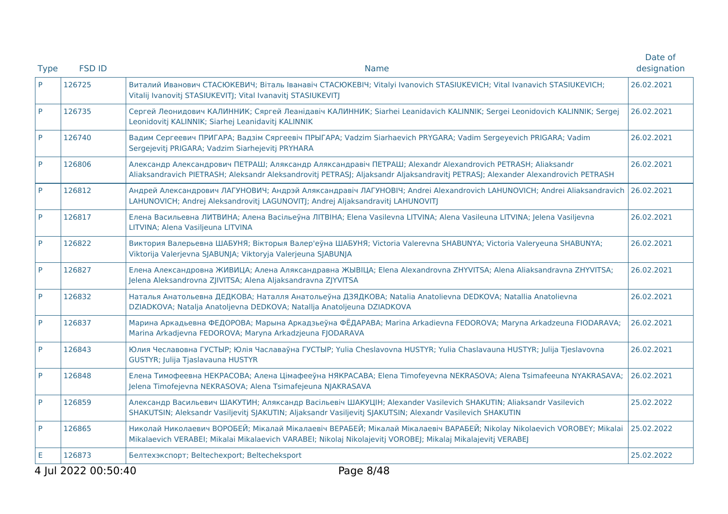|             |                     |                                                                                                                                                                                                                                               | Date of     |
|-------------|---------------------|-----------------------------------------------------------------------------------------------------------------------------------------------------------------------------------------------------------------------------------------------|-------------|
| <b>Type</b> | <b>FSD ID</b>       | <b>Name</b>                                                                                                                                                                                                                                   | designation |
| P           | 126725              | Виталий Иванович СТАСЮКЕВИЧ; Віталь Іванавіч СТАСЮКЕВІЧ; Vitalyi Ivanovich STASIUKEVICH; Vital Ivanavich STASIUKEVICH;<br>Vitalij Ivanovitj STASIUKEVITJ; Vital Ivanavitj STASIUKEVITJ                                                        | 26.02.2021  |
| P           | 126735              | Сергей Леонидович КАЛИННИК; Сяргей Леанідавіч КАЛИННИК; Siarhei Leanidavich KALINNIK; Sergei Leonidovich KALINNIK; Sergej<br>Leonidovitj KALINNIK; Siarhej Leanidavitj KALINNIK                                                               | 26.02.2021  |
| P           | 126740              | Вадим Сергеевич ПРИГАРА; Вадзім Сяргеевіч ПРЫГАРА; Vadzim Siarhaevich PRYGARA; Vadim Sergeyevich PRIGARA; Vadim<br>Sergejevitj PRIGARA; Vadzim Siarhejevitj PRYHARA                                                                           | 26.02.2021  |
| P           | 126806              | Александр Александрович ПЕТРАШ; Аляксандр Аляксандравіч ПЕТРАШ; Alexandr Alexandrovich PETRASH; Aliaksandr<br>Aliaksandravich PIETRASH; Aleksandr Aleksandrovitj PETRASJ; Aljaksandr Aljaksandravitj PETRASJ; Alexander Alexandrovich PETRASH | 26.02.2021  |
| P           | 126812              | Андрей Александрович ЛАГУНОВИЧ; Андрэй Аляксандравіч ЛАГУНОВІЧ; Andrei Alexandrovich LAHUNOVICH; Andrei Aliaksandravich<br>LAHUNOVICH; Andrej Aleksandrovitj LAGUNOVITJ; Andrej Aljaksandravitj LAHUNOVITJ                                    | 26.02.2021  |
| P           | 126817              | Елена Васильевна ЛИТВИНА; Алена Васільеўна ЛІТВІНА; Elena Vasilevna LITVINA; Alena Vasileuna LITVINA; Jelena Vasiljevna<br>LITVINA; Alena Vasiljeuna LITVINA                                                                                  | 26.02.2021  |
| P           | 126822              | Виктория Валерьевна ШАБУНЯ; Вікторыя Валер'еўна ШАБУНЯ; Victoria Valerevna SHABUNYA; Victoria Valeryeuna SHABUNYA;<br>Viktorija Valerjevna SJABUNJA; Viktoryja Valerjeuna SJABUNJA                                                            | 26.02.2021  |
| P           | 126827              | Елена Александровна ЖИВИЦА; Алена Аляксандравна ЖЫВІЦА; Elena Alexandrovna ZHYVITSA; Alena Aliaksandravna ZHYVITSA;<br>Jelena Aleksandrovna ZJIVITSA; Alena Aljaksandravna ZJYVITSA                                                           | 26.02.2021  |
| P           | 126832              | Наталья Анатольевна ДЕДКОВА; Наталля Анатольеўна ДЗЯДКОВА; Natalia Anatolievna DEDKOVA; Natallia Anatolievna<br>DZIADKOVA; Natalja Anatoljevna DEDKOVA; Natallja Anatoljeuna DZIADKOVA                                                        | 26.02.2021  |
| P           | 126837              | Марина Аркадьевна ФЕДОРОВА; Марына Аркадзьеўна ФЁДАРАВА; Marina Arkadievna FEDOROVA; Maryna Arkadzeuna FIODARAVA;<br>Marina Arkadjevna FEDOROVA; Maryna Arkadzjeuna FJODARAVA                                                                 | 26.02.2021  |
| P           | 126843              | Юлия Чеславовна ГУСТЫР; Юлія Чаславаўна ГУСТЫР; Yulia Cheslavovna HUSTYR; Yulia Chaslavauna HUSTYR; Julija Tjeslavovna<br>GUSTYR; Julija Tjaslavauna HUSTYR                                                                                   | 26.02.2021  |
| P           | 126848              | Елена Тимофеевна НЕКРАСОВА; Алена Цімафееўна НЯКРАСАВА; Elena Timofeyevna NEKRASOVA; Alena Tsimafeeuna NYAKRASAVA;<br>Jelena Timofejevna NEKRASOVA; Alena Tsimafejeuna NJAKRASAVA                                                             | 26.02.2021  |
| P           | 126859              | Александр Васильевич ШАКУТИН; Аляксандр Васільевіч ШАКУЦІН; Alexander Vasilevich SHAKUTIN; Aliaksandr Vasilevich<br>SHAKUTSIN; Aleksandr Vasiljevitj SJAKUTIN; Aljaksandr Vasiljevitj SJAKUTSIN; Alexandr Vasilevich SHAKUTIN                 | 25.02.2022  |
| P           | 126865              | Николай Николаевич ВОРОБЕЙ; Мікалай Мікалаевіч ВЕРАБЕЙ; Мікалай Мікалаевіч ВАРАБЕЙ; Nikolay Nikolaevich VOROBEY; Mikalai<br>Mikalaevich VERABEI; Mikalai Mikalaevich VARABEI; Nikolaj Nikolajevitj VOROBEJ; Mikalaj Mikalajevitj VERABEJ      | 25.02.2022  |
| E           | 126873              | Белтехэкспорт; Beltechexport; Beltecheksport                                                                                                                                                                                                  | 25.02.2022  |
|             | 4 Jul 2022 00:50:40 | Page 8/48                                                                                                                                                                                                                                     |             |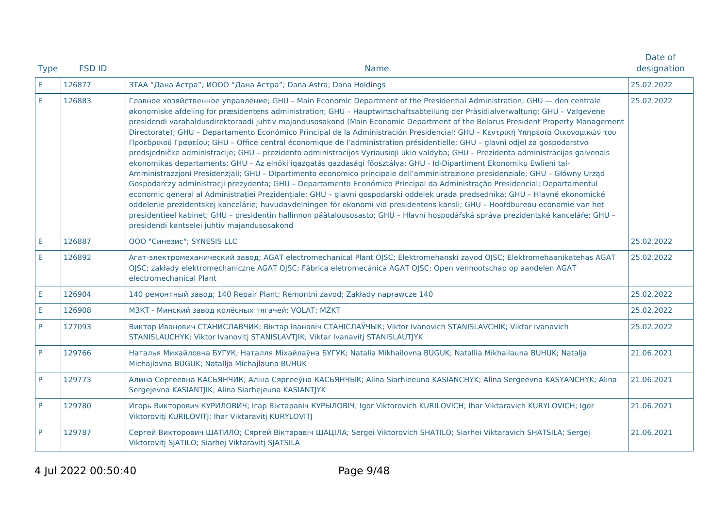| <b>Type</b> | <b>FSD ID</b> | <b>Name</b>                                                                                                                                                                                                                                                                                                                                                                                                                                                                                                                                                                                                                                                                                                                                                                                                                                                                                                                                                                                                                                                                                                                                                                                                                                                                                                                                                                                                                                                                                                                                                                                                                                      | Date of<br>designation |
|-------------|---------------|--------------------------------------------------------------------------------------------------------------------------------------------------------------------------------------------------------------------------------------------------------------------------------------------------------------------------------------------------------------------------------------------------------------------------------------------------------------------------------------------------------------------------------------------------------------------------------------------------------------------------------------------------------------------------------------------------------------------------------------------------------------------------------------------------------------------------------------------------------------------------------------------------------------------------------------------------------------------------------------------------------------------------------------------------------------------------------------------------------------------------------------------------------------------------------------------------------------------------------------------------------------------------------------------------------------------------------------------------------------------------------------------------------------------------------------------------------------------------------------------------------------------------------------------------------------------------------------------------------------------------------------------------|------------------------|
| E.          | 126877        | ЗТАА "Дана Астра"; ИООО "Дана Астра"; Dana Astra; Dana Holdings                                                                                                                                                                                                                                                                                                                                                                                                                                                                                                                                                                                                                                                                                                                                                                                                                                                                                                                                                                                                                                                                                                                                                                                                                                                                                                                                                                                                                                                                                                                                                                                  | 25.02.2022             |
| E           | 126883        | Главное хозяйственное управление; GHU - Main Economic Department of the Presidential Administration; GHU - den centrale<br>økonomiske afdeling for præsidentens administration; GHU - Hauptwirtschaftsabteilung der Präsidialverwaltung; GHU - Valgevene<br>presidendi varahaldusdirektoraadi juhtiv majandusosakond (Main Economic Department of the Belarus President Property Management<br>Directorate); GHU - Departamento Económico Principal de la Administración Presidencial; GHU - Κεντρική Υπηρεσία Οικονομικών του<br>Προεδρικού Γραφείου; GHU - Office central économique de l'administration présidentielle; GHU - glavni odjel za gospodarstvo<br>predsjedničke administracije; GHU - prezidento administracijos Vyriausioji ūkio valdyba; GHU - Prezidenta administrācijas galvenais<br>ekonomikas departaments; GHU - Az elnöki igazgatás gazdasági főosztálya; GHU - Id-Dipartiment Ekonomiku Ewlieni tal-<br>Amministrazzjoni Presidenzjali; GHU - Dipartimento economico principale dell'amministrazione presidenziale; GHU - Główny Urząd<br>Gospodarczy administracji prezydenta; GHU - Departamento Económico Principal da Administração Presidencial; Departamentul<br>economic general al Administrației Prezidențiale; GHU - glavni gospodarski oddelek urada predsednika; GHU - Hlavné ekonomické<br>oddelenie prezidentskej kancelárie; huvudavdelningen för ekonomi vid presidentens kansli; GHU - Hoofdbureau economie van het<br>presidentieel kabinet; GHU - presidentin hallinnon päätalousosasto; GHU - Hlavní hospodářská správa prezidentské kanceláře; GHU -<br>presidendi kantselei juhtiv majandusosakond | 25.02.2022             |
| $\mathsf E$ | 126887        | ООО "Синезис"; SYNESIS LLC                                                                                                                                                                                                                                                                                                                                                                                                                                                                                                                                                                                                                                                                                                                                                                                                                                                                                                                                                                                                                                                                                                                                                                                                                                                                                                                                                                                                                                                                                                                                                                                                                       | 25.02.2022             |
| E           | 126892        | Агат-электромеханический завод; AGAT electromechanical Plant OJSC; Elektromehanski zavod OJSC; Elektromehaanikatehas AGAT<br>OJSC; zakłady elektromechaniczne AGAT OJSC; Fábrica eletromecânica AGAT OJSC; Open vennootschap op aandelen AGAT<br>electromechanical Plant                                                                                                                                                                                                                                                                                                                                                                                                                                                                                                                                                                                                                                                                                                                                                                                                                                                                                                                                                                                                                                                                                                                                                                                                                                                                                                                                                                         | 25.02.2022             |
| $\mathsf E$ | 126904        | 140 ремонтный завод; 140 Repair Plant; Remontni zavod; Zakłady naprawcze 140                                                                                                                                                                                                                                                                                                                                                                                                                                                                                                                                                                                                                                                                                                                                                                                                                                                                                                                                                                                                                                                                                                                                                                                                                                                                                                                                                                                                                                                                                                                                                                     | 25.02.2022             |
| $\mathsf E$ | 126908        | МЗКТ - Минский завод колёсных тягачей; VOLAT; MZKT                                                                                                                                                                                                                                                                                                                                                                                                                                                                                                                                                                                                                                                                                                                                                                                                                                                                                                                                                                                                                                                                                                                                                                                                                                                                                                                                                                                                                                                                                                                                                                                               | 25.02.2022             |
| P           | 127093        | Виктор Иванович СТАНИСЛАВЧИК; Віктар Іванавіч СТАНІСЛАЎЧЫК; Viktor Ivanovich STANISLAVCHIK; Viktar Ivanavich<br>STANISLAUCHYK; Viktor Ivanovitj STANISLAVTJIK; Viktar Ivanavitj STANISLAUTJYK                                                                                                                                                                                                                                                                                                                                                                                                                                                                                                                                                                                                                                                                                                                                                                                                                                                                                                                                                                                                                                                                                                                                                                                                                                                                                                                                                                                                                                                    | 25.02.2022             |
| P           | 129766        | Наталья Михайловна БУГУК; Наталля Міхайлаўна БУГУК; Natalia Mikhailovna BUGUK; Natallia Mikhailauna BUHUK; Natalja<br>Michajlovna BUGUK; Natallja Michajlauna BUHUK                                                                                                                                                                                                                                                                                                                                                                                                                                                                                                                                                                                                                                                                                                                                                                                                                                                                                                                                                                                                                                                                                                                                                                                                                                                                                                                                                                                                                                                                              | 21.06.2021             |
| P           | 129773        | Алина Сергеевна КАСЬЯНЧИК; Аліна Сяргееўна КАСЬЯНЧЫК; Alina Siarhieeuna KASIANCHYK; Alina Sergeevna KASYANCHYK; Alina<br>Sergejevna KASIANTJIK; Alina Siarhejeuna KASIANTJYK                                                                                                                                                                                                                                                                                                                                                                                                                                                                                                                                                                                                                                                                                                                                                                                                                                                                                                                                                                                                                                                                                                                                                                                                                                                                                                                                                                                                                                                                     | 21.06.2021             |
| P           | 129780        | Игорь Викторович КУРИЛОВИЧ; Ігар Віктаравіч КУРЫЛОВІЧ; Igor Viktorovich KURILOVICH; Ihar Viktaravich KURYLOVICH; Igor<br>Viktorovitj KURILOVITJ; Ihar Viktaravitj KURYLOVITJ                                                                                                                                                                                                                                                                                                                                                                                                                                                                                                                                                                                                                                                                                                                                                                                                                                                                                                                                                                                                                                                                                                                                                                                                                                                                                                                                                                                                                                                                     | 21.06.2021             |
| P           | 129787        | Сергей Викторович ШАТИЛО; Сяргей Віктаравіч ШАЦІЛА; Sergei Viktorovich SHATILO; Siarhei Viktaravich SHATSILA; Sergej<br>Viktorovitj SJATILO; Siarhej Viktaravitj SJATSILA                                                                                                                                                                                                                                                                                                                                                                                                                                                                                                                                                                                                                                                                                                                                                                                                                                                                                                                                                                                                                                                                                                                                                                                                                                                                                                                                                                                                                                                                        | 21.06.2021             |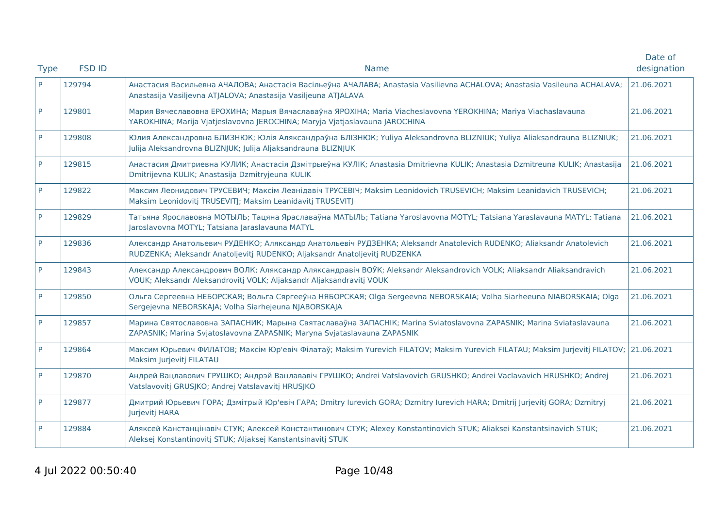| <b>Type</b> | <b>FSD ID</b> | Name                                                                                                                                                                                               | Date of<br>designation |
|-------------|---------------|----------------------------------------------------------------------------------------------------------------------------------------------------------------------------------------------------|------------------------|
| P           | 129794        | Анастасия Васильевна АЧАЛОВА; Анастасія Васільеўна АЧАЛАВА; Anastasia Vasilievna ACHALOVA; Anastasia Vasileuna ACHALAVA;<br>Anastasija Vasiljevna ATJALOVA; Anastasija Vasiljeuna ATJALAVA         | 21.06.2021             |
| P           | 129801        | Мария Вячеславовна ЕРОХИНА; Марыя Вячаславаўна ЯРОХІНА; Maria Viacheslavovna YEROKHINA; Mariya Viachaslavauna<br>YAROKHINA; Marija Vjatjeslavovna JEROCHINA; Maryja Vjatjaslavauna JAROCHINA       | 21.06.2021             |
| P           | 129808        | Юлия Александровна БЛИЗНЮК; Юлія Аляксандраўна БЛІЗНЮК; Yuliya Aleksandrovna BLIZNIUK; Yuliya Aliaksandrauna BLIZNIUK;<br>Julija Aleksandrovna BLIZNJUK; Julija Aljaksandrauna BLIZNJUK            | 21.06.2021             |
| P           | 129815        | Анастасия Дмитриевна КУЛИК; Анастасія Дзмітрыеўна КУЛІК; Anastasia Dmitrievna KULIK; Anastasia Dzmitreuna KULIK; Anastasija<br>Dmitrijevna KULIK; Anastasija Dzmitryjeuna KULIK                    | 21.06.2021             |
| P           | 129822        | Максим Леонидович ТРУСЕВИЧ; Максім Леанідавіч ТРУСЕВІЧ; Maksim Leonidovich TRUSEVICH; Maksim Leanidavich TRUSEVICH;<br>Maksim Leonidovitj TRUSEVITJ; Maksim Leanidavitj TRUSEVITJ                  | 21.06.2021             |
| P           | 129829        | Татьяна Ярославовна МОТЫЛЬ; Тацяна Яраславаўна МАТЫЛЬ; Tatiana Yaroslavovna MOTYL; Tatsiana Yaraslavauna MATYL; Tatiana<br>Jaroslavovna MOTYL; Tatsiana Jaraslavauna MATYL                         | 21.06.2021             |
| P           | 129836        | Александр Анатольевич РУДЕНКО; Аляксандр Анатольевіч РУДЗЕНКА; Aleksandr Anatolevich RUDENKO; Aliaksandr Anatolevich<br>RUDZENKA; Aleksandr Anatoljevitj RUDENKO; Aljaksandr Anatoljevitj RUDZENKA | 21.06.2021             |
| P           | 129843        | Александр Александрович ВОЛК; Аляксандр Аляксандравіч ВОЎК; Aleksandr Aleksandrovich VOLK; Aliaksandr Aliaksandravich<br>VOUK; Aleksandr Aleksandrovitj VOLK; Aljaksandr Aljaksandravitj VOUK      | 21.06.2021             |
| P           | 129850        | Ольга Сергеевна НЕБОРСКАЯ; Вольга Сяргееўна НЯБОРСКАЯ; Olga Sergeevna NEBORSKAIA; Volha Siarheeuna NIABORSKAIA; Olga<br>Sergejevna NEBORSKAJA; Volha Siarhejeuna NJABORSKAJA                       | 21.06.2021             |
| P           | 129857        | Марина Святославовна ЗАПАСНИК; Марына Святаславаўна ЗАПАСНІК; Marina Sviatoslavovna ZAPASNIK; Marina Sviataslavauna<br>ZAPASNIK; Marina Svjatoslavovna ZAPASNIK; Maryna Svjataslavauna ZAPASNIK    | 21.06.2021             |
| P           | 129864        | Максим Юрьевич ФИЛАТОВ; Максім Юр'евіч Філатаў; Maksim Yurevich FILATOV; Maksim Yurevich FILATAU; Maksim Jurjevitj FILATOV;<br>Maksim Jurjevitj FILATAU                                            | 21.06.2021             |
| P           | 129870        | Андрей Вацлавович ГРУШКО; Андрэй Вацлававіч ГРУШКО; Andrei Vatslavovich GRUSHKO; Andrei Vaclavavich HRUSHKO; Andrej<br>Vatslavovitj GRUSJKO; Andrej Vatslavavitj HRUSJKO                           | 21.06.2021             |
| P           | 129877        | Дмитрий Юрьевич ГОРА; Дзмітрый Юр'евіч ГАРА; Dmitry Iurevich GORA; Dzmitry Iurevich HARA; Dmitrij Jurjevitj GORA; Dzmitryj<br>Jurjevitj HARA                                                       | 21.06.2021             |
| P           | 129884        | Аляксей Канстанцінавіч СТУК; Алексей Константинович СТУК; Alexey Konstantinovich STUK; Aliaksei Kanstantsinavich STUK;<br>Aleksej Konstantinovitj STUK; Aljaksej Kanstantsinavitj STUK             | 21.06.2021             |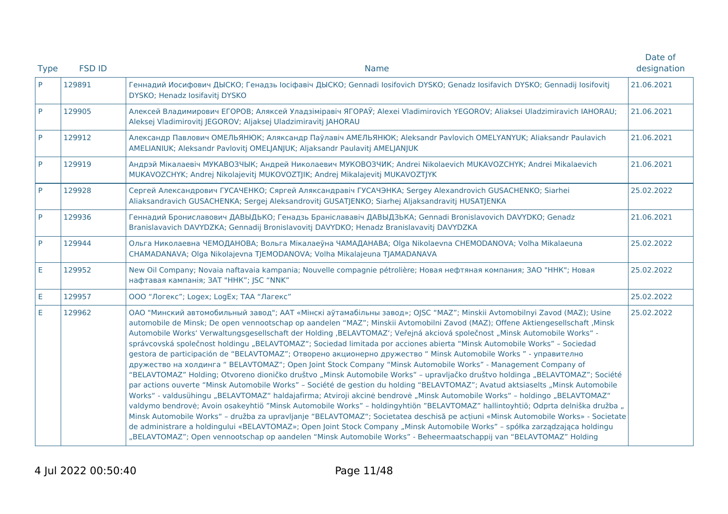| <b>Type</b> | <b>FSD ID</b> | <b>Name</b>                                                                                                                                                                                                                                                                                                                                                                                                                                                                                                                                                                                                                                                                                                                                                                                                                                                                                                                                                                                                                                                                                                                                                                                                                                                                                                                                                                                                                                                                                                                                                                                                                                                                               | Date of<br>designation |
|-------------|---------------|-------------------------------------------------------------------------------------------------------------------------------------------------------------------------------------------------------------------------------------------------------------------------------------------------------------------------------------------------------------------------------------------------------------------------------------------------------------------------------------------------------------------------------------------------------------------------------------------------------------------------------------------------------------------------------------------------------------------------------------------------------------------------------------------------------------------------------------------------------------------------------------------------------------------------------------------------------------------------------------------------------------------------------------------------------------------------------------------------------------------------------------------------------------------------------------------------------------------------------------------------------------------------------------------------------------------------------------------------------------------------------------------------------------------------------------------------------------------------------------------------------------------------------------------------------------------------------------------------------------------------------------------------------------------------------------------|------------------------|
| P           | 129891        | Геннадий Иосифович ДЫСКО; Генадзь Іосіфавіч ДЫСКО; Gennadi Iosifovich DYSKO; Genadz Iosifavich DYSKO; Gennadij Iosifovitj<br>DYSKO; Henadz losifavitj DYSKO                                                                                                                                                                                                                                                                                                                                                                                                                                                                                                                                                                                                                                                                                                                                                                                                                                                                                                                                                                                                                                                                                                                                                                                                                                                                                                                                                                                                                                                                                                                               | 21.06.2021             |
| P           | 129905        | Алексей Владимирович ЕГОРОВ; Аляксей Уладзіміравіч ЯГОРАЎ; Alexei Vladimirovich YEGOROV; Aliaksei Uladzimiravich IAHORAU;<br>Aleksej Vladimirovitj JEGOROV; Aljaksej Uladzimiravitj JAHORAU                                                                                                                                                                                                                                                                                                                                                                                                                                                                                                                                                                                                                                                                                                                                                                                                                                                                                                                                                                                                                                                                                                                                                                                                                                                                                                                                                                                                                                                                                               | 21.06.2021             |
| P           | 129912        | Александр Павлович ОМЕЛЬЯНЮК; Аляксандр Паўлавіч АМЕЛЬЯНЮК; Aleksandr Pavlovich OMELYANYUK; Aliaksandr Paulavich<br>AMELIANIUK; Aleksandr Pavlovitj OMELJANJUK; Aljaksandr Paulavitj AMELJANJUK                                                                                                                                                                                                                                                                                                                                                                                                                                                                                                                                                                                                                                                                                                                                                                                                                                                                                                                                                                                                                                                                                                                                                                                                                                                                                                                                                                                                                                                                                           | 21.06.2021             |
| P           | 129919        | Андрэй Мікалаевіч МУКАВОЗЧЫК; Андрей Николаевич МУКОВОЗЧИК; Andrei Nikolaevich MUKAVOZCHYK; Andrei Mikalaevich<br>MUKAVOZCHYK; Andrej Nikolajevitj MUKOVOZTJIK; Andrej Mikalajevitj MUKAVOZTJYK                                                                                                                                                                                                                                                                                                                                                                                                                                                                                                                                                                                                                                                                                                                                                                                                                                                                                                                                                                                                                                                                                                                                                                                                                                                                                                                                                                                                                                                                                           | 21.06.2021             |
| P           | 129928        | Сергей Александрович ГУСАЧЕНКО; Сяргей Аляксандравіч ГУСАЧЭНКА; Sergey Alexandrovich GUSACHENKO; Siarhei<br>Aliaksandravich GUSACHENKA; Sergej Aleksandrovitj GUSATJENKO; Siarhej Aljaksandravitj HUSATJENKA                                                                                                                                                                                                                                                                                                                                                                                                                                                                                                                                                                                                                                                                                                                                                                                                                                                                                                                                                                                                                                                                                                                                                                                                                                                                                                                                                                                                                                                                              | 25.02.2022             |
| P           | 129936        | Геннадий Брониславович ДАВЫДЬКО; Генадзь Браніслававіч ДАВЫДЗЬКА; Gennadi Bronislavovich DAVYDKO; Genadz<br>Branislavavich DAVYDZKA; Gennadij Bronislavovitj DAVYDKO; Henadz Branislavavitj DAVYDZKA                                                                                                                                                                                                                                                                                                                                                                                                                                                                                                                                                                                                                                                                                                                                                                                                                                                                                                                                                                                                                                                                                                                                                                                                                                                                                                                                                                                                                                                                                      | 21.06.2021             |
| P           | 129944        | Ольга Николаевна ЧЕМОДАНОВА; Вольга Мікалаеўна ЧАМАДАНАВА; Olga Nikolaevna CHEMODANOVA; Volha Mikalaeuna<br>CHAMADANAVA; Olga Nikolajevna TJEMODANOVA; Volha Mikalajeuna TJAMADANAVA                                                                                                                                                                                                                                                                                                                                                                                                                                                                                                                                                                                                                                                                                                                                                                                                                                                                                                                                                                                                                                                                                                                                                                                                                                                                                                                                                                                                                                                                                                      | 25.02.2022             |
| E           | 129952        | New Oil Company; Novaia naftavaia kampania; Nouvelle compagnie pétrolière; Новая нефтяная компания; ЗАО "ННК"; Новая<br>нафтавая кампанія; ЗАТ "ННК"; JSC "NNK"                                                                                                                                                                                                                                                                                                                                                                                                                                                                                                                                                                                                                                                                                                                                                                                                                                                                                                                                                                                                                                                                                                                                                                                                                                                                                                                                                                                                                                                                                                                           | 25.02.2022             |
| E           | 129957        | ООО "Логекс"; Logex; LogEx; ТАА "Лагекс"                                                                                                                                                                                                                                                                                                                                                                                                                                                                                                                                                                                                                                                                                                                                                                                                                                                                                                                                                                                                                                                                                                                                                                                                                                                                                                                                                                                                                                                                                                                                                                                                                                                  | 25.02.2022             |
| E           | 129962        | ОАО "Минский автомобильный завод"; ААТ «Мінскі аўтамабільны завод»; ОЈЅС "MAZ"; Minskii Avtomobilnyi Zavod (MAZ); Usine<br>automobile de Minsk; De open vennootschap op aandelen "MAZ"; Minskii Avtomobilni Zavod (MAZ); Offene Aktiengesellschaft , Minsk<br>Automobile Works' Verwaltungsgesellschaft der Holding ,BELAVTOMAZ'; Veřejná akciová společnost "Minsk Automobile Works" -<br>správcovská společnost holdingu "BELAVTOMAZ"; Sociedad limitada por acciones abierta "Minsk Automobile Works" - Sociedad<br>gestora de participación de "BELAVTOMAZ"; Отворено акционерно дружество " Minsk Automobile Works " - управително<br>дружество на холдинга "BELAVTOMAZ"; Open Joint Stock Company "Minsk Automobile Works" - Management Company of<br>"BELAVTOMAZ" Holding; Otvoreno dioničko društvo "Minsk Automobile Works" - upravljačko društvo holdinga "BELAVTOMAZ"; Société<br>par actions ouverte "Minsk Automobile Works" - Société de gestion du holding "BELAVTOMAZ"; Avatud aktsiaselts "Minsk Automobile<br>Works" - valdusühingu "BELAVTOMAZ" haldajafirma; Atviroji akcinė bendrovė "Minsk Automobile Works" - holdingo "BELAVTOMAZ"<br>valdymo bendrovė; Avoin osakeyhtiö "Minsk Automobile Works" - holdingyhtiön "BELAVTOMAZ" hallintoyhtiö; Odprta delniška družba "<br>Minsk Automobile Works" - družba za upravljanje "BELAVTOMAZ"; Societatea deschisă pe acțiuni «Minsk Automobile Works» - Societate<br>de administrare a holdingului «BELAVTOMAZ»; Open Joint Stock Company "Minsk Automobile Works" - spółka zarządzająca holdingu<br>"BELAVTOMAZ"; Open vennootschap op aandelen "Minsk Automobile Works" - Beheermaatschappij van "BELAVTOMAZ" Holding | 25.02.2022             |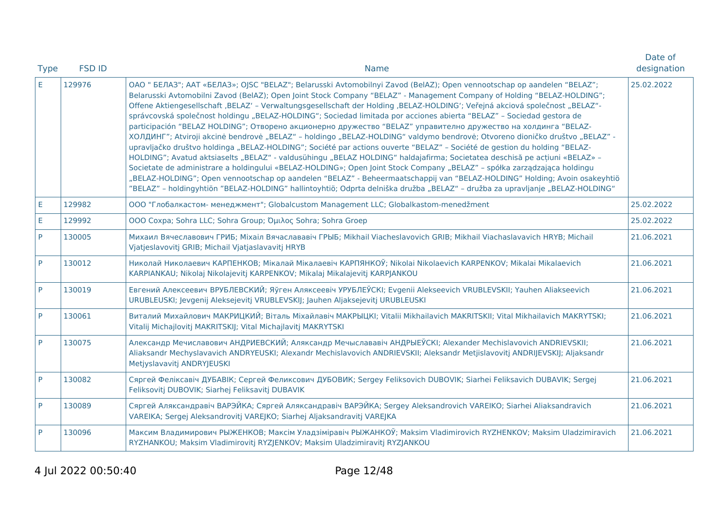| <b>Type</b> | <b>FSD ID</b> | <b>Name</b>                                                                                                                                                                                                                                                                                                                                                                                                                                                                                                                                                                                                                                                                                                                                                                                                                                                                                                                                                                                                                                                                                                                                                                                                                                                                                                                                                                                                        | Date of<br>designation |
|-------------|---------------|--------------------------------------------------------------------------------------------------------------------------------------------------------------------------------------------------------------------------------------------------------------------------------------------------------------------------------------------------------------------------------------------------------------------------------------------------------------------------------------------------------------------------------------------------------------------------------------------------------------------------------------------------------------------------------------------------------------------------------------------------------------------------------------------------------------------------------------------------------------------------------------------------------------------------------------------------------------------------------------------------------------------------------------------------------------------------------------------------------------------------------------------------------------------------------------------------------------------------------------------------------------------------------------------------------------------------------------------------------------------------------------------------------------------|------------------------|
| E.          | 129976        | ОАО " БЕЛАЗ"; ААТ «БЕЛАЗ»; OJSC "BELAZ"; Belarusski Avtomobilnyi Zavod (BelAZ); Open vennootschap op aandelen "BELAZ";<br>Belarusski Avtomobilni Zavod (BelAZ); Open Joint Stock Company "BELAZ" - Management Company of Holding "BELAZ-HOLDING";<br>Offene Aktiengesellschaft , BELAZ' - Verwaltungsgesellschaft der Holding , BELAZ-HOLDING'; Veřejná akciová společnost "BELAZ"-<br>správcovská společnost holdingu "BELAZ-HOLDING"; Sociedad limitada por acciones abierta "BELAZ" - Sociedad gestora de<br>participación "BELAZ HOLDING"; Отворено акционерно дружество "BELAZ" управително дружество на холдинга "BELAZ-<br>ХОЛДИНГ"; Atviroji akcinė bendrovė "BELAZ" - holdingo "BELAZ-HOLDING" valdymo bendrovė; Otvoreno dioničko društvo "BELAZ" -<br>upravljačko društvo holdinga "BELAZ-HOLDING"; Société par actions ouverte "BELAZ" - Société de gestion du holding "BELAZ-<br>HOLDING"; Avatud aktsiaselts "BELAZ" - valdusühingu "BELAZ HOLDING" haldajafirma; Societatea deschisă pe acțiuni «BELAZ» -<br>Societate de administrare a holdingului «BELAZ-HOLDING»; Open Joint Stock Company "BELAZ" - spółka zarządzająca holdingu<br>"BELAZ-HOLDING"; Open vennootschap op aandelen "BELAZ" - Beheermaatschappij van "BELAZ-HOLDING" Holding; Avoin osakeyhtiö<br>"BELAZ" - holdingyhtiön "BELAZ-HOLDING" hallintoyhtiö; Odprta delniška družba "BELAZ" - družba za upravljanje "BELAZ-HOLDING" | 25.02.2022             |
| E           | 129982        | ООО "Глобалкастом- менеджмент"; Globalcustom Management LLC; Globalkastom-menedžment                                                                                                                                                                                                                                                                                                                                                                                                                                                                                                                                                                                                                                                                                                                                                                                                                                                                                                                                                                                                                                                                                                                                                                                                                                                                                                                               | 25.02.2022             |
| E           | 129992        | OOO Coxpa; Sohra LLC; Sohra Group; Όμιλος Sohra; Sohra Groep                                                                                                                                                                                                                                                                                                                                                                                                                                                                                                                                                                                                                                                                                                                                                                                                                                                                                                                                                                                                                                                                                                                                                                                                                                                                                                                                                       | 25.02.2022             |
| P           | 130005        | Михаил Вячеславович ГРИБ; Mixaiл Вячаслававіч ГРЫБ; Mikhail Viacheslavovich GRIB; Mikhail Viachaslavavich HRYB; Michail<br>Vjatjeslavovitj GRIB; Michail Vjatjaslavavitj HRYB                                                                                                                                                                                                                                                                                                                                                                                                                                                                                                                                                                                                                                                                                                                                                                                                                                                                                                                                                                                                                                                                                                                                                                                                                                      | 21.06.2021             |
| P           | 130012        | Николай Николаевич КАРПЕНКОВ; Мікалай Мікалаевіч КАРПЯНКОЎ; Nikolai Nikolaevich KARPENKOV; Mikalai Mikalaevich<br>KARPIANKAU; Nikolaj Nikolajevitj KARPENKOV; Mikalaj Mikalajevitj KARPJANKOU                                                                                                                                                                                                                                                                                                                                                                                                                                                                                                                                                                                                                                                                                                                                                                                                                                                                                                                                                                                                                                                                                                                                                                                                                      | 21.06.2021             |
| P           | 130019        | Евгений Алексеевич ВРУБЛЕВСКИЙ; Яўген Аляксеевіч УРУБЛЕЎСКІ; Evgenii Alekseevich VRUBLEVSKII; Yauhen Aliakseevich<br>URUBLEUSKI; Jevgenij Aleksejevitj VRUBLEVSKIJ; Jauhen Aljaksejevitj URUBLEUSKI                                                                                                                                                                                                                                                                                                                                                                                                                                                                                                                                                                                                                                                                                                                                                                                                                                                                                                                                                                                                                                                                                                                                                                                                                | 21.06.2021             |
| <b>P</b>    | 130061        | Виталий Михайлович МАКРИЦКИЙ; Віталь Міхайлавіч МАКРЫЦКІ; Vitalii Mikhailavich MAKRITSKII; Vital Mikhailavich MAKRYTSKI;<br>Vitalij Michajlovitj MAKRITSKIJ; Vital Michajlavitj MAKRYTSKI                                                                                                                                                                                                                                                                                                                                                                                                                                                                                                                                                                                                                                                                                                                                                                                                                                                                                                                                                                                                                                                                                                                                                                                                                          | 21.06.2021             |
| <b>P</b>    | 130075        | Александр Мечиславович АНДРИЕВСКИЙ; Аляксандр Мечыслававіч АНДРЫЕЎСКІ; Alexander Mechislavovich ANDRIEVSKII;<br>Aliaksandr Mechyslavavich ANDRYEUSKI; Alexandr Mechislavovich ANDRIEVSKII; Aleksandr Metjislavovitj ANDRIJEVSKIJ; Aljaksandr<br>Metjyslavavitj ANDRYJEUSKI                                                                                                                                                                                                                                                                                                                                                                                                                                                                                                                                                                                                                                                                                                                                                                                                                                                                                                                                                                                                                                                                                                                                         | 21.06.2021             |
| P           | 130082        | Сяргей Феліксавіч ДУБАВІК; Сергей Феликсович ДУБОВИК; Sergey Feliksovich DUBOVIK; Siarhei Feliksavich DUBAVIK; Sergej<br>Feliksovitj DUBOVIK; Siarhej Feliksavitj DUBAVIK                                                                                                                                                                                                                                                                                                                                                                                                                                                                                                                                                                                                                                                                                                                                                                                                                                                                                                                                                                                                                                                                                                                                                                                                                                          | 21.06.2021             |
| P           | 130089        | Сяргей Аляксандравіч ВАРЭЙКА; Сяргей Аляксандравіч ВАРЭЙКА; Sergey Aleksandrovich VAREIKO; Siarhei Aliaksandravich<br>VAREIKA; Sergej Aleksandrovitj VAREJKO; Siarhej Aljaksandravitj VAREJKA                                                                                                                                                                                                                                                                                                                                                                                                                                                                                                                                                                                                                                                                                                                                                                                                                                                                                                                                                                                                                                                                                                                                                                                                                      | 21.06.2021             |
| P           | 130096        | Максим Владимирович РЫЖЕНКОВ; Максім Уладзіміравіч РЫЖАНКОЎ; Maksim Vladimirovich RYZHENKOV; Maksim Uladzimiravich<br>RYZHANKOU; Maksim Vladimirovitj RYZJENKOV; Maksim Uladzimiravitj RYZJANKOU                                                                                                                                                                                                                                                                                                                                                                                                                                                                                                                                                                                                                                                                                                                                                                                                                                                                                                                                                                                                                                                                                                                                                                                                                   | 21.06.2021             |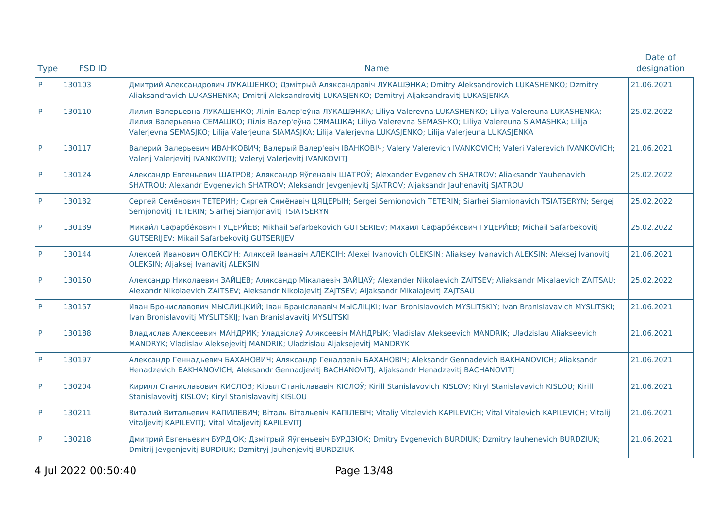| <b>Type</b> | <b>FSD ID</b> | <b>Name</b>                                                                                                                                                                                                                                                                                                                                            | Date of<br>designation |
|-------------|---------------|--------------------------------------------------------------------------------------------------------------------------------------------------------------------------------------------------------------------------------------------------------------------------------------------------------------------------------------------------------|------------------------|
| P           | 130103        | Дмитрий Александрович ЛУКАШЕНКО; Дзмітрый Аляксандравіч ЛУКАШЭНКА; Dmitry Aleksandrovich LUKASHENKO; Dzmitry<br>Aliaksandravich LUKASHENKA; Dmitrij Aleksandrovitj LUKASJENKO; Dzmitryj Aljaksandravitj LUKASJENKA                                                                                                                                     | 21.06.2021             |
| P           | 130110        | Лилия Валерьевна ЛУКАШЕНКО; Лілія Валер'еўна ЛУКАШЭНКА; Liliya Valerevna LUKASHENKO; Liliya Valereuna LUKASHENKA;<br>Лилия Валерьевна СЕМАШКО; Лілія Валер'еўна СЯМАШКА; Liliya Valerevna SEMASHKO; Liliya Valereuna SIAMASHKA; Lilija<br>Valerjevna SEMASJKO; Lilija Valerjeuna SIAMASJKA; Lilija Valerjevna LUKASJENKO; Lilija Valerjeuna LUKASJENKA | 25.02.2022             |
| P           | 130117        | Валерий Валерьевич ИВАНКОВИЧ; Валерый Валер'евіч ІВАНКОВІЧ; Valery Valerevich IVANKOVICH; Valeri Valerevich IVANKOVICH;<br>Valerij Valerjevitj IVANKOVITJ; Valeryj Valerjevitj IVANKOVITJ                                                                                                                                                              | 21.06.2021             |
| P           | 130124        | Александр Евгеньевич ШАТРОВ; Аляксандр Яўгенавіч ШАТРОЎ; Alexander Evgenevich SHATROV; Aliaksandr Yauhenavich<br>SHATROU; Alexandr Evgenevich SHATROV; Aleksandr Jevgenjevitj SJATROV; Aljaksandr Jauhenavitj SJATROU                                                                                                                                  | 25.02.2022             |
| P           | 130132        | Сергей Семёнович ТЕТЕРИН; Сяргей Сямёнавіч ЦЯЦЕРЫН; Sergei Semionovich TETERIN; Siarhei Siamionavich TSIATSERYN; Sergej<br>Semjonovitj TETERIN; Siarhej Siamjonavitj TSIATSERYN                                                                                                                                                                        | 25.02.2022             |
| P           | 130139        | Микаи́л Сафарбе́кович ГУЦЕРИ́ЕВ; Mikhail Safarbekovich GUTSERIEV; Михаил Сафарбе́кович ГУЦЕРИ́ЕВ; Michail Safarbekovitj<br>GUTSERIJEV; Mikail Safarbekovitj GUTSERIJEV                                                                                                                                                                                 | 25.02.2022             |
| P           | 130144        | Алексей Иванович ОЛЕКСИН; Аляксей Іванавіч АЛЕКСІН; Alexei Ivanovich OLEKSIN; Aliaksey Ivanavich ALEKSIN; Aleksej Ivanovitj<br>OLEKSIN; Aljaksej Ivanavitj ALEKSIN                                                                                                                                                                                     | 21.06.2021             |
| P           | 130150        | Александр Николаевич ЗАЙЦЕВ; Аляксандр Мікалаевіч ЗАЙЦАЎ; Alexander Nikolaevich ZAITSEV; Aliaksandr Mikalaevich ZAITSAU;<br>Alexandr Nikolaevich ZAITSEV; Aleksandr Nikolajevitj ZAJTSEV; Aljaksandr Mikalajevitj ZAJTSAU                                                                                                                              | 25.02.2022             |
| P.          | 130157        | Иван Брониславович МЫСЛИЦКИЙ; Іван Браніслававіч МЫСЛІЦКІ; Ivan Bronislavovich MYSLITSKIY; Ivan Branislavavich MYSLITSKI;<br>Ivan Bronislavovitj MYSLITSKIJ; Ivan Branislavavitj MYSLITSKI                                                                                                                                                             | 21.06.2021             |
| P           | 130188        | Владислав Алексеевич МАНДРИК; Уладзіслаў Аляксеевіч МАНДРЫК; Vladislav Alekseevich MANDRIK; Uladzislau Aliakseevich<br>MANDRYK; Vladislav Aleksejevitj MANDRIK; Uladzislau Aljaksejevitj MANDRYK                                                                                                                                                       | 21.06.2021             |
| P           | 130197        | Александр Геннадьевич БАХАНОВИЧ; Аляксандр Генадзевіч БАХАНОВІЧ; Aleksandr Gennadevich BAKHANOVICH; Aliaksandr<br>Henadzevich BAKHANOVICH; Aleksandr Gennadjevitj BACHANOVITJ; Aljaksandr Henadzevitj BACHANOVITJ                                                                                                                                      | 21.06.2021             |
| P           | 130204        | Кирилл Станиславович КИСЛОВ; Кірыл Станіслававіч КІСЛОЎ; Kirill Stanislavovich KISLOV; Kiryl Stanislavavich KISLOU; Kirill<br>Stanislavovitj KISLOV; Kiryl Stanislavavitj KISLOU                                                                                                                                                                       | 21.06.2021             |
| P           | 130211        | Виталий Витальевич КАПИЛЕВИЧ; Віталь Вітальевіч КАПІЛЕВІЧ; Vitaliy Vitalevich KAPILEVICH; Vital Vitalevich KAPILEVICH; Vitalij<br>Vitaljevitj KAPILEVITJ; Vital Vitaljevitj KAPILEVITJ                                                                                                                                                                 | 21.06.2021             |
| P           | 130218        | Дмитрий Евгеньевич БУРДЮК; Дзмітрый Яўгеньевіч БУРДЗЮК; Dmitry Evgenevich BURDIUK; Dzmitry lauhenevich BURDZIUK;<br>Dmitrij Jevgenjevitj BURDIUK; Dzmitryj Jauhenjevitj BURDZIUK                                                                                                                                                                       | 21.06.2021             |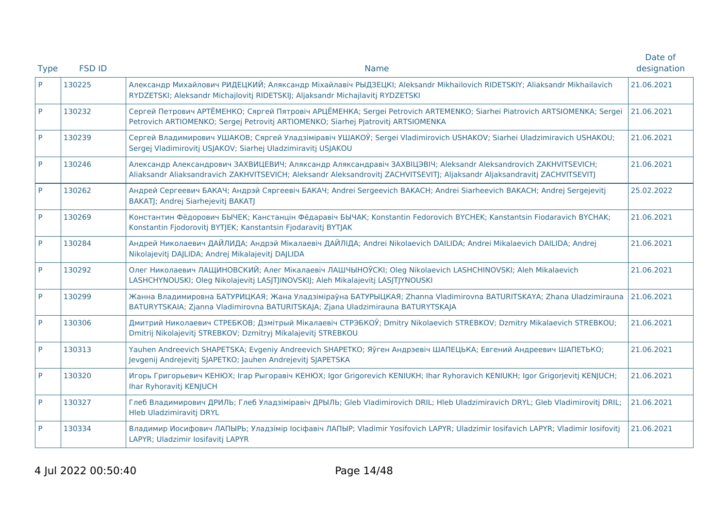| <b>Type</b> | <b>FSD ID</b> | <b>Name</b>                                                                                                                                                                                                                                   | Date of<br>designation |
|-------------|---------------|-----------------------------------------------------------------------------------------------------------------------------------------------------------------------------------------------------------------------------------------------|------------------------|
| <b>P</b>    | 130225        | Александр Михайлович РИДЕЦКИЙ; Аляксандр Міхайлавіч РЫДЗЕЦКІ; Aleksandr Mikhailovich RIDETSKIY; Aliaksandr Mikhailavich<br>RYDZETSKI; Aleksandr Michajlovitj RIDETSKIJ; Aljaksandr Michajlavitj RYDZETSKI                                     | 21.06.2021             |
| P           | 130232        | Сергей Петрович АРТЁМЕНКО; Сяргей Пятровіч АРЦЁМЕНКА; Sergei Petrovich ARTEMENKO; Siarhei Piatrovich ARTSIOMENKA; Sergei<br>Petrovich ARTIOMENKO; Sergej Petrovitj ARTIOMENKO; Siarhej Pjatrovitj ARTSIOMENKA                                 | 21.06.2021             |
| P           | 130239        | Сергей Владимирович УШАКОВ; Сяргей Уладзіміравіч УШАКОЎ; Sergei Vladimirovich USHAKOV; Siarhei Uladzimiravich USHAKOU;<br>Sergej Vladimirovitj USJAKOV; Siarhej Uladzimiravitj USJAKOU                                                        | 21.06.2021             |
| P           | 130246        | Александр Александрович ЗАХВИЦЕВИЧ; Аляксандр Аляксандравіч ЗАХВІЦЭВІЧ; Aleksandr Aleksandrovich ZAKHVITSEVICH;<br>Aliaksandr Aliaksandravich ZAKHVITSEVICH; Aleksandr Aleksandrovitj ZACHVITSEVITJ; Aljaksandr Aljaksandravitj ZACHVITSEVITJ | 21.06.2021             |
| P           | 130262        | Андрей Сергеевич БАКАЧ; Андрэй Сяргеевіч БАКАЧ; Andrei Sergeevich BAKACH; Andrei Siarheevich BAKACH; Andrej Sergejevitj<br>BAKATJ; Andrej Siarhejevitj BAKATJ                                                                                 | 25.02.2022             |
| P           | 130269        | Константин Фёдорович БЫЧЕК; Канстанцін Фёдаравіч БЫЧАК; Konstantin Fedorovich BYCHEK; Kanstantsin Fiodaravich BYCHAK;<br>Konstantin Fjodorovitj BYTJEK; Kanstantsin Fjodaravitj BYTJAK                                                        | 21.06.2021             |
| P           | 130284        | Андрей Николаевич ДАЙЛИДА; Андрэй Мікалаевіч ДАЙЛІДА; Andrei Nikolaevich DAILIDA; Andrei Mikalaevich DAILIDA; Andrej<br>Nikolajevitj DAJLIDA; Andrej Mikalajevitj DAJLIDA                                                                     | 21.06.2021             |
| P           | 130292        | Олег Николаевич ЛАЩИНОВСКИЙ; Алег Мікалаевіч ЛАШЧЫНОЎСКІ; Oleg Nikolaevich LASHCHINOVSKI; Aleh Mikalaevich<br>LASHCHYNOUSKI; Oleg Nikolajevitj LASJTJINOVSKIJ; Aleh Mikalajevitj LASJTJYNOUSKI                                                | 21.06.2021             |
| P           | 130299        | Жанна Владимировна БАТУРИЦКАЯ; Жана Уладзіміраўна БАТУРЫЦКАЯ; Zhanna Vladimirovna BATURITSKAYA; Zhana Uladzimirauna<br>BATURYTSKAIA; Zjanna Vladimirovna BATURITSKAJA; Zjana Uladzimirauna BATURYTSKAJA                                       | 21.06.2021             |
| P           | 130306        | Дмитрий Николаевич СТРЕБКОВ; Дзмітрый Мікалаевіч СТРЭБКОЎ; Dmitry Nikolaevich STREBKOV; Dzmitry Mikalaevich STREBKOU;<br>Dmitrij Nikolajevitj STREBKOV; Dzmitryj Mikalajevitj STREBKOU                                                        | 21.06.2021             |
| P           | 130313        | Yauhen Andreevich SHAPETSKA; Evgeniy Andreevich SHAPETKO; Яўген Андрэевіч ШАПЕЦЬКА; Евгений Андреевич ШАПЕТЬКО;<br>Jevgenij Andrejevitj SJAPETKO; Jauhen Andrejevitj SJAPETSKA                                                                | 21.06.2021             |
| P           | 130320        | Игорь Григорьевич КЕНЮХ; Irap Рыгоравіч КЕНЮХ; Igor Grigorevich KENIUKH; Ihar Ryhoravich KENIUKH; Igor Grigorjevitj KENJUCH;<br>Ihar Ryhoravitj KENJUCH                                                                                       | 21.06.2021             |
| P           | 130327        | Глеб Владимирович ДРИЛЬ; Глеб Уладзіміравіч ДРЫЛЬ; Gleb Vladimirovich DRIL; Hleb Uladzimiravich DRYL; Gleb Vladimirovitj DRIL;<br>Hleb Uladzimiravitj DRYL                                                                                    | 21.06.2021             |
| P           | 130334        | Владимир Иосифович ЛАПЫРЬ; Уладзімір Іосіфавіч ЛАПЫР; Vladimir Yosifovich LAPYR; Uladzimir Iosifavich LAPYR; Vladimir Iosifovitj<br>LAPYR; Uladzimir Iosifavitj LAPYR                                                                         | 21.06.2021             |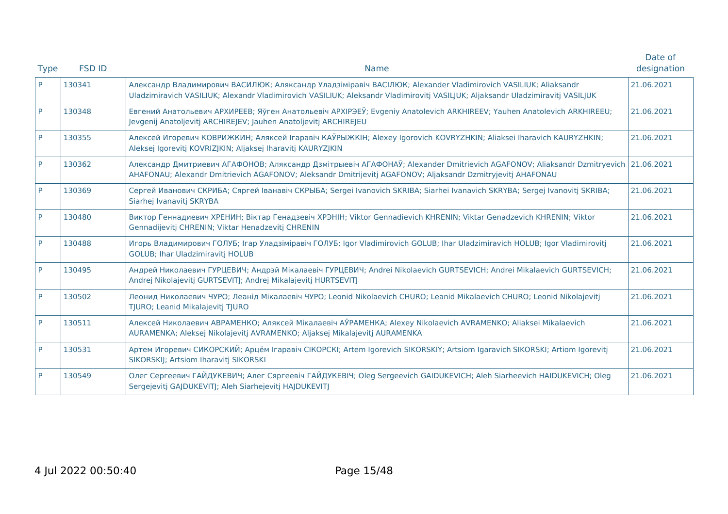| <b>Type</b> | <b>FSD ID</b> | <b>Name</b>                                                                                                                                                                                                                                     | Date of<br>designation |
|-------------|---------------|-------------------------------------------------------------------------------------------------------------------------------------------------------------------------------------------------------------------------------------------------|------------------------|
| <b>P</b>    | 130341        | Александр Владимирович ВАСИЛЮК; Аляксандр Уладзіміравіч ВАСІЛЮК; Alexander Vladimirovich VASILIUK; Aliaksandr<br>Uladzimiravich VASILIUK; Alexandr Vladimirovich VASILIUK; Aleksandr Vladimirovitj VASILJUK; Aljaksandr Uladzimiravitj VASILJUK | 21.06.2021             |
| P           | 130348        | Евгений Анатольевич АРХИРЕЕВ; Яўген Анатольевіч АРХІРЭЕЎ; Evgeniy Anatolevich ARKHIREEV; Yauhen Anatolevich ARKHIREEU;<br>Jevgenij Anatoljevitj ARCHIREJEV; Jauhen Anatoljevitj ARCHIREJEU                                                      | 21.06.2021             |
| P           | 130355        | Алексей Игоревич КОВРИЖКИН; Аляксей Ігаравіч КАЎРЫЖКІН; Alexey Igorovich KOVRYZHKIN; Aliaksei Iharavich KAURYZHKIN;<br>Aleksej Igorevitj KOVRIZJKIN; Aljaksej Iharavitj KAURYZJKIN                                                              | 21.06.2021             |
| P           | 130362        | Александр Дмитриевич АГАФОНОВ; Аляксандр Дзмітрыевіч АГАФОНАЎ; Alexander Dmitrievich AGAFONOV; Aliaksandr Dzmitryevich<br>AHAFONAU; Alexandr Dmitrievich AGAFONOV; Aleksandr Dmitrijevitj AGAFONOV; Aljaksandr Dzmitryjevitj AHAFONAU           | 21.06.2021             |
| P           | 130369        | Сергей Иванович СКРИБА; Сяргей Іванавіч СКРЫБА; Sergei Ivanovich SKRIBA; Siarhei Ivanavich SKRYBA; Sergej Ivanovitj SKRIBA;<br>Siarhej Ivanavitj SKRYBA                                                                                         | 21.06.2021             |
| <b>P</b>    | 130480        | Виктор Геннадиевич ХРЕНИН; Віктар Генадзевіч ХРЭНІН; Viktor Gennadievich KHRENIN; Viktar Genadzevich KHRENIN; Viktor<br>Gennadijevitj CHRENIN; Viktar Henadzevitj CHRENIN                                                                       | 21.06.2021             |
| P           | 130488        | Игорь Владимирович ГОЛУБ; Irap Уладзіміравіч ГОЛУБ; Igor Vladimirovich GOLUB; Ihar Uladzimiravich HOLUB; Igor Vladimirovitj<br><b>GOLUB</b> ; Ihar Uladzimiravitj HOLUB                                                                         | 21.06.2021             |
| P           | 130495        | Андрей Николаевич ГУРЦЕВИЧ; Андрэй Мікалаевіч ГУРЦЕВИЧ; Andrei Nikolaevich GURTSEVICH; Andrei Mikalaevich GURTSEVICH;<br>Andrej Nikolajevitj GURTSEVITJ; Andrej Mikalajevitj HURTSEVITJ                                                         | 21.06.2021             |
| P           | 130502        | Леонид Николаевич ЧУРО; Леанід Мікалаевіч ЧУРО; Leonid Nikolaevich CHURO; Leanid Mikalaevich CHURO; Leonid Nikolajevitj<br>TJURO; Leanid Mikalajevitj TJURO                                                                                     | 21.06.2021             |
| P           | 130511        | Алексей Николаевич АВРАМЕНКО; Аляксей Мікалаевіч АЎРАМЕНКА; Alexey Nikolaevich AVRAMENKO; Aliaksei Mikalaevich<br>AURAMENKA; Aleksej Nikolajevitj AVRAMENKO; Aljaksej Mikalajevitj AURAMENKA                                                    | 21.06.2021             |
| P           | 130531        | Артем Игоревич СИКОРСКИЙ; Арцём Ігаравіч СІКОРСКІ; Artem Igorevich SIKORSKIY; Artsiom Igaravich SIKORSKI; Artiom Igorevitj<br>SIKORSKIJ; Artsiom Iharavitj SIKORSKI                                                                             | 21.06.2021             |
| P           | 130549        | Олег Сергеевич ГАЙДУКЕВИЧ; Алег Сяргеевіч ГАЙДУКЕВІЧ; Oleg Sergeevich GAIDUKEVICH; Aleh Siarheevich HAIDUKEVICH; Oleg<br>Sergejevitj GAJDUKEVITJ; Aleh Siarhejevitj HAJDUKEVITJ                                                                 | 21.06.2021             |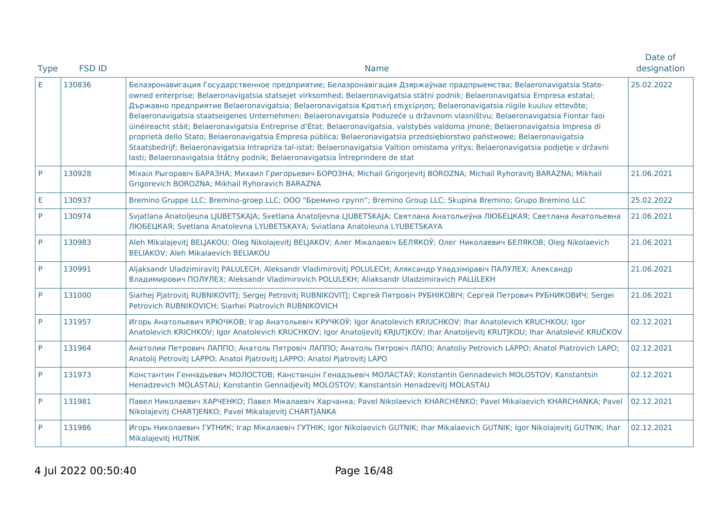| <b>Type</b> | <b>FSD ID</b> | <b>Name</b>                                                                                                                                                                                                                                                                                                                                                                                                                                                                                                                                                                                                                                                                                                                                                                                                                                                                                                                                                                                                   | Date of<br>designation |
|-------------|---------------|---------------------------------------------------------------------------------------------------------------------------------------------------------------------------------------------------------------------------------------------------------------------------------------------------------------------------------------------------------------------------------------------------------------------------------------------------------------------------------------------------------------------------------------------------------------------------------------------------------------------------------------------------------------------------------------------------------------------------------------------------------------------------------------------------------------------------------------------------------------------------------------------------------------------------------------------------------------------------------------------------------------|------------------------|
| E.          | 130836        | Белаэронавигация Государственное предприятие; Белаэронавігация Дзяржаўнае прадпрыемства; Belaeronavigatsia State-<br>owned enterprise; Belaeronavigatsia statsejet virksomhed; Belaeronavigatsia státní podnik; Belaeronavigatsia Empresa estatal;<br>Държавно предприятие Belaeronavigatsia; Belaeronavigatsia Κρατική επιχείρηση; Belaeronavigatsia riigile kuuluv ettevõte;<br>Belaeronavigatsia staatseigenes Unternehmen; Belaeronavigatsia Poduzeće u državnom vlasništvu; Belaeronavigatsia Fiontar faoi<br>úinéireacht stáit; Belaeronavigatsia Entreprise d'État; Belaeronavigatsia, valstybės valdoma įmonė; Belaeronavigatsia Impresa di<br>proprietà dello Stato; Belaeronavigatsia Empresa pública; Belaeronavigatsia przedsiębiorstwo państwowe; Belaeronavigatsia<br>Staatsbedrijf; Belaeronavigatsia Intrapriża tal-istat; Belaeronavigatsia Valtion omistama yritys; Belaeronavigatsia podjetje v državni<br>lasti; Belaeronavigatsia štátny podnik; Belaeronavigatsia Întreprindere de stat | 25.02.2022             |
| P           | 130928        | Міхаіл Рыгоравіч БАРАЗНА; Михаил Григорьевич БОРОЗНА; Michail Grigorjevitj BOROZNA; Michail Ryhoravitj BARAZNA; Mikhail<br>Grigorevich BOROZNA; Mikhail Ryhoravich BARAZNA                                                                                                                                                                                                                                                                                                                                                                                                                                                                                                                                                                                                                                                                                                                                                                                                                                    | 21.06.2021             |
| E.          | 130937        | Bremino Gruppe LLC; Bremino-groep LLC; ООО "Бремино групп"; Bremino Group LLC; Skupina Bremino; Grupo Bremino LLC                                                                                                                                                                                                                                                                                                                                                                                                                                                                                                                                                                                                                                                                                                                                                                                                                                                                                             | 25.02.2022             |
| P           | 130974        | Svjatlana Anatoljeuna LJUBETSKAJA; Svetlana Anatoljevna LJUBETSKAJA; Святлана Анатольеўна ЛЮБЕЦКАЯ; Светлана Анатольевна<br>ЛЮБЕЦКАЯ; Svetlana Anatolevna LYUBETSKAYA; Sviatlana Anatoleuna LYUBETSKAYA                                                                                                                                                                                                                                                                                                                                                                                                                                                                                                                                                                                                                                                                                                                                                                                                       | 21.06.2021             |
| P           | 130983        | Aleh Mikalajevitj BELJAKOU; Oleg Nikolajevitj BELJAKOV; Алег Мікалаевіч БЕЛЯКОЎ; Олег Николаевич БЕЛЯКОВ; Oleg Nikolaevich<br>BELIAKOV; Aleh Mikalaevich BELIAKOU                                                                                                                                                                                                                                                                                                                                                                                                                                                                                                                                                                                                                                                                                                                                                                                                                                             | 21.06.2021             |
| P.          | 130991        | Aljaksandr Uladzimiravitj PALULECH; Aleksandr Vladimirovitj POLULECH; Аляксандр Уладзіміравіч ПАЛУЛЕХ; Александр<br>Владимирович ПОЛУЛЕХ; Aleksandr Vladimirovich POLULEKH; Aliaksandr Uladzimiravich PALULEKH                                                                                                                                                                                                                                                                                                                                                                                                                                                                                                                                                                                                                                                                                                                                                                                                | 21.06.2021             |
| P           | 131000        | Siarhej Pjatrovitj RUBNIKOVITJ; Sergej Petrovitj RUBNIKOVITJ; Сяргей Пятровіч РУБНІКОВІЧ; Сергей Петрович РУБНИКОВИЧ; Sergei<br>Petrovich RUBNIKOVICH; Siarhei Piatrovich RUBNIKOVICH                                                                                                                                                                                                                                                                                                                                                                                                                                                                                                                                                                                                                                                                                                                                                                                                                         | 21.06.2021             |
| P           | 131957        | Игорь Анатольевич КРЮЧКОВ; Ігар Анатольевіч КРУЧКОЎ; Igor Anatolevich KRIUCHKOV; Ihar Anatolevich KRUCHKOU; Igor<br>Anatolevich KRICHKOV; Igor Anatolevich KRUCHKOV; Igor Anatoljevitj KRJUTJKOV; Ihar Anatoljevitj KRUTJKOU; Ihar Anatolevič KRUČKOV                                                                                                                                                                                                                                                                                                                                                                                                                                                                                                                                                                                                                                                                                                                                                         | 02.12.2021             |
| P.          | 131964        | Анатолии Петрович ЛАППО; Анатоль Пятровіч ЛАППО; Анатоль Пятровіч ЛАПО; Anatoliy Petrovich LAPPO; Anatol Piatrovich LAPO;<br>Anatolij Petrovitj LAPPO; Anatol Pjatrovitj LAPPO; Anatol Pjatrovitj LAPO                                                                                                                                                                                                                                                                                                                                                                                                                                                                                                                                                                                                                                                                                                                                                                                                        | 02.12.2021             |
| P.          | 131973        | Константин Геннадьевич МОЛОСТОВ; Канстанцін Генадзьевіч МОЛАСТАЎ; Konstantin Gennadevich MOLOSTOV; Kanstantsin<br>Henadzevich MOLASTAU; Konstantin Gennadjevitj MOLOSTOV; Kanstantsin Henadzevitj MOLASTAU                                                                                                                                                                                                                                                                                                                                                                                                                                                                                                                                                                                                                                                                                                                                                                                                    | 02.12.2021             |
| P.          | 131981        | Павел Николаевич ХАРЧЕНКО; Павел Мікалаевіч Харчанка; Pavel Nikolaevich KHARCHENKO; Pavel Mikalaevich KHARCHANKA; Pavel<br>Nikolajevitj CHARTJENKO; Pavel Mikalajevitj CHARTJANKA                                                                                                                                                                                                                                                                                                                                                                                                                                                                                                                                                                                                                                                                                                                                                                                                                             | 02.12.2021             |
| P.          | 131986        | Игорь Николаевич ГУТНИК; Irap Мікалаевіч ГУТНІК; Igor Nikolaevich GUTNIK; Ihar Mikalaevich GUTNIK; Igor Nikolajevitj GUTNIK; Ihar<br>Mikalajevitj HUTNIK                                                                                                                                                                                                                                                                                                                                                                                                                                                                                                                                                                                                                                                                                                                                                                                                                                                      | 02.12.2021             |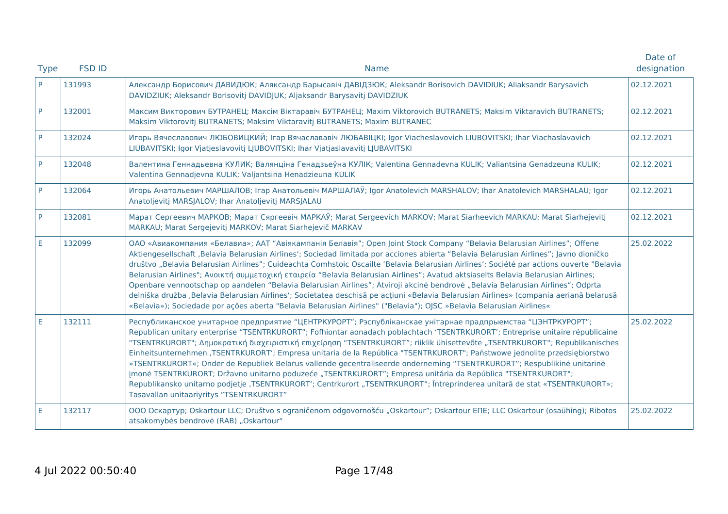|             |               |                                                                                                                                                                                                                                                                                                                                                                                                                                                                                                                                                                                                                                                                                                                                                                                                                                                                                                                                                                      | Date of     |
|-------------|---------------|----------------------------------------------------------------------------------------------------------------------------------------------------------------------------------------------------------------------------------------------------------------------------------------------------------------------------------------------------------------------------------------------------------------------------------------------------------------------------------------------------------------------------------------------------------------------------------------------------------------------------------------------------------------------------------------------------------------------------------------------------------------------------------------------------------------------------------------------------------------------------------------------------------------------------------------------------------------------|-------------|
| <b>Type</b> | <b>FSD ID</b> | <b>Name</b>                                                                                                                                                                                                                                                                                                                                                                                                                                                                                                                                                                                                                                                                                                                                                                                                                                                                                                                                                          | designation |
| P           | 131993        | Александр Борисович ДАВИДЮК; Аляксандр Барысавіч ДАВІДЗЮК; Aleksandr Borisovich DAVIDIUK; Aliaksandr Barysavich<br>DAVIDZIUK; Aleksandr Borisovitj DAVIDJUK; Aljaksandr Barysavitj DAVIDZIUK                                                                                                                                                                                                                                                                                                                                                                                                                                                                                                                                                                                                                                                                                                                                                                         | 02.12.2021  |
| P           | 132001        | Максим Викторович БУТРАНЕЦ; Максім Віктаравіч БУТРАНЕЦ; Maxim Viktorovich BUTRANETS; Maksim Viktaravich BUTRANETS;<br>Maksim Viktorovitj BUTRANETS; Maksim Viktaravitj BUTRANETS; Maxim BUTRANEC                                                                                                                                                                                                                                                                                                                                                                                                                                                                                                                                                                                                                                                                                                                                                                     | 02.12.2021  |
| P           | 132024        | Игорь Вячеславович ЛЮБОВИЦКИЙ; Ігар Вячаслававіч ЛЮБАВІЦКІ; Igor Viacheslavovich LIUBOVITSKI; Ihar Viachaslavavich<br>LIUBAVITSKI; Igor Vjatjeslavovitj LJUBOVITSKI; Ihar Vjatjaslavavitj LJUBAVITSKI                                                                                                                                                                                                                                                                                                                                                                                                                                                                                                                                                                                                                                                                                                                                                                | 02.12.2021  |
| P           | 132048        | Валентина Геннадьевна КУЛИК; Валянціна Генадзьеўна КУЛІК; Valentina Gennadevna KULIK; Valiantsina Genadzeuna KULIK;<br>Valentina Gennadjevna KULIK; Valjantsina Henadzieuna KULIK                                                                                                                                                                                                                                                                                                                                                                                                                                                                                                                                                                                                                                                                                                                                                                                    | 02.12.2021  |
| P           | 132064        | Игорь Анатольевич МАРШАЛОВ; Ігар Анатольевіч МАРШАЛАЎ; Igor Anatolevich MARSHALOV; Ihar Anatolevich MARSHALAU; Igor<br>Anatoljevitj MARSJALOV; Ihar Anatoljevitj MARSJALAU                                                                                                                                                                                                                                                                                                                                                                                                                                                                                                                                                                                                                                                                                                                                                                                           | 02.12.2021  |
| P           | 132081        | Марат Сергеевич МАРКОВ; Марат Сяргеевіч МАРКАЎ; Marat Sergeevich MARKOV; Marat Siarheevich MARKAU; Marat Siarhejevitj<br>MARKAU; Marat Sergejevitj MARKOV; Marat Siarhejevič MARKAV                                                                                                                                                                                                                                                                                                                                                                                                                                                                                                                                                                                                                                                                                                                                                                                  | 02.12.2021  |
| E           | 132099        | ОАО «Авиакомпания «Белавиа»; ААТ "Авіякампанія Белавія"; Open Joint Stock Company "Belavia Belarusian Airlines"; Offene<br>Aktiengesellschaft ,Belavia Belarusian Airlines'; Sociedad limitada por acciones abierta "Belavia Belarusian Airlines"; Javno dioničko<br>društvo "Belavia Belarusian Airlines"; Cuideachta Comhstoic Oscailte 'Belavia Belarusian Airlines'; Société par actions ouverte "Belavia<br>Belarusian Airlines"; Ανοικτή συμμετοχική εταιρεία "Belavia Belarusian Airlines"; Avatud aktsiaselts Belavia Belarusian Airlines;<br>Openbare vennootschap op aandelen "Belavia Belarusian Airlines"; Atviroji akcinė bendrovė "Belavia Belarusian Airlines"; Odprta<br>delniška družba ,Belavia Belarusian Airlines <sup>*</sup> ; Societatea deschisă pe acțiuni «Belavia Belarusian Airlines» (compania aeriană belarusă<br>«Belavia»); Sociedade por ações aberta "Belavia Belarusian Airlines" ("Belavia"); OJSC »Belavia Belarusian Airlines« | 25.02.2022  |
| E           | 132111        | Республиканское унитарное предприятие "ЦЕНТРКУРОРТ"; Рэспубліканскае унітарнае прадпрыемства "ЦЭНТРКУРОРТ";<br>Republican unitary enterprise "TSENTRKURORT"; Fofhiontar aonadach poblachtach 'TSENTRKURORT'; Entreprise unitaire républicaine<br>"TSENTRKURORT"; Δημοκρατική διαχειριστική επιχείρηση "TSENTRKURORT"; riiklik ühisettevõte "TSENTRKURORT"; Republikanisches<br>Einheitsunternehmen ,TSENTRKURORT'; Empresa unitaria de la República "TSENTRKURORT"; Państwowe jednolite przedsiębiorstwo<br>»TSENTRKURORT«; Onder de Republiek Belarus vallende gecentraliseerde onderneming "TSENTRKURORT"; Respublikinė unitarinė<br>jmonė TSENTRKURORT; Državno unitarno poduzeće "TSENTRKURORT"; Empresa unitária da República "TSENTRKURORT";<br>Republikansko unitarno podjetje ,TSENTRKURORT'; Centrkurort "TSENTRKURORT"; Întreprinderea unitară de stat «TSENTRKURORT»;<br>Tasavallan unitaariyritys "TSENTRKURORT"                                         | 25.02.2022  |
| E           | 132117        | ООО Оскартур; Oskartour LLC; Društvo s ograničenom odgovornošću "Oskartour"; Oskartour EПЕ; LLC Oskartour (osaühing); Ribotos<br>atsakomybės bendrovė (RAB) "Oskartour"                                                                                                                                                                                                                                                                                                                                                                                                                                                                                                                                                                                                                                                                                                                                                                                              | 25.02.2022  |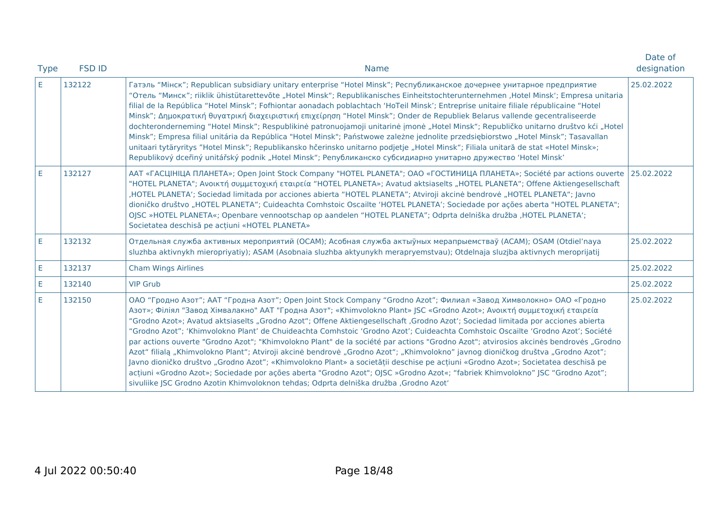| <b>Type</b> | <b>FSD ID</b> | <b>Name</b>                                                                                                                                                                                                                                                                                                                                                                                                                                                                                                                                                                                                                                                                                                                                                                                                                                                                                                                                                                                                                                                                                                                                                      | Date of<br>designation |
|-------------|---------------|------------------------------------------------------------------------------------------------------------------------------------------------------------------------------------------------------------------------------------------------------------------------------------------------------------------------------------------------------------------------------------------------------------------------------------------------------------------------------------------------------------------------------------------------------------------------------------------------------------------------------------------------------------------------------------------------------------------------------------------------------------------------------------------------------------------------------------------------------------------------------------------------------------------------------------------------------------------------------------------------------------------------------------------------------------------------------------------------------------------------------------------------------------------|------------------------|
| F.          | 132122        | Гатэль "Мінск"; Republican subsidiary unitary enterprise "Hotel Minsk"; Республиканское дочернее унитарное предприятие<br>"Отель "Минск"; riiklik ühistütarettevõte "Hotel Minsk"; Republikanisches Einheitstochterunternehmen ,Hotel Minsk'; Empresa unitaria<br>filial de la República "Hotel Minsk"; Fofhiontar aonadach poblachtach 'HoTeil Minsk'; Entreprise unitaire filiale républicaine "Hotel<br>Minsk"; Δημοκρατική θυγατρική διαχειριστική επιχείρηση "Hotel Minsk"; Onder de Republiek Belarus vallende gecentraliseerde<br>dochteronderneming "Hotel Minsk"; Respublikinė patronuojamoji unitarinė įmonė "Hotel Minsk"; Republičko unitarno društvo kći "Hotel<br>Minsk"; Empresa filial unitária da República "Hotel Minsk"; Państwowe zależne jednolite przedsiębiorstwo "Hotel Minsk"; Tasavallan<br>unitaari tytäryritys "Hotel Minsk"; Republikansko hčerinsko unitarno podjetje "Hotel Minsk"; Filiala unitară de stat «Hotel Minsk»;<br>Republikový dceřiný unitářský podnik "Hotel Minsk"; Републиканско субсидиарно унитарно дружество 'Hotel Minsk'                                                                                      | 25.02.2022             |
| E           | 132127        | ААТ «ГАСЦІНІЦА ПЛАНЕТА»; Open Joint Stock Company "HOTEL PLANETA"; ОАО «ГОСТИНИЦА ПЛАНЕТА»; Société par actions ouverte   25.02.2022<br>"HOTEL PLANETA"; Ανοικτή συμμετοχική εταιρεία "HOTEL PLANETA»; Avatud aktsiaselts "HOTEL PLANETA"; Offene Aktiengesellschaft<br>HOTEL PLANETA'; Sociedad limitada por acciones abierta "HOTEL PLANETA"; Atviroji akcinė bendrovė "HOTEL PLANETA"; Javno<br>dioničko društvo "HOTEL PLANETA"; Cuideachta Comhstoic Oscailte 'HOTEL PLANETA'; Sociedade por ações aberta "HOTEL PLANETA";<br>OJSC »HOTEL PLANETA«; Openbare vennootschap op aandelen "HOTEL PLANETA"; Odprta delniška družba ,HOTEL PLANETA';<br>Societatea deschisă pe actiuni «HOTEL PLANETA»                                                                                                                                                                                                                                                                                                                                                                                                                                                            |                        |
| E           | 132132        | Отдельная служба активных мероприятий (ОСАМ); Асобная служба актыўных мерапрыемстваў (АСАМ); OSAM (Otdiel'naya<br>sluzhba aktivnykh mieropriyatiy); ASAM (Asobnaia sluzhba aktyunykh merapryemstvau); Otdelnaja sluzjba aktivnych meroprijatij                                                                                                                                                                                                                                                                                                                                                                                                                                                                                                                                                                                                                                                                                                                                                                                                                                                                                                                   | 25.02.2022             |
| Ε           | 132137        | <b>Cham Wings Airlines</b>                                                                                                                                                                                                                                                                                                                                                                                                                                                                                                                                                                                                                                                                                                                                                                                                                                                                                                                                                                                                                                                                                                                                       | 25.02.2022             |
| E           | 132140        | <b>VIP Grub</b>                                                                                                                                                                                                                                                                                                                                                                                                                                                                                                                                                                                                                                                                                                                                                                                                                                                                                                                                                                                                                                                                                                                                                  | 25.02.2022             |
| E           | 132150        | ОАО "Гродно Азот"; ААТ "Гродна Азот"; Open Joint Stock Company "Grodno Azot"; Филиал «Завод Химволокно» ОАО «Гродно<br>Азот»; Філіял "Завод Хімвалакно" ААТ "Гродна Азот"; «Khimvolokno Plant» JSC «Grodno Azot»; Ανοικτή συμμετοχική εταιρεία<br>"Grodno Azot»; Avatud aktsiaselts "Grodno Azot"; Offene Aktiengesellschaft "Grodno Azot"; Sociedad limitada por acciones abierta<br>"Grodno Azot"; 'Khimvolokno Plant' de Chuideachta Comhstoic 'Grodno Azot'; Cuideachta Comhstoic Oscailte 'Grodno Azot'; Société<br>par actions ouverte "Grodno Azot"; "Khimvolokno Plant" de la société par actions "Grodno Azot"; atvirosios akcinės bendrovės "Grodno<br>Azot" filialą "Khimvolokno Plant"; Atviroji akcinė bendrovė "Grodno Azot"; "Khimvolokno" javnog dioničkog društva "Grodno Azot";<br>Javno dioničko društvo "Grodno Azot"; «Khimvolokno Plant» a societății deschise pe acțiuni «Grodno Azot»; Societatea deschisă pe<br>acțiuni «Grodno Azot»; Sociedade por ações aberta "Grodno Azot"; OJSC »Grodno Azot«; "fabriek Khimvolokno" JSC "Grodno Azot";<br>sivuliike JSC Grodno Azotin Khimvoloknon tehdas; Odprta delniška družba , Grodno Azot' | 25.02.2022             |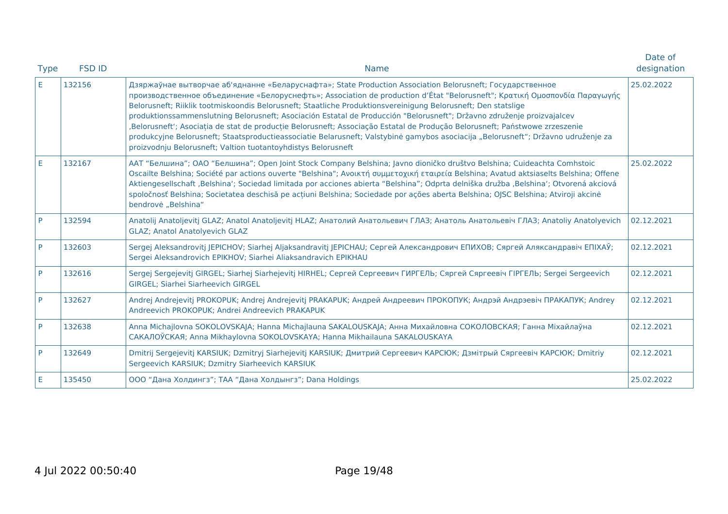| <b>Type</b> | <b>FSD ID</b> | <b>Name</b>                                                                                                                                                                                                                                                                                                                                                                                                                                                                                                                                                                                                                                                                                                                                                                                                           | Date of<br>designation |
|-------------|---------------|-----------------------------------------------------------------------------------------------------------------------------------------------------------------------------------------------------------------------------------------------------------------------------------------------------------------------------------------------------------------------------------------------------------------------------------------------------------------------------------------------------------------------------------------------------------------------------------------------------------------------------------------------------------------------------------------------------------------------------------------------------------------------------------------------------------------------|------------------------|
| E           | 132156        | Дзяржаўнае вытворчае аб'яднанне «Беларуснафта»; State Production Association Belorusneft; Государственное<br>προизводственное объединение «Белоруснефть»; Association de production d'État "Belorusneft"; Κρατική Ομοσπονδία Παραγωγής<br>Belorusneft; Riiklik tootmiskoondis Belorusneft; Staatliche Produktionsvereinigung Belorusneft; Den statslige<br>produktionssammenslutning Belorusneft; Asociación Estatal de Producción "Belorusneft"; Državno združenje proizvajalcev<br>Belorusneft'; Asociația de stat de producție Belorusneft; Associação Estatal de Produção Belorusneft; Państwowe zrzeszenie<br>produkcyjne Belorusneft; Staatsproductieassociatie Belarusneft; Valstybinė gamybos asociacija "Belorusneft"; Državno udruženje za<br>proizvodnju Belorusneft; Valtion tuotantoyhdistys Belorusneft | 25.02.2022             |
| E           | 132167        | ААТ "Белшина"; ОАО "Белшина"; Open Joint Stock Company Belshina; Javno dioničko društvo Belshina; Cuideachta Comhstoic<br>Oscailte Belshina; Société par actions ouverte "Belshina"; Ανοικτή συμμετοχική εταιρεία Belshina; Avatud aktsiaselts Belshina; Offene<br>Aktiengesellschaft ,Belshina'; Sociedad limitada por acciones abierta "Belshina"; Odprta delniška družba ,Belshina'; Otvorená akciová<br>spoločnosť Belshina; Societatea deschisă pe acțiuni Belshina; Sociedade por ações aberta Belshina; OJSC Belshina; Atviroji akcinė<br>bendrovė "Belshina"                                                                                                                                                                                                                                                  | 25.02.2022             |
| P           | 132594        | Anatolij Anatoljevitj GLAZ; Anatol Anatoljevitj HLAZ; Анатолий Анатольевич ГЛАЗ; Анатоль Анатольевіч ГЛАЗ; Anatoliy Anatolyevich<br><b>GLAZ; Anatol Anatolyevich GLAZ</b>                                                                                                                                                                                                                                                                                                                                                                                                                                                                                                                                                                                                                                             | 02.12.2021             |
| P           | 132603        | Sergej Aleksandrovitj JEPICHOV; Siarhej Aljaksandravitj JEPICHAU; Сергей Александрович ЕПИХОВ; Сяргей Аляксандравіч ЕПІХАЎ;<br>Sergei Aleksandrovich EPIKHOV; Siarhei Aliaksandravich EPIKHAU                                                                                                                                                                                                                                                                                                                                                                                                                                                                                                                                                                                                                         | 02.12.2021             |
| P           | 132616        | Sergej Sergejevitj GIRGEL; Siarhej Siarhejevitj HIRHEL; Сергей Сергеевич ГИРГЕЛЬ; Сяргей Сяргеевіч ГІРГЕЛЬ; Sergei Sergeevich<br>GIRGEL; Siarhei Siarheevich GIRGEL                                                                                                                                                                                                                                                                                                                                                                                                                                                                                                                                                                                                                                                   | 02.12.2021             |
| P           | 132627        | Andrej Andrejevitj PROKOPUK; Andrej Andrejevitj PRAKAPUK; Андрей Андреевич ПРОКОПУК; Андрэй Андрэевіч ПРАКАПУК; Andrey<br>Andreevich PROKOPUK; Andrei Andreevich PRAKAPUK                                                                                                                                                                                                                                                                                                                                                                                                                                                                                                                                                                                                                                             | 02.12.2021             |
| P           | 132638        | Anna Michajlovna SOKOLOVSKAJA; Hanna Michajlauna SAKALOUSKAJA; Анна Михайловна СОКОЛОВСКАЯ; Ганна Міхайлаўна<br>CAKAJIOЎCKAЯ; Anna Mikhaylovna SOKOLOVSKAYA; Hanna Mikhailauna SAKALOUSKAYA                                                                                                                                                                                                                                                                                                                                                                                                                                                                                                                                                                                                                           | 02.12.2021             |
| P           | 132649        | Dmitrij Sergejevitj KARSIUK; Dzmitryj Siarhejevitj KARSIUK; Дмитрий Сергеевич КАРСЮК; Дзмітрый Сяргеевіч КАРСЮК; Dmitriy<br>Sergeevich KARSIUK; Dzmitry Siarheevich KARSIUK                                                                                                                                                                                                                                                                                                                                                                                                                                                                                                                                                                                                                                           | 02.12.2021             |
| Е           | 135450        | ООО "Дана Холдингз"; ТАА "Дана Холдынгз"; Dana Holdings                                                                                                                                                                                                                                                                                                                                                                                                                                                                                                                                                                                                                                                                                                                                                               | 25.02.2022             |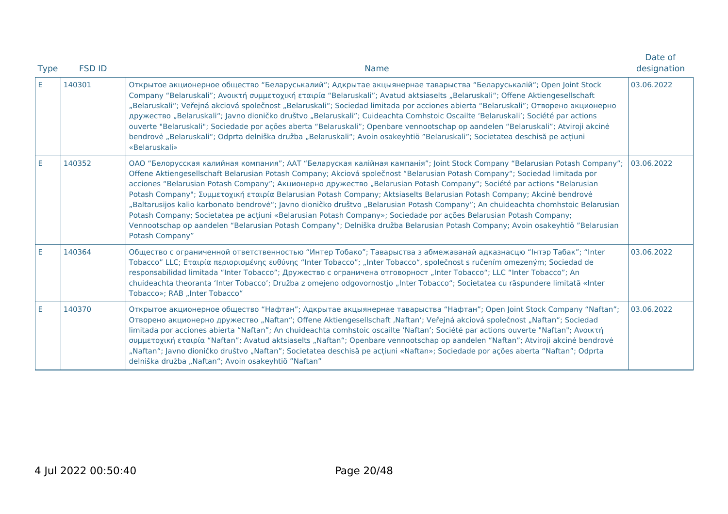| <b>Type</b> | <b>FSD ID</b> | <b>Name</b>                                                                                                                                                                                                                                                                                                                                                                                                                                                                                                                                                                                                                                                                                                                                                                                                                                                                                                                | Date of<br>designation |
|-------------|---------------|----------------------------------------------------------------------------------------------------------------------------------------------------------------------------------------------------------------------------------------------------------------------------------------------------------------------------------------------------------------------------------------------------------------------------------------------------------------------------------------------------------------------------------------------------------------------------------------------------------------------------------------------------------------------------------------------------------------------------------------------------------------------------------------------------------------------------------------------------------------------------------------------------------------------------|------------------------|
| E.          | 140301        | Открытое акционерное общество "Беларуськалий"; Адкрытае акцыянернае таварыства "Беларуськалій"; Open Joint Stock<br>Company "Belaruskali"; Ανοικτή συμμετοχική εταιρία "Belaruskali"; Avatud aktsiaselts "Belaruskali"; Offene Aktiengesellschaft<br>"Belaruskali"; Veřejná akciová společnost "Belaruskali"; Sociedad limitada por acciones abierta "Belaruskali"; Отворено акционерно<br>дружество "Belaruskali"; Javno dioničko društvo "Belaruskali"; Cuideachta Comhstoic Oscailte 'Belaruskali'; Société par actions<br>ouverte "Belaruskali"; Sociedade por ações aberta "Belaruskali"; Openbare vennootschap op aandelen "Belaruskali"; Atviroji akcinė<br>bendrovė "Belaruskali"; Odprta delniška družba "Belaruskali"; Avoin osakeyhtiö "Belaruskali"; Societatea deschisă pe acțiuni<br>«Belaruskali»                                                                                                           | 03.06.2022             |
| E           | 140352        | ОАО "Белорусская калийная компания"; ААТ "Беларуская калійная кампанія"; Joint Stock Company "Belarusian Potash Company";<br>Offene Aktiengesellschaft Belarusian Potash Company; Akciová společnost "Belarusian Potash Company"; Sociedad limitada por<br>acciones "Belarusian Potash Company"; Акционерно дружество "Belarusian Potash Company"; Société par actions "Belarusian<br>Potash Company"; Συμμετοχική εταιρία Belarusian Potash Company; Aktsiaselts Belarusian Potash Company; Akcinė bendrovė<br>"Baltarusijos kalio karbonato bendrovė"; Javno dioničko društvo "Belarusian Potash Company"; An chuideachta chomhstoic Belarusian<br>Potash Company; Societatea pe acțiuni «Belarusian Potash Company»; Sociedade por ações Belarusian Potash Company;<br>Vennootschap op aandelen "Belarusian Potash Company"; Delniška družba Belarusian Potash Company; Avoin osakeyhtiö "Belarusian<br>Potash Company" | 03.06.2022             |
| E.          | 140364        | Общество с ограниченной ответственностью "Интер Тобако"; Таварыства з абмежаванай адказнасцю "Інтэр Табак"; "Inter<br>Tobacco" LLC; Εταιρία περιορισμένης ευθύνης "Inter Tobacco"; "Inter Tobacco", společnost s ručením omezeným; Sociedad de<br>responsabilidad limitada "Inter Tobacco"; Дружество с ограничена отговорност "Inter Tobacco"; LLC "Inter Tobacco"; An<br>chuideachta theoranta 'Inter Tobacco'; Družba z omejeno odgovornostjo "Inter Tobacco"; Societatea cu răspundere limitată «Inter<br>Tobacco»; RAB "Inter Tobacco"                                                                                                                                                                                                                                                                                                                                                                                | 03.06.2022             |
| E           | 140370        | Открытое акционерное общество "Нафтан"; Адкрытае акцыянернае таварыства "Нафтан"; Open Joint Stock Company "Naftan";<br>Отворено акционерно дружество "Naftan"; Offene Aktiengesellschaft ,Naftan"; Veřejná akciová společnost "Naftan"; Sociedad<br>limitada por acciones abierta "Naftan"; An chuideachta comhstoic oscailte 'Naftan'; Société par actions ouverte "Naftan"; Aνοικτή<br>συμμετοχική εταιρία "Naftan"; Avatud aktsiaselts "Naftan"; Openbare vennootschap op aandelen "Naftan"; Atviroji akcinė bendrovė<br>"Naftan"; Javno dioničko društvo "Naftan"; Societatea deschisă pe acțiuni «Naftan»; Sociedade por ações aberta "Naftan"; Odprta<br>delniška družba "Naftan"; Avoin osakeyhtiö "Naftan"                                                                                                                                                                                                        | 03.06.2022             |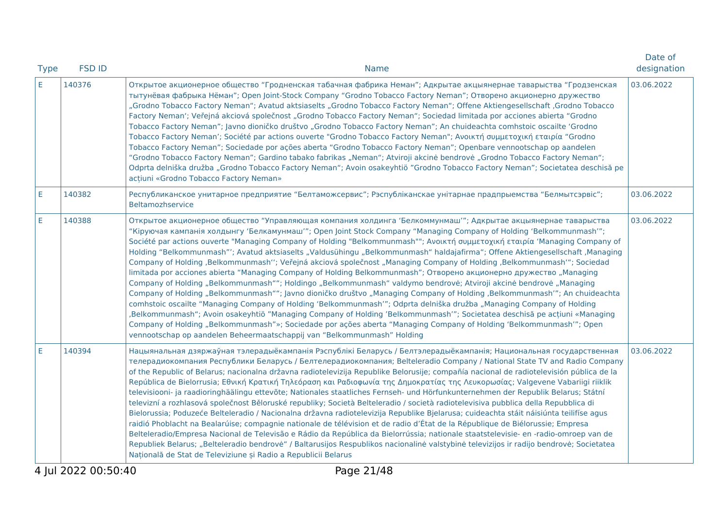| <b>Type</b> | <b>FSD ID</b> | <b>Name</b>                                                                                                                                                                                                                                                                                                                                                                                                                                                                                                                                                                                                                                                                                                                                                                                                                                                                                                                                                                                                                                                                                                                                                                                                                                                                                                                                                                                                                                                    | Date of<br>designation |
|-------------|---------------|----------------------------------------------------------------------------------------------------------------------------------------------------------------------------------------------------------------------------------------------------------------------------------------------------------------------------------------------------------------------------------------------------------------------------------------------------------------------------------------------------------------------------------------------------------------------------------------------------------------------------------------------------------------------------------------------------------------------------------------------------------------------------------------------------------------------------------------------------------------------------------------------------------------------------------------------------------------------------------------------------------------------------------------------------------------------------------------------------------------------------------------------------------------------------------------------------------------------------------------------------------------------------------------------------------------------------------------------------------------------------------------------------------------------------------------------------------------|------------------------|
| E.          | 140376        | Открытое акционерное общество "Гродненская табачная фабрика Неман"; Адкрытае акцыянернае таварыства "Гродзенская<br>тытунёвая фабрыка Нёман"; Open Joint-Stock Company "Grodno Tobacco Factory Neman"; Отворено акционерно дружество<br>"Grodno Tobacco Factory Neman"; Avatud aktsiaselts "Grodno Tobacco Factory Neman"; Offene Aktiengesellschaft ,Grodno Tobacco<br>Factory Neman'; Veřejná akciová společnost "Grodno Tobacco Factory Neman"; Sociedad limitada por acciones abierta "Grodno<br>Tobacco Factory Neman"; Javno dioničko društvo "Grodno Tobacco Factory Neman"; An chuideachta comhstoic oscailte 'Grodno<br>Tobacco Factory Neman'; Société par actions ouverte "Grodno Tobacco Factory Neman"; Ανοικτή συμμετοχική εταιρία "Grodno<br>Tobacco Factory Neman"; Sociedade por ações aberta "Grodno Tobacco Factory Neman"; Openbare vennootschap op aandelen<br>"Grodno Tobacco Factory Neman"; Gardino tabako fabrikas "Neman"; Atviroji akcinė bendrovė "Grodno Tobacco Factory Neman";<br>Odprta delniška družba "Grodno Tobacco Factory Neman"; Avoin osakeyhtiö "Grodno Tobacco Factory Neman"; Societatea deschisă pe<br>acțiuni «Grodno Tobacco Factory Neman»                                                                                                                                                                                                                                                                      | 03.06.2022             |
| E           | 140382        | Республиканское унитарное предприятие "Белтаможсервис"; Рэспубліканскае унітарнае прадпрыемства "Белмытсэрвіс";<br>Beltamozhservice                                                                                                                                                                                                                                                                                                                                                                                                                                                                                                                                                                                                                                                                                                                                                                                                                                                                                                                                                                                                                                                                                                                                                                                                                                                                                                                            | 03.06.2022             |
| E           | 140388        | Открытое акционерное общество "Управляющая компания холдинга 'Белкоммунмаш'"; Адкрытае акцыянернае таварыства<br>"Кіруючая кампанія холдынгу 'Белкамунмаш'"; Open Joint Stock Company "Managing Company of Holding 'Belkommunmash'";<br>Société par actions ouverte "Managing Company of Holding "Belkommunmash""; Ανοικτή συμμετοχική εταιρία 'Managing Company of<br>Holding "Belkommunmash"'; Avatud aktsiaselts "Valdusühingu "Belkommunmash" haldajafirma"; Offene Aktiengesellschaft ,Managing<br>Company of Holding ,Belkommunmash"; Veřejná akciová společnost "Managing Company of Holding ,Belkommunmash"; Sociedad<br>limitada por acciones abierta "Managing Company of Holding Belkommunmash"; Отворено акционерно дружество "Managing<br>Company of Holding "Belkommunmash""; Holdingo "Belkommunmash" valdymo bendrovė; Atviroji akcinė bendrovė "Managing<br>Company of Holding "Belkommunmash""; Javno dioničko društvo "Managing Company of Holding ,Belkommunmash'"; An chuideachta<br>comhstoic oscailte "Managing Company of Holding 'Belkommunmash'"; Odprta delniška družba "Managing Company of Holding<br>,Belkommunmash"; Avoin osakeyhtiö "Managing Company of Holding 'Belkommunmash'"; Societatea deschisă pe acțiuni «Managing<br>Company of Holding "Belkommunmash"»; Sociedade por ações aberta "Managing Company of Holding 'Belkommunmash'"; Open<br>vennootschap op aandelen Beheermaatschappij van "Belkommunmash" Holding | 03.06.2022             |
| E           | 140394        | Нацыянальная дзяржаўная тэлерадыёкампанія Рэспублікі Беларусь / Белтэлерадыёкампанія; Национальная государственная<br>телерадиокомпания Республики Беларусь / Белтелерадиокомпания; Belteleradio Company / National State TV and Radio Company<br>of the Republic of Belarus; nacionalna državna radiotelevizija Republike Belorusije; compañía nacional de radiotelevisión pública de la<br>República de Bielorrusia; Εθνική Κρατική Τηλεόραση και Ραδιοφωνία της Δημοκρατίας της Λευκορωσίας; Valgevene Vabariigi riiklik<br>televisiooni- ja raadioringhäälingu ettevõte; Nationales staatliches Fernseh- und Hörfunkunternehmen der Republik Belarus; Státní<br>televizní a rozhlasová společnost Běloruské republiky; Società Belteleradio / società radiotelevisiva pubblica della Repubblica di<br>Bielorussia; Poduzeće Belteleradio / Nacionalna državna radiotelevizija Republike Bjelarusa; cuideachta stáit náisiúnta teilifíse agus<br>raidió Phoblacht na Bealarúise; compagnie nationale de télévision et de radio d'État de la République de Biélorussie; Empresa<br>Belteleradio/Empresa Nacional de Televisão e Rádio da República da Bielorrússia; nationale staatstelevisie- en -radio-omroep van de<br>Republiek Belarus; "Belteleradio bendrovė" / Baltarusijos Respublikos nacionalinė valstybinė televizijos ir radijo bendrovė; Societatea<br>Națională de Stat de Televiziune și Radio a Republicii Belarus                          | 03.06.2022             |
|             |               |                                                                                                                                                                                                                                                                                                                                                                                                                                                                                                                                                                                                                                                                                                                                                                                                                                                                                                                                                                                                                                                                                                                                                                                                                                                                                                                                                                                                                                                                |                        |

4 Jul 2022 00:50:40 Page 21/48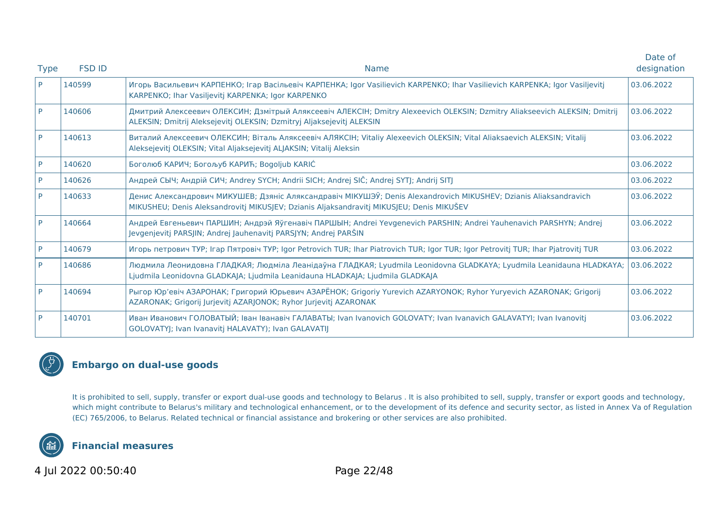|             |               |                                                                                                                                                                                                              | Date of     |
|-------------|---------------|--------------------------------------------------------------------------------------------------------------------------------------------------------------------------------------------------------------|-------------|
| <b>Type</b> | <b>FSD ID</b> | <b>Name</b>                                                                                                                                                                                                  | designation |
| P           | 140599        | Игорь Васильевич КАРПЕНКО; Ігар Васільевіч КАРПЕНКА; Igor Vasilievich KARPENKO; Ihar Vasilievich KARPENKA; Igor Vasiljevitj<br>KARPENKO; Ihar Vasiljevitj KARPENKA; Igor KARPENKO                            | 03.06.2022  |
| P           | 140606        | Дмитрий Алексеевич ОЛЕКСИН; Дзмітрый Аляксеевіч АЛЕКСІН; Dmitry Alexeevich OLEKSIN; Dzmitry Aliakseevich ALEKSIN; Dmitrij<br>ALEKSIN; Dmitrij Aleksejevitj OLEKSIN; Dzmitryj Aljaksejevitj ALEKSIN           | 03.06.2022  |
| P           | 140613        | Виталий Алексеевич ОЛЕКСИН; Віталь Аляксеевіч АЛЯКСІН; Vitaliy Alexeevich OLEKSIN; Vital Aliaksaevich ALEKSIN; Vitalij<br>Aleksejevitj OLEKSIN; Vital Aljaksejevitj ALJAKSIN; Vitalij Aleksin                | 03.06.2022  |
| P           | 140620        | Боголюб КАРИЧ; Богољуб КАРИЋ; Bogoljub KARIĆ                                                                                                                                                                 | 03.06.2022  |
| P           | 140626        | Андрей СЫЧ; Андрій СИЧ; Andrey SYCH; Andrii SICH; Andrej SIČ; Andrej SYTJ; Andrij SITJ                                                                                                                       | 03.06.2022  |
| P           | 140633        | Денис Александрович МИКУШЕВ; Дзяніс Аляксандравіч МІКУШЭЎ; Denis Alexandrovich MIKUSHEV; Dzianis Aliaksandravich<br>MIKUSHEU; Denis Aleksandrovitj MIKUSJEV; Dzianis Aljaksandravitj MIKUSJEU; Denis MIKUŠEV | 03.06.2022  |
| P           | 140664        | Андрей Евгеньевич ПАРШИН; Андрэй Яўгенавіч ПАРШЫН; Andrei Yevgenevich PARSHIN; Andrei Yauhenavich PARSHYN; Andrej<br>Jevgenjevitj PARSJIN; Andrej Jauhenavitj PARSJYN; Andrej PARŠIN                         | 03.06.2022  |
| P           | 140679        | Игорь петрович ТУР; Irap Пятровіч ТУР; Igor Petrovich TUR; Ihar Piatrovich TUR; Igor TUR; Igor Petrovitj TUR; Ihar Pjatrovitj TUR                                                                            | 03.06.2022  |
| P           | 140686        | Людмила Леонидовна ГЛАДКАЯ; Людміла Леанідаўна ГЛАДКАЯ; Lyudmila Leonidovna GLADKAYA; Lyudmila Leanidauna HLADKAYA;<br>Ljudmila Leonidovna GLADKAJA; Ljudmila Leanidauna HLADKAJA; Ljudmila GLADKAJA         | 03.06.2022  |
| P           | 140694        | Рыгор Юр'евіч АЗАРОНАК; Григорий Юрьевич АЗАРЁНОК; Grigoriy Yurevich AZARYONOK; Ryhor Yuryevich AZARONAK; Grigorij<br>AZARONAK; Grigorij Jurjevitj AZARJONOK; Ryhor Jurjevitj AZARONAK                       | 03.06.2022  |
| P           | 140701        | Иван Иванович ГОЛОВАТЫЙ; Іван Іванавіч ГАЛАВАТЫ; Ivan Ivanovich GOLOVATY; Ivan Ivanavich GALAVATYI; Ivan Ivanovitj<br>GOLOVATYJ; Ivan Ivanavitj HALAVATY); Ivan GALAVATIJ                                    | 03.06.2022  |



## **Embargo on dual-use goods**

It is prohibited to sell, supply, transfer or export dual-use goods and technology to Belarus . It is also prohibited to sell, supply, transfer or export goods and technology, which might contribute to Belarus's military and technological enhancement, or to the development of its defence and security sector, as listed in Annex Va of Regulation (EC) 765/2006, to Belarus. Related technical or financial assistance and brokering or other services are also prohibited.



**Financial measures**

4 Jul 2022 00:50:40 Page 22/48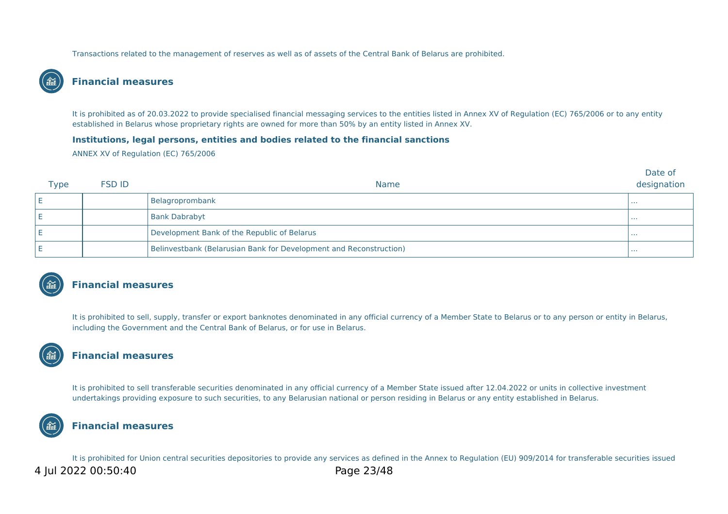Transactions related to the management of reserves as well as of assets of the Central Bank of Belarus are prohibited.

### **Financial measures**

It is prohibited as of 20.03.2022 to provide specialised financial messaging services to the entities listed in Annex XV of Regulation (EC) 765/2006 or to any entity established in Belarus whose proprietary rights are owned for more than 50% by an entity listed in Annex XV.

#### **Institutions, legal persons, entities and bodies related to the financial sanctions**

ANNEX XV of Regulation (EC) 765/2006

| <b>Type</b> | <b>FSD ID</b> | <b>Name</b>                                                        | Date of<br>designation |
|-------------|---------------|--------------------------------------------------------------------|------------------------|
|             |               | Belagroprombank                                                    | .                      |
|             |               | <b>Bank Dabrabyt</b>                                               | .                      |
|             |               | Development Bank of the Republic of Belarus                        | .                      |
|             |               | Belinvestbank (Belarusian Bank for Development and Reconstruction) | .                      |



#### **Financial measures**

It is prohibited to sell, supply, transfer or export banknotes denominated in any official currency of a Member State to Belarus or to any person or entity in Belarus, including the Government and the Central Bank of Belarus, or for use in Belarus.

## **Financial measures**

It is prohibited to sell transferable securities denominated in any official currency of a Member State issued after 12.04.2022 or units in collective investment undertakings providing exposure to such securities, to any Belarusian national or person residing in Belarus or any entity established in Belarus.



#### **Financial measures**

It is prohibited for Union central securities depositories to provide any services as defined in the Annex to Regulation (EU) 909/2014 for transferable securities issued 4 Jul 2022 00:50:40 Page 23/48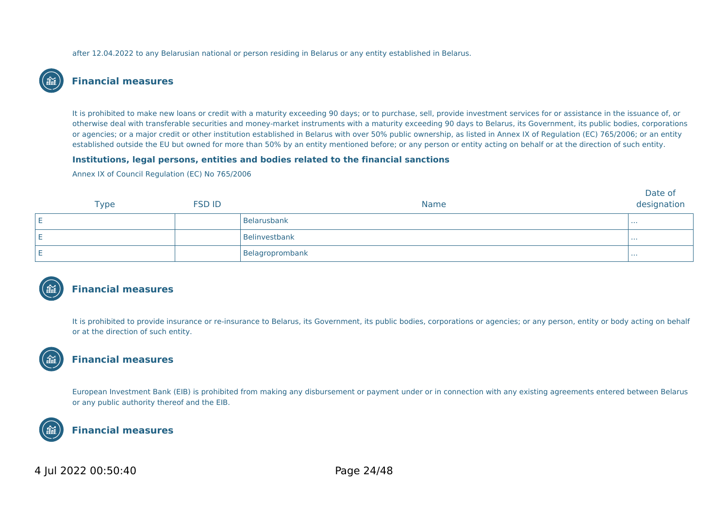after 12.04.2022 to any Belarusian national or person residing in Belarus or any entity established in Belarus.

#### **Financial measures**

It is prohibited to make new loans or credit with a maturity exceeding 90 days; or to purchase, sell, provide investment services for or assistance in the issuance of, or otherwise deal with transferable securities and money-market instruments with a maturity exceeding 90 days to Belarus, its Government, its public bodies, corporations or agencies; or a major credit or other institution established in Belarus with over 50% public ownership, as listed in Annex IX of Regulation (EC) 765/2006; or an entity established outside the EU but owned for more than 50% by an entity mentioned before; or any person or entity acting on behalf or at the direction of such entity.

#### **Institutions, legal persons, entities and bodies related to the financial sanctions**

Annex IX of Council Regulation (EC) No 765/2006

| <b>Type</b> | <b>FSD ID</b> | Name            | Date of<br>designation |
|-------------|---------------|-----------------|------------------------|
|             |               | Belarusbank     | .                      |
|             |               | Belinvestbank   | .                      |
|             |               | Belagroprombank | .                      |



#### **Financial measures**

It is prohibited to provide insurance or re-insurance to Belarus, its Government, its public bodies, corporations or agencies; or any person, entity or body acting on behalf or at the direction of such entity.

## **Financial measures**

European Investment Bank (EIB) is prohibited from making any disbursement or payment under or in connection with any existing agreements entered between Belarus or any public authority thereof and the EIB.



#### **Financial measures**

### 4 Jul 2022 00:50:40 Page 24/48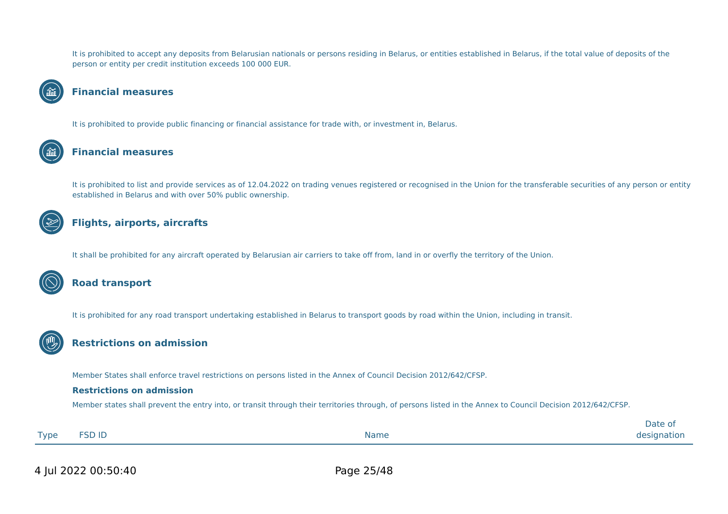It is prohibited to accept any deposits from Belarusian nationals or persons residing in Belarus, or entities established in Belarus, if the total value of deposits of the person or entity per credit institution exceeds 100 000 EUR.

#### **Financial measures**

It is prohibited to provide public financing or financial assistance for trade with, or investment in, Belarus.

#### **Financial measures**

It is prohibited to list and provide services as of 12.04.2022 on trading venues registered or recognised in the Union for the transferable securities of any person or entity established in Belarus and with over 50% public ownership.

## **Flights, airports, aircrafts**

It shall be prohibited for any aircraft operated by Belarusian air carriers to take off from, land in or overfly the territory of the Union.



#### **Road transport**

It is prohibited for any road transport undertaking established in Belarus to transport goods by road within the Union, including in transit.



Member States shall enforce travel restrictions on persons listed in the Annex of Council Decision 2012/642/CFSP.

#### **Restrictions on admission**

Member states shall prevent the entry into, or transit through their territories through, of persons listed in the Annex to Council Decision 2012/642/CFSP.

|             |               |             | 1∽+י<br>Date u |
|-------------|---------------|-------------|----------------|
| <b>Type</b> | <b>FSD ID</b> | <b>Name</b> | designation    |
|             |               |             |                |

4 Jul 2022 00:50:40 Page 25/48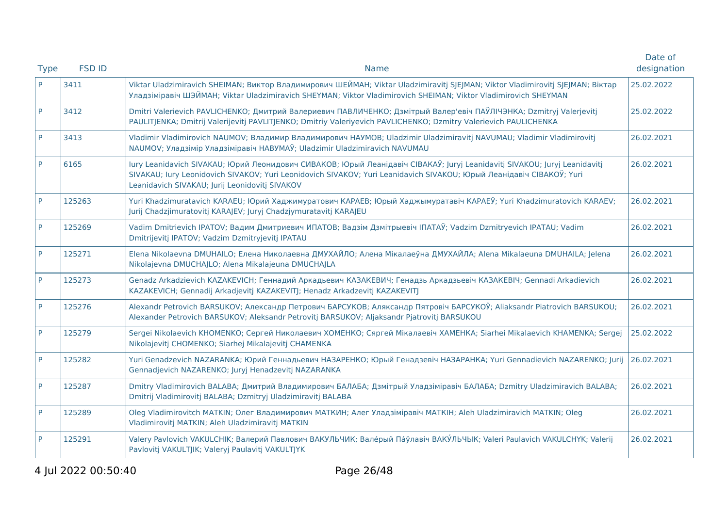| <b>Type</b> | <b>FSD ID</b> | <b>Name</b>                                                                                                                                                                                                                                                                                        | Date of<br>designation |
|-------------|---------------|----------------------------------------------------------------------------------------------------------------------------------------------------------------------------------------------------------------------------------------------------------------------------------------------------|------------------------|
| P           | 3411          | Viktar Uladzimiravich SHEIMAN; Виктор Владимирович ШЕЙМАН; Viktar Uladzimiravitj SJEJMAN; Viktor Vladimirovitj SJEJMAN; Віктар<br>Уладзіміравіч ШЭЙМАН; Viktar Uladzimiravich SHEYMAN; Viktor Vladimirovich SHEIMAN; Viktor Vladimirovich SHEYMAN                                                  | 25.02.2022             |
| P           | 3412          | Dmitri Valerievich PAVLICHENKO; Дмитрий Валериевич ПАВЛИЧЕНКО; Дзмітрый Валер'евіч ПАЎЛІЧЭНКА; Dzmitryj Valerjevitj<br>PAULITJENKA; Dmitrij Valerijevitj PAVLITJENKO; Dmitriy Valeriyevich PAVLICHENKO; Dzmitry Valerievich PAULICHENKA                                                            | 25.02.2022             |
| P           | 3413          | Vladimir Vladimirovich NAUMOV; Владимир Владимирович НАУМОВ; Uladzimir Uladzimiravitj NAVUMAU; Vladimir Vladimirovitj<br>NAUMOV; Уладзімір Уладзіміравіч НАВУМАЎ; Uladzimir Uladzimiravich NAVUMAU                                                                                                 | 26.02.2021             |
| P           | 6165          | lury Leanidavich SIVAKAU; Юрий Леонидович СИВАКОВ; Юрый Леанідавіч СІВАКАЎ; Juryj Leanidavitj SIVAKOU; Juryj Leanidavitj<br>SIVAKAU; lury Leonidovich SIVAKOV; Yuri Leonidovich SIVAKOV; Yuri Leanidavich SIVAKOU; Юрый Леанідавіч СІВАКОЎ; Yuri<br>Leanidavich SIVAKAU; Jurij Leonidovitj SIVAKOV | 26.02.2021             |
| P           | 125263        | Yuri Khadzimuratavich KARAEU; Юрий Хаджимуратович КАРАЕВ; Юрый Хаджымуратавіч КАРАЕЎ; Yuri Khadzimuratovich KARAEV;<br>Jurij Chadzjimuratovitj KARAJEV; Juryj Chadzjymuratavitj KARAJEU                                                                                                            | 26.02.2021             |
| P           | 125269        | Vadim Dmitrievich IPATOV; Вадим Дмитриевич ИПАТОВ; Вадзім Дзмітрыевіч ІПАТАЎ; Vadzim Dzmitryevich IPATAU; Vadim<br>Dmitrijevitj IPATOV; Vadzim Dzmitryjevitj IPATAU                                                                                                                                | 26.02.2021             |
| P           | 125271        | Elena Nikolaevna DMUHAILO; Елена Николаевна ДМУХАЙЛО; Алена Мікалаеўна ДМУХАЙЛА; Alena Mikalaeuna DMUHAILA; Jelena<br>Nikolajevna DMUCHAJLO; Alena Mikalajeuna DMUCHAJLA                                                                                                                           | 26.02.2021             |
| P           | 125273        | Genadz Arkadzievich KAZAKEVICH; Геннадий Аркадьевич КАЗАКЕВИЧ; Генадзь Аркадзьевіч КАЗАКЕВІЧ; Gennadi Arkadievich<br>KAZAKEVICH; Gennadij Arkadjevitj KAZAKEVITJ; Henadz Arkadzevitj KAZAKEVITJ                                                                                                    | 26.02.2021             |
| P           | 125276        | Alexandr Petrovich BARSUKOV; Александр Петрович БАРСУКОВ; Аляксандр Пятровіч БАРСУКОЎ; Aliaksandr Piatrovich BARSUKOU;<br>Alexander Petrovich BARSUKOV; Aleksandr Petrovitj BARSUKOV; Aljaksandr Pjatrovitj BARSUKOU                                                                               | 26.02.2021             |
| P           | 125279        | Sergei Nikolaevich KHOMENKO; Сергей Николаевич ХОМЕНКО; Сяргей Мікалаевіч ХАМЕНКА; Siarhei Mikalaevich КНАМЕNКА; Sergej<br>Nikolajevitj CHOMENKO; Siarhej Mikalajevitj CHAMENKA                                                                                                                    | 25.02.2022             |
| P           | 125282        | Yuri Genadzevich NAZARANKA; Юрий Геннадьевич НАЗАРЕНКО; Юрый Генадзевіч НАЗАРАНКА; Yuri Gennadievich NAZARENKO; Jurij<br>Gennadjevich NAZARENKO; Juryj Henadzevitj NAZARANKA                                                                                                                       | 26.02.2021             |
| P           | 125287        | Dmitry Vladimirovich BALABA; Дмитрий Владимирович БАЛАБА; Дзмітрый Уладзіміравіч БАЛАБА; Dzmitry Uladzimiravich BALABA;<br>Dmitrij Vladimirovitj BALABA; Dzmitryj Uladzimiravitj BALABA                                                                                                            | 26.02.2021             |
| P           | 125289        | Oleg Vladimirovitch MATKIN; Олег Владимирович МАТКИН; Алег Уладзіміравіч МАТКІН; Aleh Uladzimiravich MATKIN; Oleg<br>Vladimirovitj MATKIN; Aleh Uladzimiravitj MATKIN                                                                                                                              | 26.02.2021             |
| P           | 125291        | Valery Pavlovich VAKULCHIK; Валерий Павлович ВАКУЛЬЧИК; Вале́рый Па́ўлавіч ВАКУ́ЛЬЧЫК; Valeri Paulavich VAKULCHYK; Valerij<br>Pavlovitj VAKULTJIK; Valeryj Paulavitj VAKULTJYK                                                                                                                     | 26.02.2021             |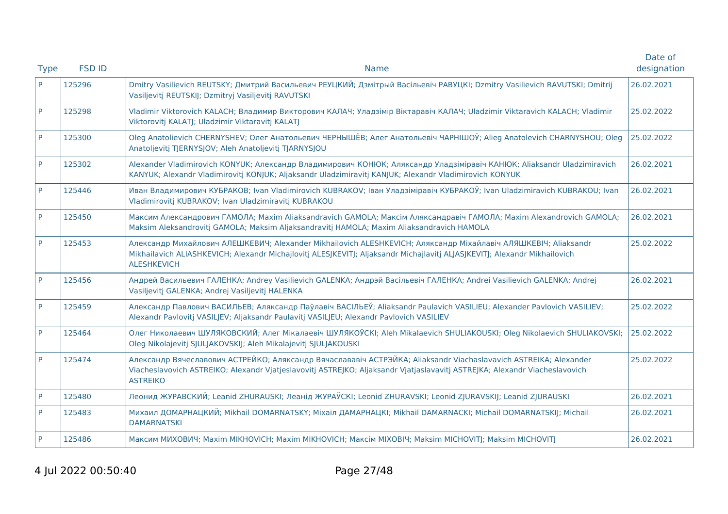|             |               |                                                                                                                                                                                                                                                                   | Date of     |
|-------------|---------------|-------------------------------------------------------------------------------------------------------------------------------------------------------------------------------------------------------------------------------------------------------------------|-------------|
| <b>Type</b> | <b>FSD ID</b> | <b>Name</b>                                                                                                                                                                                                                                                       | designation |
| P           | 125296        | Dmitry Vasilievich REUTSKY; Дмитрий Васильевич РЕУЦКИЙ; Дзмітрый Васільевіч РАВУЦКІ; Dzmitry Vasilievich RAVUTSKI; Dmitrij<br>Vasiljevitj REUTSKIJ; Dzmitryj Vasiljevitj RAVUTSKI                                                                                 | 26.02.2021  |
| P           | 125298        | Vladimir Viktorovich KALACH; Владимир Викторович КАЛАЧ; Уладзімір Віктаравіч КАЛАЧ; Uladzimir Viktaravich KALACH; Vladimir<br>Viktorovitj KALATJ; Uladzimir Viktaravitj KALATJ                                                                                    | 25.02.2022  |
| P           | 125300        | Oleg Anatolievich CHERNYSHEV; Олег Анатольевич ЧЕРНЫШЁВ; Алег Анатольевіч ЧАРНІШОЎ; Alieg Anatolevich CHARNYSHOU; Oleg<br>Anatoljevitj TJERNYSJOV; Aleh Anatoljevitj TJARNYSJOU                                                                                   | 25.02.2022  |
| P           | 125302        | Alexander Vladimirovich KONYUK; Александр Владимирович КОНЮК; Аляксандр Уладзіміравіч КАНЮК; Aliaksandr Uladzimiravich<br>KANYUK; Alexandr Vladimirovitj KONJUK; Aljaksandr Uladzimiravitj KANJUK; Alexandr Vladimirovich KONYUK                                  | 26.02.2021  |
| P           | 125446        | Иван Владимирович КУБРАКОВ; Ivan Vladimirovich KUBRAKOV; Іван Уладзіміравіч КУБРАКОЎ; Ivan Uladzimiravich KUBRAKOU; Ivan<br>Vladimirovitj KUBRAKOV; Ivan Uladzimiravitj KUBRAKOU                                                                                  | 26.02.2021  |
|             | 125450        | Максим Александрович ГАМОЛА; Maxim Aliaksandravich GAMOLA; Максім Аляксандравіч ГАМОЛА; Maxim Alexandrovich GAMOLA;<br>Maksim Aleksandrovitj GAMOLA; Maksim Aljaksandravitj HAMOLA; Maxim Aliaksandravich HAMOLA                                                  | 26.02.2021  |
| P           | 125453        | Александр Михайлович АЛЕШКЕВИЧ; Alexander Mikhailovich ALESHKEVICH; Аляксандр Міхайлавіч АЛЯШКЕВІЧ; Aliaksandr<br>Mikhailavich ALIASHKEVICH; Alexandr Michajlovitj ALESJKEVITJ; Aljaksandr Michajlavitj ALJASJKEVITJ; Alexandr Mikhailovich<br><b>ALESHKEVICH</b> | 25.02.2022  |
| P           | 125456        | Андрей Васильевич ГАЛЕНКА; Andrey Vasilievich GALENKA; Андрэй Васільевіч ГАЛЕНКА; Andrei Vasilievich GALENKA; Andrej<br>Vasiljevitj GALENKA; Andrej Vasiljevitj HALENKA                                                                                           | 26.02.2021  |
| P           | 125459        | Александр Павлович ВАСИЛЬЕВ; Аляксандр Паўлавіч ВАСІЛЬЕЎ; Aliaksandr Paulavich VASILIEU; Alexander Pavlovich VASILIEV;<br>Alexandr Pavlovitj VASILJEV; Aljaksandr Paulavitj VASILJEU; Alexandr Pavlovich VASILIEV                                                 | 25.02.2022  |
| P           | 125464        | Олег Николаевич ШУЛЯКОВСКИЙ; Алег Мікалаевіч ШУЛЯКОЎСКІ; Aleh Mikalaevich SHULIAKOUSKI; Oleg Nikolaevich SHULIAKOVSKI;<br>Oleg Nikolajevitj SJULJAKOVSKIJ; Aleh Mikalajevitj SJULJAKOUSKI                                                                         | 25.02.2022  |
| P           | 125474        | Александр Вячеславович АСТРЕЙКО; Аляксандр Вячаслававіч АСТРЭЙКА; Aliaksandr Viachaslavavich ASTREIKA; Alexander<br>Viacheslavovich ASTREIKO; Alexandr Vjatjeslavovitj ASTREJKO; Aljaksandr Vjatjaslavavitj ASTREJKA; Alexandr Viacheslavovich<br><b>ASTREIKO</b> | 25.02.2022  |
| P           | 125480        | Леонид ЖУРАВСКИЙ; Leanid ZHURAUSKI; Леанід ЖУРАЎСКІ; Leonid ZHURAVSKI; Leonid ZJURAVSKIJ; Leanid ZJURAUSKI                                                                                                                                                        | 26.02.2021  |
| P           | 125483        | Михаил ДОМАРНАЦКИЙ; Mikhail DOMARNATSKY; Mixaiл ДАМАРНАЦКІ; Mikhail DAMARNACKI; Michail DOMARNATSKIJ; Michail<br><b>DAMARNATSKI</b>                                                                                                                               | 26.02.2021  |
|             | 125486        | Максим МИХОВИЧ; Maxim MIKHOVICH; Maxim MIKHOVICH; Максім МІХОВІЧ; Maksim MICHOVITJ; Maksim MICHOVITJ                                                                                                                                                              | 26.02.2021  |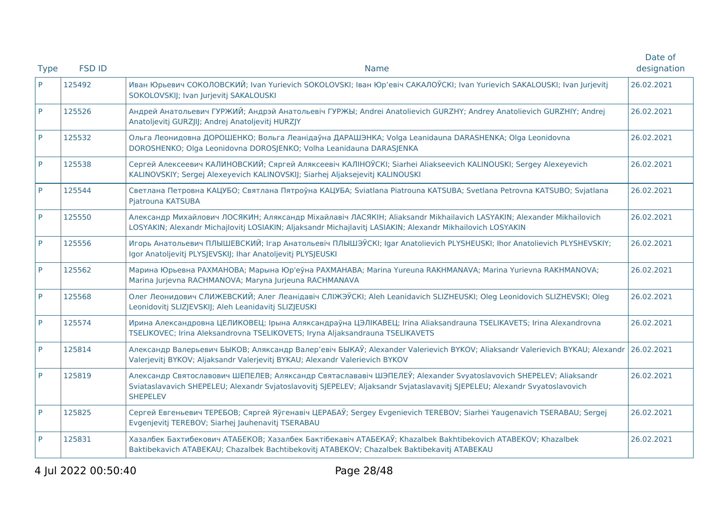|             |               |                                                                                                                                                                                                                                                                   | Date of     |
|-------------|---------------|-------------------------------------------------------------------------------------------------------------------------------------------------------------------------------------------------------------------------------------------------------------------|-------------|
| <b>Type</b> | <b>FSD ID</b> | <b>Name</b>                                                                                                                                                                                                                                                       | designation |
| P.          | 125492        | Иван Юрьевич СОКОЛОВСКИЙ; Ivan Yurievich SOKOLOVSKI; Іван Юр'евіч САКАЛОЎСКІ; Ivan Yurievich SAKALOUSKI; Ivan Jurjevitj<br>SOKOLOVSKIJ; Ivan Jurjevitj SAKALOUSKI                                                                                                 | 26.02.2021  |
| P           | 125526        | Андрей Анатольевич ГУРЖИЙ; Андрэй Анатольевіч ГУРЖЫ; Andrei Anatolievich GURZHY; Andrey Anatolievich GURZHIY; Andrej<br>Anatoljevitj GURZJIJ; Andrej Anatoljevitj HURZJY                                                                                          | 26.02.2021  |
| P           | 125532        | Ольга Леонидовна ДОРОШЕНКО; Вольга Леанідаўна ДАРАШЭНКА; Volga Leanidauna DARASHENKA; Olga Leonidovna<br>DOROSHENKO; Olga Leonidovna DOROSJENKO; Volha Leanidauna DARASJENKA                                                                                      | 26.02.2021  |
| P           | 125538        | Сергей Алексеевич КАЛИНОВСКИЙ; Сяргей Аляксеевіч КАЛІНОЎСКІ; Siarhei Aliakseevich KALINOUSKI; Sergey Alexeyevich<br>KALINOVSKIY; Sergej Alexeyevich KALINOVSKIJ; Siarhej Aljaksejevitj KALINOUSKI                                                                 | 26.02.2021  |
| P           | 125544        | Светлана Петровна КАЦУБО; Святлана Пятроўна КАЦУБА; Sviatlana Piatrouna KATSUBA; Svetlana Petrovna KATSUBO; Svjatlana<br>Pjatrouna KATSUBA                                                                                                                        | 26.02.2021  |
| P           | 125550        | Александр Михайлович ЛОСЯКИН; Аляксандр Міхайлавіч ЛАСЯКІН; Aliaksandr Mikhailavich LASYAKIN; Alexander Mikhailovich<br>LOSYAKIN; Alexandr Michajlovitj LOSIAKIN; Aljaksandr Michajlavitj LASIAKIN; Alexandr Mikhailovich LOSYAKIN                                | 26.02.2021  |
| P           | 125556        | Игорь Анатольевич ПЛЫШЕВСКИЙ; Ігар Анатольевіч ПЛЫШЭЎСКІ; Igar Anatolievich PLYSHEUSKI; Ihor Anatolievich PLYSHEVSKIY;<br>Igor Anatoljevitj PLYSJEVSKIJ; Ihar Anatoljevitj PLYSJEUSKI                                                                             | 26.02.2021  |
| P           | 125562        | Марина Юрьевна РАХМАНОВА; Марына Юр'еўна РАХМАНАВА; Marina Yureuna RAKHMANAVA; Marina Yurievna RAKHMANOVA;<br>Marina Jurjevna RACHMANOVA; Maryna Jurjeuna RACHMANAVA                                                                                              | 26.02.2021  |
| P           | 125568        | Олег Леонидович СЛИЖЕВСКИЙ; Алег Леанідавіч СЛІЖЭЎСКІ; Aleh Leanidavich SLIZHEUSKI; Oleg Leonidovich SLIZHEVSKI; Oleg<br>Leonidovitj SLIZJEVSKIJ; Aleh Leanidavitj SLIZJEUSKI                                                                                     | 26.02.2021  |
| P           | 125574        | Ирина Александровна ЦЕЛИКОВЕЦ; Ірына Аляксандраўна ЦЭЛІКАВЕЦ; Irina Aliaksandrauna TSELIKAVETS; Irina Alexandrovna<br>TSELIKOVEC; Irina Aleksandrovna TSELIKOVETS; Iryna Aljaksandrauna TSELIKAVETS                                                               | 26.02.2021  |
| P           | 125814        | Александр Валерьевич БЫКОВ; Аляксандр Валер'евіч БЫКАЎ; Alexander Valerievich BYKOV; Aliaksandr Valerievich BYKAU; Alexandr<br>Valerjevitj BYKOV; Aljaksandr Valerjevitj BYKAU; Alexandr Valerievich BYKOV                                                        | 26.02.2021  |
| P           | 125819        | Александр Святославович ШЕПЕЛЕВ; Аляксандр Святаслававіч ШЭПЕЛЕЎ; Alexander Svyatoslavovich SHEPELEV; Aliaksandr<br>Sviataslavavich SHEPELEU; Alexandr Svjatoslavovitj SJEPELEV; Aljaksandr Svjataslavavitj SJEPELEU; Alexandr Svyatoslavovich<br><b>SHEPELEV</b> | 26.02.2021  |
| P           | 125825        | Сергей Евгеньевич ТЕРЕБОВ; Сяргей Яўгенавіч ЦЕРАБАЎ; Sergey Evgenievich TEREBOV; Siarhei Yaugenavich TSERABAU; Sergej<br>Evgenjevitj TEREBOV; Siarhej Jauhenavitj TSERABAU                                                                                        | 26.02.2021  |
| P           | 125831        | Хазалбек Бахтибекович АТАБЕКОВ; Хазалбек Бактібекавіч АТАБЕКАЎ; Khazalbek Bakhtibekovich АТАВЕКОV; Khazalbek<br>Baktibekavich ATABEKAU; Chazalbek Bachtibekovitj ATABEKOV; Chazalbek Baktibekavitj ATABEKAU                                                       | 26.02.2021  |

4 Jul 2022 00:50:40 Page 28/48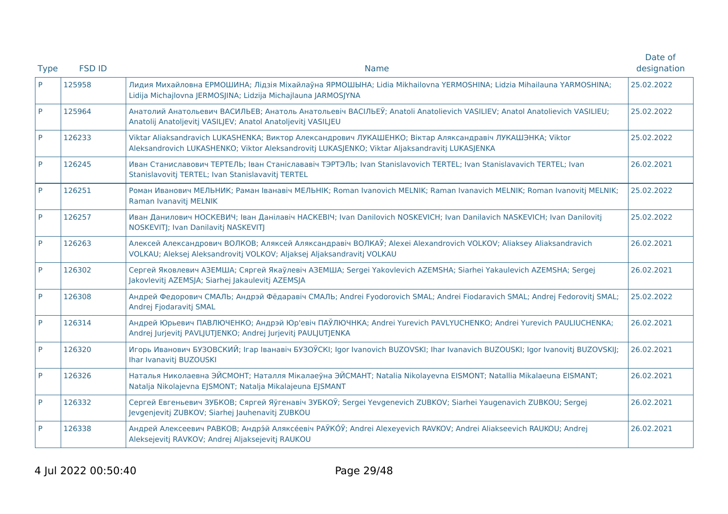|             | <b>FSD ID</b> | <b>Name</b>                                                                                                                                                                                                 | Date of<br>designation |
|-------------|---------------|-------------------------------------------------------------------------------------------------------------------------------------------------------------------------------------------------------------|------------------------|
| <b>Type</b> |               |                                                                                                                                                                                                             |                        |
| P           | 125958        | Лидия Михайловна ЕРМОШИНА; Лідзія Міхайлаўна ЯРМОШЫНА; Lidia Mikhailovna YERMOSHINA; Lidzia Mihailauna YARMOSHINA;<br>Lidija Michajlovna JERMOSJINA; Lidzija Michajlauna JARMOSJYNA                         | 25.02.2022             |
| P           | 125964        | Анатолий Анатольевич ВАСИЛЬЕВ; Анатоль Анатольевіч ВАСІЛЬЕЎ; Anatoli Anatolievich VASILIEV; Anatol Anatolievich VASILIEU;<br>Anatolij Anatoljevitj VASILJEV; Anatol Anatoljevitj VASILJEU                   | 25.02.2022             |
| P           | 126233        | Viktar Aliaksandravich LUKASHENKA; Виктор Александрович ЛУКАШЕНКО; Віктар Аляксандравіч ЛУКАШЭНКА; Viktor<br>Aleksandrovich LUKASHENKO; Viktor Aleksandrovitj LUKASJENKO; Viktar Aljaksandravitj LUKASJENKA | 25.02.2022             |
| P           | 126245        | Иван Станиславович ТЕРТЕЛЬ; Іван Станіслававіч ТЭРТЭЛЬ; Ivan Stanislavovich TERTEL; Ivan Stanislavavich TERTEL; Ivan<br>Stanislavovitj TERTEL; Ivan Stanislavavitj TERTEL                                   | 26.02.2021             |
| P           | 126251        | Роман Иванович МЕЛЬНИК; Раман Іванавіч МЕЛЬНІК; Roman Ivanovich MELNIK; Raman Ivanavich MELNIK; Roman Ivanovitj MELNIK;<br>Raman Ivanavitj MELNIK                                                           | 25.02.2022             |
| P           | 126257        | Иван Данилович НОСКЕВИЧ; Іван Данілавіч НАСКЕВІЧ; Ivan Danilovich NOSKEVICH; Ivan Danilavich NASKEVICH; Ivan Danilovitj<br>NOSKEVITJ; Ivan Danilavitj NASKEVITJ                                             | 25.02.2022             |
| P           | 126263        | Алексей Александрович ВОЛКОВ; Аляксей Аляксандравіч ВОЛКАЎ; Alexei Alexandrovich VOLKOV; Aliaksey Aliaksandravich<br>VOLKAU; Aleksej Aleksandrovitj VOLKOV; Aljaksej Aljaksandravitj VOLKAU                 | 26.02.2021             |
| P           | 126302        | Сергей Яковлевич АЗЕМША; Сяргей Якаўлевіч АЗЕМША; Sergei Yakovlevich AZEMSHA; Siarhei Yakaulevich AZEMSHA; Sergej<br>Jakovlevitj AZEMSJA; Siarhej Jakaulevitj AZEMSJA                                       | 26.02.2021             |
| P           | 126308        | Андрей Федорович СМАЛЬ; Андрэй Фёдаравіч СМАЛЬ; Andrei Fyodorovich SMAL; Andrei Fiodaravich SMAL; Andrei Fedoroviti SMAL;<br>Andrej Fjodaravitj SMAL                                                        | 25.02.2022             |
| P           | 126314        | Андрей Юрьевич ПАВЛЮЧЕНКО; Андрэй Юр'евіч ПАЎЛЮЧНКА; Andrei Yurevich PAVLYUCHENKO; Andrei Yurevich PAULIUCHENKA;<br>Andrej Jurjevitj PAVLJUTJENKO; Andrej Jurjevitj PAULJUTJENKA                            | 26.02.2021             |
| P           | 126320        | Игорь Иванович БУЗОВСКИЙ; Irap Іванавіч БУЗОЎСКІ; Igor Ivanovich BUZOVSKI; Ihar Ivanavich BUZOUSKI; Igor Ivanovitj BUZOVSKIJ;<br>Ihar Ivanavitj BUZOUSKI                                                    | 26.02.2021             |
| P           | 126326        | Наталья Николаевна ЭЙСМОНТ; Наталля Мікалаеўна ЭЙСМАНТ; Natalia Nikolayevna EISMONT; Natallia Mikalaeuna EISMANT;<br>Natalja Nikolajevna EJSMONT; Natalja Mikalajeuna EJSMANT                               | 26.02.2021             |
| P           | 126332        | Сергей Евгеньевич ЗУБКОВ; Сяргей Яўгенавіч ЗУБКОЎ; Sergei Yevgenevich ZUBKOV; Siarhei Yaugenavich ZUBKOU; Sergej<br>Jevgenjevitj ZUBKOV; Siarhej Jauhenavitj ZUBKOU                                         | 26.02.2021             |
| P           | 126338        | Андрей Алексеевич РАВКОВ; Андрэ́й Аляксе́евіч РАЎКО́Ў; Andrei Alexeyevich RAVKOV; Andrei Aliakseevich RAUKOU; Andrej<br>Aleksejevitj RAVKOV; Andrej Aljaksejevitj RAUKOU                                    | 26.02.2021             |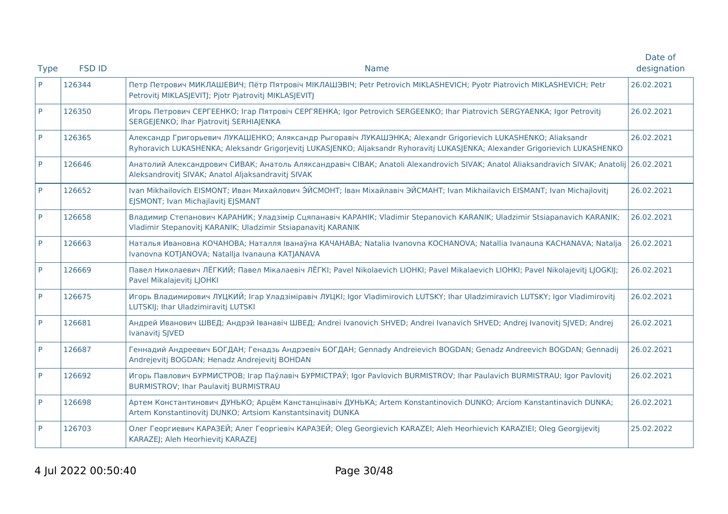|             |               |                                                                                                                                                                                                                                               | Date of     |
|-------------|---------------|-----------------------------------------------------------------------------------------------------------------------------------------------------------------------------------------------------------------------------------------------|-------------|
| <b>Type</b> | <b>FSD ID</b> | <b>Name</b>                                                                                                                                                                                                                                   | designation |
| <b>P</b>    | 126344        | Петр Петрович МИКЛАШЕВИЧ; Пётр Пятровіч МІКЛАШЭВІЧ; Petr Petrovich MIKLASHEVICH; Pyotr Piatrovich MIKLASHEVICH; Petr<br>Petrovitj MIKLASJEVITJ; Pjotr Pjatrovitj MIKLASJEVITJ                                                                 | 26.02.2021  |
| P           | 126350        | Игорь Петрович СЕРГЕЕНКО; Iгар Пятровіч СЕРГЯЕНКА; Igor Petrovich SERGEENKO; Ihar Piatrovich SERGYAENKA; Igor Petrovitj<br>SERGEJENKO; Ihar Pjatrovitj SERHIAJENKA                                                                            | 26.02.2021  |
| P           | 126365        | Александр Григорьевич ЛУКАШЕНКО; Аляксандр Рыгоравіч ЛУКАШЭНКА; Alexandr Grigorievich LUKASHENKO; Aliaksandr<br>Ryhoravich LUKASHENKA; Aleksandr Grigorjevitj LUKASJENKO; Aljaksandr Ryhoravitj LUKASJENKA; Alexander Grigorievich LUKASHENKO | 26.02.2021  |
| P           | 126646        | Анатолий Александрович СИВАК; Анатоль Аляксандравіч СІВАК; Anatoli Alexandrovich SIVAK; Anatol Aliaksandravich SIVAK; Anatolij<br>Aleksandrovitj SIVAK; Anatol Aljaksandravitj SIVAK                                                          | 26.02.2021  |
| P           | 126652        | Ivan Mikhailovich EISMONT; Иван Михайлович ЭЙСМОНТ; Іван Міхайлавіч ЭЙСМАНТ; Ivan Mikhailavich EISMANT; Ivan Michajlovitj<br>EJSMONT; Ivan Michajlavitj EJSMANT                                                                               | 26.02.2021  |
| <b>P</b>    | 126658        | Владимир Степанович КАРАНИК; Уладзімір Сцяпанавіч КАРАНІК; Vladimir Stepanovich KARANIK; Uladzimir Stsiapanavich KARANIK;<br>Vladimir Stepanovitj KARANIK; Uladzimir Stsiapanavitj KARANIK                                                    | 26.02.2021  |
| P           | 126663        | Наталья Ивановна КОЧАНОВА; Наталля Іванаўна КАЧАНАВА; Natalia Ivanovna KOCHANOVA; Natallia Ivanauna KACHANAVA; Natalja<br>Ivanovna KOTJANOVA; Natalija Ivanauna KATJANAVA                                                                     | 26.02.2021  |
| P           | 126669        | Павел Николаевич ЛЁГКИЙ; Павел Мікалаевіч ЛЁГКІ; Pavel Nikolaevich LIOHKI; Pavel Mikalaevich LIOHKI; Pavel Nikolajevitj LJOGKIJ;<br>Pavel Mikalajevitj LJOHKI                                                                                 | 26.02.2021  |
| P           | 126675        | Игорь Владимирович ЛУЦКИЙ; Irap Уладзіміравіч ЛУЦКІ; Igor Vladimirovich LUTSKY; Ihar Uladzimiravich LUTSKY; Igor Vladimirovitj<br>LUTSKIJ; Ihar Uladzimiravitj LUTSKI                                                                         | 26.02.2021  |
| P           | 126681        | Андрей Иванович ШВЕД; Андрэй Іванавіч ШВЕД; Andrei Ivanovich SHVED; Andrei Ivanavich SHVED; Andrej Ivanovitj SJVED; Andrej<br>Ivanavitj SJVED                                                                                                 | 26.02.2021  |
| P           | 126687        | Геннадий Андреевич БОГДАН; Генадзь Андрэевіч БОГДАН; Gennady Andreievich BOGDAN; Genadz Andreevich BOGDAN; Gennadij<br>Andrejevitj BOGDAN; Henadz Andrejevitj BOHDAN                                                                          | 26.02.2021  |
| P           | 126692        | Игорь Павлович БУРМИСТРОВ; Ігар Паўлавіч БУРМІСТРАЎ; Igor Pavlovich BURMISTROV; Ihar Paulavich BURMISTRAU; Igor Pavlovitj<br><b>BURMISTROV; Ihar Paulavitj BURMISTRAU</b>                                                                     | 26.02.2021  |
| P           | 126698        | Артем Константинович ДУНЬКО; Арцём Канстанцінавіч ДУНЬКА; Artem Konstantinovich DUNKO; Arciom Kanstantinavich DUNKA;<br>Artem Konstantinovitj DUNKO; Artsiom Kanstantsinavitj DUNKA                                                           | 26.02.2021  |
| P           | 126703        | Олег Георгиевич КАРАЗЕЙ; Алег Георгіевіч КАРАЗЕЙ; Oleg Georgievich KARAZEI; Aleh Heorhievich KARAZIEI; Oleg Georgijevitj<br>KARAZEJ; Aleh Heorhievitj KARAZEJ                                                                                 | 25.02.2022  |
|             |               |                                                                                                                                                                                                                                               |             |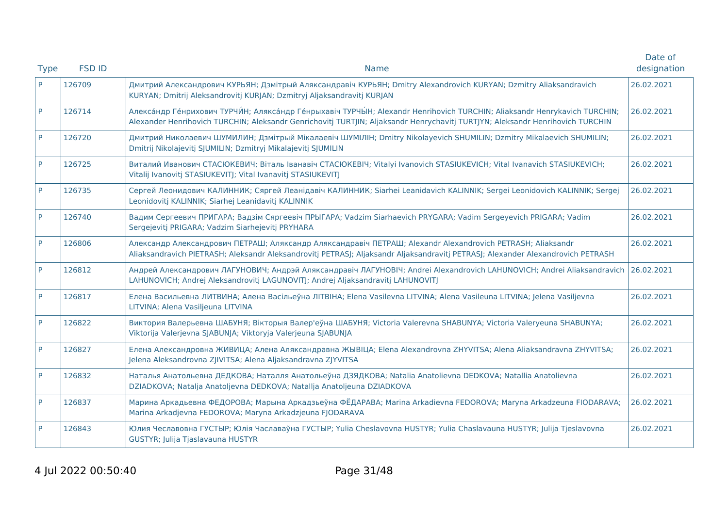| <b>Type</b> | <b>FSD ID</b> | <b>Name</b>                                                                                                                                                                                                                                                    | Date of<br>designation |
|-------------|---------------|----------------------------------------------------------------------------------------------------------------------------------------------------------------------------------------------------------------------------------------------------------------|------------------------|
| P           | 126709        | Дмитрий Александрович КУРЬЯН; Дзмітрый Аляксандравіч КУРЬЯН; Dmitry Alexandrovich KURYAN; Dzmitry Aliaksandravich<br>KURYAN; Dmitrij Aleksandrovitj KURJAN; Dzmitryj Aljaksandravitj KURJAN                                                                    | 26.02.2021             |
| P           | 126714        | Алекса́ндр Ге́нрихович ТУРЧИ́Н; Алякса́ндр Ге́нрыхавіч ТУРЧЫ́Н; Alexandr Henrihovich TURCHIN; Aliaksandr Henrykavich TURCHIN;<br>Alexander Henrihovich TURCHIN; Aleksandr Genrichovitj TURTJIN; Aljaksandr Henrychavitj TURTJYN; Aleksandr Henrihovich TURCHIN | 26.02.2021             |
| P           | 126720        | Дмитрий Николаевич ШУМИЛИН; Дзмітрый Мікалаевіч ШУМІЛІН; Dmitry Nikolayevich SHUMILIN; Dzmitry Mikalaevich SHUMILIN;<br>Dmitrij Nikolajeviti SJUMILIN; Dzmitryj Mikalajeviti SJUMILIN                                                                          | 26.02.2021             |
| P           | 126725        | Виталий Иванович СТАСЮКЕВИЧ; Віталь Іванавіч СТАСЮКЕВІЧ; Vitalyi Ivanovich STASIUKEVICH; Vital Ivanavich STASIUKEVICH;<br>Vitalij Ivanovitj STASIUKEVITJ; Vital Ivanavitj STASIUKEVITJ                                                                         | 26.02.2021             |
| P           | 126735        | Сергей Леонидович КАЛИННИК; Сяргей Леанідавіч КАЛИННИК; Siarhei Leanidavich KALINNIK; Sergei Leonidovich KALINNIK; Sergej<br>Leonidovitj KALINNIK; Siarhej Leanidavitj KALINNIK                                                                                | 26.02.2021             |
| P           | 126740        | Вадим Сергеевич ПРИГАРА; Вадзім Сяргеевіч ПРЫГАРА; Vadzim Siarhaevich PRYGARA; Vadim Sergeyevich PRIGARA; Vadim<br>Sergejevitj PRIGARA; Vadzim Siarhejevitj PRYHARA                                                                                            | 26.02.2021             |
| P           | 126806        | Александр Александрович ПЕТРАШ; Аляксандр Аляксандравіч ПЕТРАШ; Alexandr Alexandrovich PETRASH; Aliaksandr<br>Aliaksandravich PIETRASH; Aleksandr Aleksandrovitj PETRASJ; Aljaksandr Aljaksandravitj PETRASJ; Alexander Alexandrovich PETRASH                  | 26.02.2021             |
| P           | 126812        | Андрей Александрович ЛАГУНОВИЧ; Андрэй Аляксандравіч ЛАГУНОВІЧ; Andrei Alexandrovich LAHUNOVICH; Andrei Aliaksandravich<br>LAHUNOVICH; Andrej Aleksandrovitj LAGUNOVITJ; Andrej Aljaksandravitj LAHUNOVITJ                                                     | 26.02.2021             |
| P           | 126817        | Елена Васильевна ЛИТВИНА; Алена Васільеўна ЛІТВІНА; Elena Vasilevna LITVINA; Alena Vasileuna LITVINA; Jelena Vasiljevna<br>LITVINA; Alena Vasiljeuna LITVINA                                                                                                   | 26.02.2021             |
| P           | 126822        | Виктория Валерьевна ШАБУНЯ; Вікторыя Валер'еўна ШАБУНЯ; Victoria Valerevna SHABUNYA; Victoria Valeryeuna SHABUNYA;<br>Viktorija Valerjevna SJABUNJA; Viktoryja Valerjeuna SJABUNJA                                                                             | 26.02.2021             |
| P           | 126827        | Елена Александровна ЖИВИЦА; Алена Аляксандравна ЖЫВІЦА; Elena Alexandrovna ZHYVITSA; Alena Aliaksandravna ZHYVITSA;<br>Jelena Aleksandrovna ZJIVITSA; Alena Aljaksandravna ZJYVITSA                                                                            | 26.02.2021             |
| P           | 126832        | Наталья Анатольевна ДЕДКОВА; Наталля Анатольеўна ДЗЯДКОВА; Natalia Anatolievna DEDKOVA; Natallia Anatolievna<br>DZIADKOVA; Natalja Anatoljevna DEDKOVA; Natallja Anatoljeuna DZIADKOVA                                                                         | 26.02.2021             |
| P           | 126837        | Марина Аркадьевна ФЕДОРОВА; Марына Аркадзьеўна ФЁДАРАВА; Marina Arkadievna FEDOROVA; Maryna Arkadzeuna FIODARAVA;<br>Marina Arkadjevna FEDOROVA; Maryna Arkadzjeuna FJODARAVA                                                                                  | 26.02.2021             |
| P           | 126843        | Юлия Чеславовна ГУСТЫР; Юлія Чаславаўна ГУСТЫР; Yulia Cheslavovna HUSTYR; Yulia Chaslavauna HUSTYR; Julija Tjeslavovna<br>GUSTYR; Julija Tjaslavauna HUSTYR                                                                                                    | 26.02.2021             |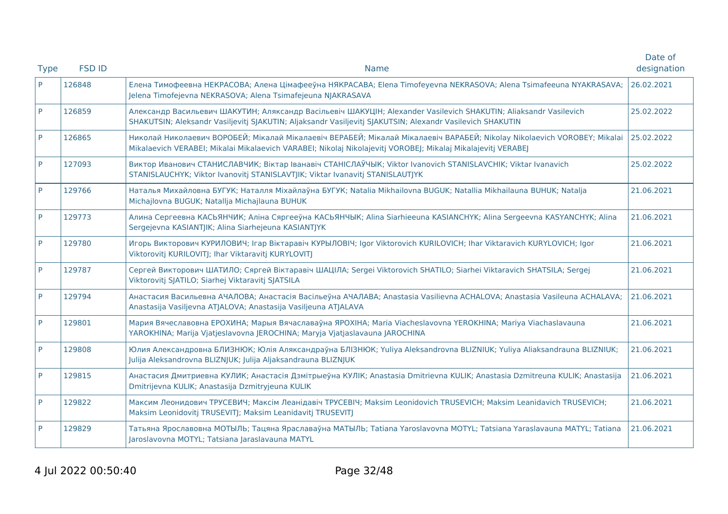| <b>Type</b> | <b>FSD ID</b> | <b>Name</b>                                                                                                                                                                                                                              | Date of<br>designation |
|-------------|---------------|------------------------------------------------------------------------------------------------------------------------------------------------------------------------------------------------------------------------------------------|------------------------|
| P           | 126848        | Елена Тимофеевна НЕКРАСОВА; Алена Цімафееўна НЯКРАСАВА; Elena Timofeyevna NEKRASOVA; Alena Tsimafeeuna NYAKRASAVA;<br>Jelena Timofejevna NEKRASOVA; Alena Tsimafejeuna NJAKRASAVA                                                        | 26.02.2021             |
| P           | 126859        | Александр Васильевич ШАКУТИН; Аляксандр Васільевіч ШАКУЦІН; Alexander Vasilevich SHAKUTIN; Aliaksandr Vasilevich<br>SHAKUTSIN; Aleksandr Vasiljevitj SJAKUTIN; Aljaksandr Vasiljevitj SJAKUTSIN; Alexandr Vasilevich SHAKUTIN            | 25.02.2022             |
| P           | 126865        | Николай Николаевич ВОРОБЕЙ; Мікалай Мікалаевіч ВЕРАБЕЙ; Мікалай Мікалаевіч ВАРАБЕЙ; Nikolay Nikolaevich VOROBEY; Mikalai<br>Mikalaevich VERABEI; Mikalai Mikalaevich VARABEI; Nikolaj Nikolajevitj VOROBEJ; Mikalaj Mikalajevitj VERABEJ | 25.02.2022             |
| P           | 127093        | Виктор Иванович СТАНИСЛАВЧИК; Віктар Іванавіч СТАНІСЛАЎЧЫК; Viktor Ivanovich STANISLAVCHIK; Viktar Ivanavich<br>STANISLAUCHYK; Viktor Ivanovitj STANISLAVTJIK; Viktar Ivanavitj STANISLAUTJYK                                            | 25.02.2022             |
| P           | 129766        | Наталья Михайловна БУГУК; Наталля Міхайлаўна БУГУК; Natalia Mikhailovna BUGUK; Natallia Mikhailauna BUHUK; Natalja<br>Michajlovna BUGUK; Natallja Michajlauna BUHUK                                                                      | 21.06.2021             |
| P           | 129773        | Алина Сергеевна КАСЬЯНЧИК; Аліна Сяргееўна КАСЬЯНЧЫК; Alina Siarhieeuna KASIANCHYK; Alina Sergeevna KASYANCHYK; Alina<br>Sergejevna KASIANTJIK; Alina Siarhejeuna KASIANTJYK                                                             | 21.06.2021             |
| P           | 129780        | Игорь Викторович КУРИЛОВИЧ; Ігар Віктаравіч КУРЫЛОВІЧ; Igor Viktorovich KURILOVICH; Ihar Viktaravich KURYLOVICH; Igor<br>Viktorovitj KURILOVITJ; Ihar Viktaravitj KURYLOVITJ                                                             | 21.06.2021             |
| <b>P</b>    | 129787        | Сергей Викторович ШАТИЛО; Сяргей Віктаравіч ШАЦІЛА; Sergei Viktorovich SHATILO; Siarhei Viktaravich SHATSILA; Sergej<br>Viktorovitj SJATILO; Siarhej Viktaravitj SJATSILA                                                                | 21.06.2021             |
| P           | 129794        | Анастасия Васильевна АЧАЛОВА; Анастасія Васільеўна АЧАЛАВА; Anastasia Vasilievna ACHALOVA; Anastasia Vasileuna ACHALAVA;<br>Anastasija Vasiljevna ATJALOVA; Anastasija Vasiljeuna ATJALAVA                                               | 21.06.2021             |
| P           | 129801        | Мария Вячеславовна ЕРОХИНА; Марыя Вячаславаўна ЯРОХІНА; Maria Viacheslavovna YEROKHINA; Mariya Viachaslavauna<br>YAROKHINA; Marija Vjatjeslavovna JEROCHINA; Maryja Vjatjaslavauna JAROCHINA                                             | 21.06.2021             |
| P           | 129808        | Юлия Александровна БЛИЗНЮК; Юлія Аляксандраўна БЛІЗНЮК; Yuliya Aleksandrovna BLIZNIUK; Yuliya Aliaksandrauna BLIZNIUK;<br>Julija Aleksandrovna BLIZNJUK; Julija Aljaksandrauna BLIZNJUK                                                  | 21.06.2021             |
| P           | 129815        | Анастасия Дмитриевна КУЛИК; Анастасія Дзмітрыеўна КУЛІК; Anastasia Dmitrievna KULIK; Anastasia Dzmitreuna KULIK; Anastasija<br>Dmitrijevna KULIK; Anastasija Dzmitryjeuna KULIK                                                          | 21.06.2021             |
| P           | 129822        | Максим Леонидович ТРУСЕВИЧ; Максім Леанідавіч ТРУСЕВІЧ; Maksim Leonidovich TRUSEVICH; Maksim Leanidavich TRUSEVICH;<br>Maksim Leonidovitj TRUSEVITJ; Maksim Leanidavitj TRUSEVITJ                                                        | 21.06.2021             |
| P           | 129829        | Татьяна Ярославовна МОТЫЛЬ; Тацяна Яраславаўна МАТЫЛЬ; Tatiana Yaroslavovna MOTYL; Tatsiana Yaraslavauna MATYL; Tatiana<br>Jaroslavovna MOTYL; Tatsiana Jaraslavauna MATYL                                                               | 21.06.2021             |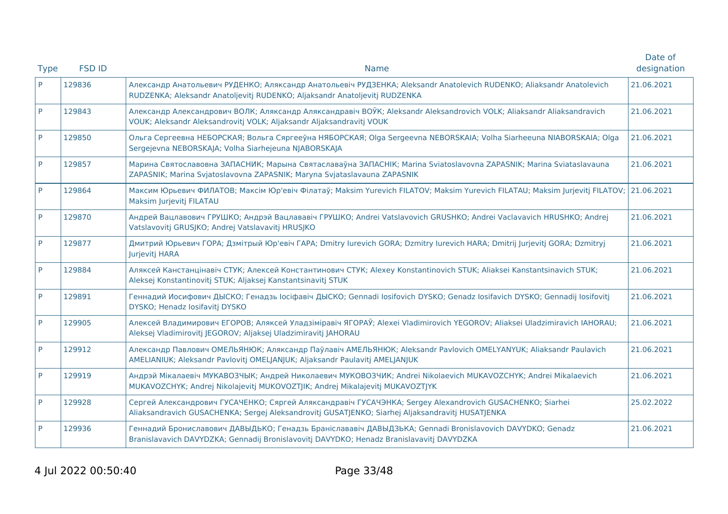|             |               |                                                                                                                                                                                                              | Date of     |
|-------------|---------------|--------------------------------------------------------------------------------------------------------------------------------------------------------------------------------------------------------------|-------------|
| <b>Type</b> | <b>FSD ID</b> | <b>Name</b>                                                                                                                                                                                                  | designation |
| P           | 129836        | Александр Анатольевич РУДЕНКО; Аляксандр Анатольевіч РУДЗЕНКА; Aleksandr Anatolevich RUDENKO; Aliaksandr Anatolevich<br>RUDZENKA; Aleksandr Anatoljevitj RUDENKO; Aljaksandr Anatoljevitj RUDZENKA           | 21.06.2021  |
| P           | 129843        | Александр Александрович ВОЛК; Аляксандр Аляксандравіч ВОЎК; Aleksandr Aleksandrovich VOLK; Aliaksandr Aliaksandravich<br>VOUK; Aleksandr Aleksandrovitj VOLK; Aljaksandr Aljaksandravitj VOUK                | 21.06.2021  |
| P           | 129850        | Ольга Сергеевна НЕБОРСКАЯ; Вольга Сяргееўна НЯБОРСКАЯ; Olga Sergeevna NEBORSKAIA; Volha Siarheeuna NIABORSKAIA; Olga<br>Sergejevna NEBORSKAJA; Volha Siarhejeuna NJABORSKAJA                                 | 21.06.2021  |
| P           | 129857        | Марина Святославовна ЗАПАСНИК; Марына Святаславаўна ЗАПАСНІК; Marina Sviatoslavovna ZAPASNIK; Marina Sviataslavauna<br>ZAPASNIK; Marina Svjatoslavovna ZAPASNIK; Maryna Svjataslavauna ZAPASNIK              | 21.06.2021  |
| P           | 129864        | Максим Юрьевич ФИЛАТОВ; Максім Юр'евіч Філатаў; Maksim Yurevich FILATOV; Maksim Yurevich FILATAU; Maksim Jurjevitj FILATOV;<br>Maksim Jurjevitj FILATAU                                                      | 21.06.2021  |
| P           | 129870        | Андрей Вацлавович ГРУШКО; Андрэй Вацлававіч ГРУШКО; Andrei Vatslavovich GRUSHKO; Andrei Vaclavavich HRUSHKO; Andrei<br>Vatslavovitj GRUSJKO; Andrej Vatslavavitj HRUSJKO                                     | 21.06.2021  |
| P           | 129877        | Дмитрий Юрьевич ГОРА; Дзмітрый Юр'евіч ГАРА; Dmitry Iurevich GORA; Dzmitry Iurevich HARA; Dmitrij Jurjevitj GORA; Dzmitryj<br>Jurjevitj HARA                                                                 | 21.06.2021  |
| P           | 129884        | Аляксей Канстанцінавіч СТУК; Алексей Константинович СТУК; Alexey Konstantinovich STUK; Aliaksei Kanstantsinavich STUK;<br>Aleksej Konstantinovitj STUK; Aljaksej Kanstantsinavitj STUK                       | 21.06.2021  |
| P           | 129891        | Геннадий Иосифович ДЫСКО; Генадзь Іосіфавіч ДЫСКО; Gennadi Iosifovich DYSKO; Genadz Iosifavich DYSKO; Gennadij Iosifovitj<br>DYSKO; Henadz losifavitj DYSKO                                                  | 21.06.2021  |
| P           | 129905        | Алексей Владимирович ЕГОРОВ; Аляксей Уладзіміравіч ЯГОРАЎ; Alexei Vladimirovich YEGOROV; Aliaksei Uladzimiravich IAHORAU;<br>Aleksej Vladimirovitj JEGOROV; Aljaksej Uladzimiravitj JAHORAU                  | 21.06.2021  |
| P           | 129912        | Александр Павлович ОМЕЛЬЯНЮК; Аляксандр Паўлавіч АМЕЛЬЯНЮК; Aleksandr Pavlovich OMELYANYUK; Aliaksandr Paulavich<br>AMELIANIUK; Aleksandr Pavlovitj OMELJANJUK; Aljaksandr Paulavitj AMELJANJUK              | 21.06.2021  |
| P           | 129919        | Андрэй Мікалаевіч МУКАВОЗЧЫК; Андрей Николаевич МУКОВОЗЧИК; Andrei Nikolaevich MUKAVOZCHYK; Andrei Mikalaevich<br>MUKAVOZCHYK; Andrej Nikolajevitj MUKOVOZTJIK; Andrej Mikalajevitj MUKAVOZTJYK              | 21.06.2021  |
| P           | 129928        | Сергей Александрович ГУСАЧЕНКО; Сяргей Аляксандравіч ГУСАЧЭНКА; Sergey Alexandrovich GUSACHENKO; Siarhei<br>Aliaksandravich GUSACHENKA; Sergej Aleksandrovitj GUSATJENKO; Siarhej Aljaksandravitj HUSATJENKA | 25.02.2022  |
| P           | 129936        | Геннадий Брониславович ДАВЫДЬКО; Генадзь Браніслававіч ДАВЫДЗЬКА; Gennadi Bronislavovich DAVYDKO; Genadz<br>Branislavavich DAVYDZKA; Gennadij Bronislavovitj DAVYDKO; Henadz Branislavavitj DAVYDZKA         | 21.06.2021  |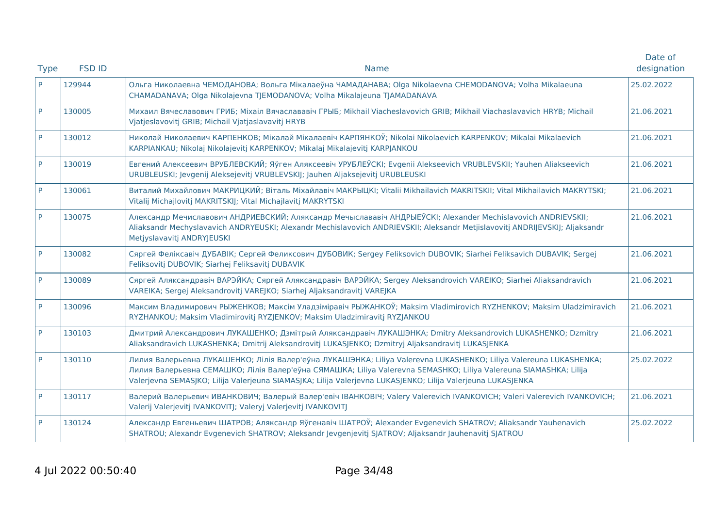| <b>Type</b> | <b>FSD ID</b> | <b>Name</b>                                                                                                                                                                                                                                                                                                                                            | Date of<br>designation |
|-------------|---------------|--------------------------------------------------------------------------------------------------------------------------------------------------------------------------------------------------------------------------------------------------------------------------------------------------------------------------------------------------------|------------------------|
| P           | 129944        | Ольга Николаевна ЧЕМОДАНОВА; Вольга Мікалаеўна ЧАМАДАНАВА; Olga Nikolaevna CHEMODANOVA; Volha Mikalaeuna<br>CHAMADANAVA; Olga Nikolajevna TJEMODANOVA; Volha Mikalajeuna TJAMADANAVA                                                                                                                                                                   | 25.02.2022             |
| P           | 130005        | Михаил Вячеславович ГРИБ; Mixaiл Вячаслававіч ГРЫБ; Mikhail Viacheslavovich GRIB; Mikhail Viachaslavavich HRYB; Michail<br>Vjatjeslavovitj GRIB; Michail Vjatjaslavavitj HRYB                                                                                                                                                                          | 21.06.2021             |
| P           | 130012        | Николай Николаевич КАРПЕНКОВ; Мікалай Мікалаевіч КАРПЯНКОЎ; Nikolai Nikolaevich KARPENKOV; Mikalai Mikalaevich<br>KARPIANKAU; Nikolaj Nikolajevitj KARPENKOV; Mikalaj Mikalajevitj KARPJANKOU                                                                                                                                                          | 21.06.2021             |
| P           | 130019        | Евгений Алексеевич ВРУБЛЕВСКИЙ; Яўген Аляксеевіч УРУБЛЕЎСКІ; Evgenii Alekseevich VRUBLEVSKII; Yauhen Aliakseevich<br>URUBLEUSKI; Jevgenij Aleksejevitj VRUBLEVSKIJ; Jauhen Aljaksejevitj URUBLEUSKI                                                                                                                                                    | 21.06.2021             |
| P           | 130061        | Виталий Михайлович МАКРИЦКИЙ; Віталь Міхайлавіч МАКРЫЦКІ; Vitalii Mikhailavich MAKRITSKII; Vital Mikhailavich MAKRYTSKI;<br>Vitalij Michajlovitj MAKRITSKIJ; Vital Michajlavitj MAKRYTSKI                                                                                                                                                              | 21.06.2021             |
| P           | 130075        | Александр Мечиславович АНДРИЕВСКИЙ; Аляксандр Мечыслававіч АНДРЫЕЎСКІ; Alexander Mechislavovich ANDRIEVSKII;<br>Aliaksandr Mechyslavavich ANDRYEUSKI; Alexandr Mechislavovich ANDRIEVSKII; Aleksandr Metjislavovitj ANDRIJEVSKIJ; Aljaksandr<br>Metjyslavavitj ANDRYJEUSKI                                                                             | 21.06.2021             |
| P           | 130082        | Сяргей Феліксавіч ДУБАВІК; Сергей Феликсович ДУБОВИК; Sergey Feliksovich DUBOVIK; Siarhei Feliksavich DUBAVIK; Sergej<br>Feliksovitj DUBOVIK; Siarhej Feliksavitj DUBAVIK                                                                                                                                                                              | 21.06.2021             |
| P           | 130089        | Сяргей Аляксандравіч ВАРЭЙКА; Сяргей Аляксандравіч ВАРЭЙКА; Sergey Aleksandrovich VAREIKO; Siarhei Aliaksandravich<br>VAREIKA; Sergej Aleksandrovitj VAREJKO; Siarhej Aljaksandravitj VAREJKA                                                                                                                                                          | 21.06.2021             |
| P           | 130096        | Максим Владимирович РЫЖЕНКОВ; Максім Уладзіміравіч РЫЖАНКОЎ; Maksim Vladimirovich RYZHENKOV; Maksim Uladzimiravich<br>RYZHANKOU; Maksim Vladimirovitj RYZJENKOV; Maksim Uladzimiravitj RYZJANKOU                                                                                                                                                       | 21.06.2021             |
| P           | 130103        | Дмитрий Александрович ЛУКАШЕНКО; Дзмітрый Аляксандравіч ЛУКАШЭНКА; Dmitry Aleksandrovich LUKASHENKO; Dzmitry<br>Aliaksandravich LUKASHENKA; Dmitrij Aleksandrovitj LUKASJENKO; Dzmitryj Aljaksandravitj LUKASJENKA                                                                                                                                     | 21.06.2021             |
| P           | 130110        | Лилия Валерьевна ЛУКАШЕНКО; Лілія Валер'еўна ЛУКАШЭНКА; Liliya Valerevna LUKASHENKO; Liliya Valereuna LUKASHENKA;<br>Лилия Валерьевна СЕМАШКО; Лілія Валер'еўна СЯМАШКА; Liliya Valerevna SEMASHKO; Liliya Valereuna SIAMASHKA; Lilija<br>Valerjevna SEMASJKO; Lilija Valerjeuna SIAMASJKA; Lilija Valerjevna LUKASJENKO; Lilija Valerjeuna LUKASJENKA | 25.02.2022             |
| P           | 130117        | Валерий Валерьевич ИВАНКОВИЧ; Валерый Валер'евіч ІВАНКОВІЧ; Valery Valerevich IVANKOVICH; Valeri Valerevich IVANKOVICH;<br>Valerij Valerjevitj IVANKOVITJ; Valeryj Valerjevitj IVANKOVITJ                                                                                                                                                              | 21.06.2021             |
| P           | 130124        | Александр Евгеньевич ШАТРОВ; Аляксандр Яўгенавіч ШАТРОЎ; Alexander Evgenevich SHATROV; Aliaksandr Yauhenavich<br>SHATROU; Alexandr Evgenevich SHATROV; Aleksandr Jevgenjevitj SJATROV; Aljaksandr Jauhenavitj SJATROU                                                                                                                                  | 25.02.2022             |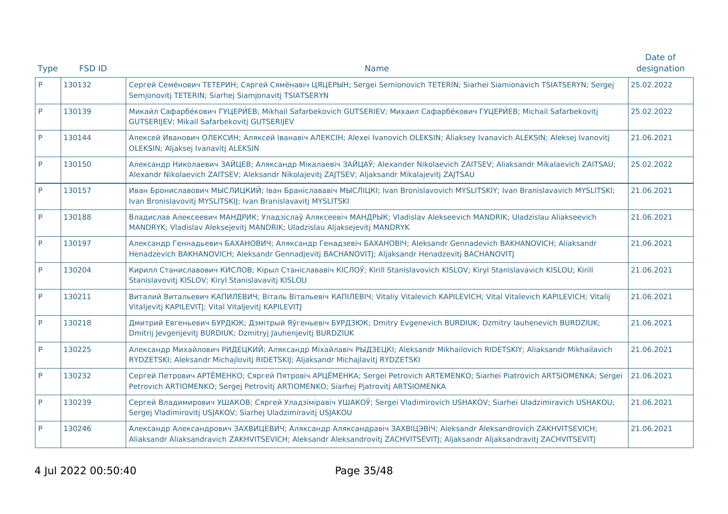|             |               |                                                                                                                                                                                                                                               | Date of     |
|-------------|---------------|-----------------------------------------------------------------------------------------------------------------------------------------------------------------------------------------------------------------------------------------------|-------------|
| <b>Type</b> | <b>FSD ID</b> | <b>Name</b>                                                                                                                                                                                                                                   | designation |
| P           | 130132        | Сергей Семёнович ТЕТЕРИН; Сяргей Сямёнавіч ЦЯЦЕРЫН; Sergei Semionovich TETERIN; Siarhei Siamionavich TSIATSERYN; Sergej<br>Semjonovitj TETERIN; Siarhej Siamjonavitj TSIATSERYN                                                               | 25.02.2022  |
| P           | 130139        | Микаи́л Сафарбе́кович ГУЦЕРИ́ЕВ; Mikhail Safarbekovich GUTSERIEV; Михаил Сафарбе́кович ГУЦЕРИ́ЕВ; Michail Safarbekovitj<br>GUTSERIJEV; Mikail Safarbekovitj GUTSERIJEV                                                                        | 25.02.2022  |
| P           | 130144        | Алексей Иванович ОЛЕКСИН; Аляксей Іванавіч АЛЕКСІН; Alexei Ivanovich OLEKSIN; Aliaksey Ivanavich ALEKSIN; Aleksej Ivanovitj<br>OLEKSIN; Aljaksej Ivanavitj ALEKSIN                                                                            | 21.06.2021  |
| P           | 130150        | Александр Николаевич ЗАЙЦЕВ; Аляксандр Мікалаевіч ЗАЙЦАЎ; Alexander Nikolaevich ZAITSEV; Aliaksandr Mikalaevich ZAITSAU;<br>Alexandr Nikolaevich ZAITSEV; Aleksandr Nikolajevitj ZAJTSEV; Aljaksandr Mikalajevitj ZAJTSAU                     | 25.02.2022  |
| <b>P</b>    | 130157        | Иван Брониславович МЫСЛИЦКИЙ; Іван Браніслававіч МЫСЛІЦКІ; Ivan Bronislavovich MYSLITSKIY; Ivan Branislavavich MYSLITSKI;<br>Ivan Bronislavovitj MYSLITSKIJ; Ivan Branislavavitj MYSLITSKI                                                    | 21.06.2021  |
| P           | 130188        | Владислав Алексеевич МАНДРИК; Уладзіслаў Аляксеевіч МАНДРЫК; Vladislav Alekseevich MANDRIK; Uladzislau Aliakseevich<br>MANDRYK; Vladislav Aleksejevitj MANDRIK; Uladzislau Aljaksejevitj MANDRYK                                              | 21.06.2021  |
| P           | 130197        | Александр Геннадьевич БАХАНОВИЧ; Аляксандр Генадзевіч БАХАНОВІЧ; Aleksandr Gennadevich BAKHANOVICH; Aliaksandr<br>Henadzevich BAKHANOVICH; Aleksandr Gennadjevitj BACHANOVITJ; Aljaksandr Henadzevitj BACHANOVITJ                             | 21.06.2021  |
| P           | 130204        | Кирилл Станиславович КИСЛОВ; Кірыл Станіслававіч КІСЛОЎ; Kirill Stanislavovich KISLOV; Kiryl Stanislavavich KISLOU; Kirill<br>Stanislavovitj KISLOV; Kiryl Stanislavavitj KISLOU                                                              | 21.06.2021  |
| P           | 130211        | Виталий Витальевич КАПИЛЕВИЧ; Віталь Вітальевіч КАПІЛЕВІЧ; Vitaliy Vitalevich KAPILEVICH; Vital Vitalevich KAPILEVICH; Vitalij<br>Vitaljevitj KAPILEVITJ; Vital Vitaljevitj KAPILEVITJ                                                        | 21.06.2021  |
| P           | 130218        | Дмитрий Евгеньевич БУРДЮК; Дзмітрый Яўгеньевіч БУРДЗЮК; Dmitry Evgenevich BURDIUK; Dzmitry lauhenevich BURDZIUK;<br>Dmitrij Jevgenjevitj BURDIUK; Dzmitryj Jauhenjevitj BURDZIUK                                                              | 21.06.2021  |
| P           | 130225        | Александр Михайлович РИДЕЦКИЙ; Аляксандр Міхайлавіч РЫДЗЕЦКІ; Aleksandr Mikhailovich RIDETSKIY; Aliaksandr Mikhailavich<br>RYDZETSKI; Aleksandr Michajlovitj RIDETSKIJ; Aljaksandr Michajlavitj RYDZETSKI                                     | 21.06.2021  |
| P           | 130232        | Сергей Петрович АРТЁМЕНКО; Сяргей Пятровіч АРЦЁМЕНКА; Sergei Petrovich ARTEMENKO; Siarhei Piatrovich ARTSIOMENKA; Sergei<br>Petrovich ARTIOMENKO; Sergej Petrovitj ARTIOMENKO; Siarhej Pjatrovitj ARTSIOMENKA                                 | 21.06.2021  |
| P           | 130239        | Сергей Владимирович УШАКОВ; Сяргей Уладзіміравіч УШАКОЎ; Sergei Vladimirovich USHAKOV; Siarhei Uladzimiravich USHAKOU;<br>Sergej Vladimirovitj USJAKOV; Siarhej Uladzimiravitj USJAKOU                                                        | 21.06.2021  |
| P           | 130246        | Александр Александрович ЗАХВИЦЕВИЧ; Аляксандр Аляксандравіч ЗАХВІЦЭВІЧ; Aleksandr Aleksandrovich ZAKHVITSEVICH;<br>Aliaksandr Aliaksandravich ZAKHVITSEVICH; Aleksandr Aleksandrovitj ZACHVITSEVITJ; Aljaksandr Aljaksandravitj ZACHVITSEVITJ | 21.06.2021  |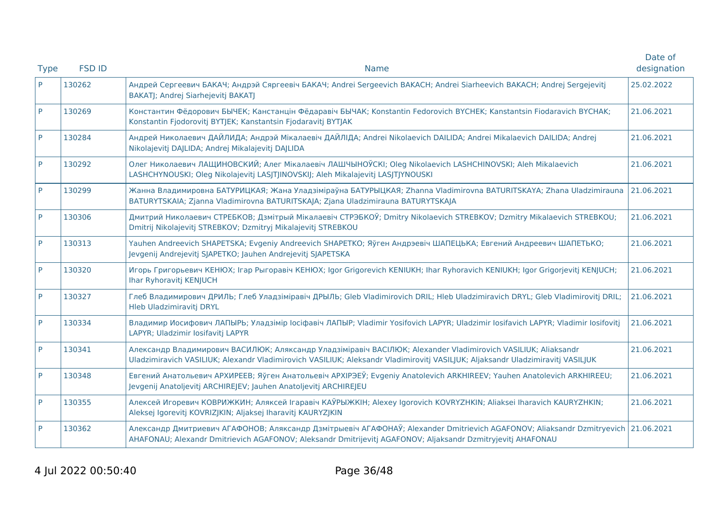|             |               |                                                                                                                                                                                                                                                  | Date of     |
|-------------|---------------|--------------------------------------------------------------------------------------------------------------------------------------------------------------------------------------------------------------------------------------------------|-------------|
| <b>Type</b> | <b>FSD ID</b> | <b>Name</b>                                                                                                                                                                                                                                      | designation |
| P           | 130262        | Андрей Сергеевич БАКАЧ; Андрэй Сяргеевіч БАКАЧ; Andrei Sergeevich BAKACH; Andrei Siarheevich BAKACH; Andrej Sergejevitj<br>BAKATJ; Andrej Siarhejevitj BAKATJ                                                                                    | 25.02.2022  |
| P           | 130269        | Константин Фёдорович БЫЧЕК; Канстанцін Фёдаравіч БЫЧАК; Konstantin Fedorovich BYCHEK; Kanstantsin Fiodaravich BYCHAK;<br>Konstantin Fjodorovitj BYTJEK; Kanstantsin Fjodaravitj BYTJAK                                                           | 21.06.2021  |
| P           | 130284        | Андрей Николаевич ДАЙЛИДА; Андрэй Мікалаевіч ДАЙЛІДА; Andrei Nikolaevich DAILIDA; Andrei Mikalaevich DAILIDA; Andrej<br>Nikolajevitj DAJLIDA; Andrej Mikalajevitj DAJLIDA                                                                        | 21.06.2021  |
| P           | 130292        | Олег Николаевич ЛАЩИНОВСКИЙ; Алег Мікалаевіч ЛАШЧЫНОЎСКІ; Oleg Nikolaevich LASHCHINOVSKI; Aleh Mikalaevich<br>LASHCHYNOUSKI; Oleg Nikolajevitj LASJTJINOVSKIJ; Aleh Mikalajevitj LASJTJYNOUSKI                                                   | 21.06.2021  |
| <b>P</b>    | 130299        | Жанна Владимировна БАТУРИЦКАЯ; Жана Уладзіміраўна БАТУРЫЦКАЯ; Zhanna Vladimirovna BATURITSKAYA; Zhana Uladzimirauna<br>BATURYTSKAIA; Zjanna Vladimirovna BATURITSKAJA; Zjana Uladzimirauna BATURYTSKAJA                                          | 21.06.2021  |
| P           | 130306        | Дмитрий Николаевич СТРЕБКОВ; Дзмітрый Мікалаевіч СТРЭБКОЎ; Dmitry Nikolaevich STREBKOV; Dzmitry Mikalaevich STREBKOU;<br>Dmitrij Nikolajevitj STREBKOV; Dzmitryj Mikalajevitj STREBKOU                                                           | 21.06.2021  |
| P           | 130313        | Yauhen Andreevich SHAPETSKA; Evgeniy Andreevich SHAPETKO; Яўген Андрэевіч ШАПЕЦЬКА; Евгений Андреевич ШАПЕТЬКО;<br>Jevgenij Andrejevitj SJAPETKO; Jauhen Andrejevitj SJAPETSKA                                                                   | 21.06.2021  |
| P           | 130320        | Игорь Григорьевич КЕНЮХ; Irap Рыгоравіч КЕНЮХ; Igor Grigorevich KENIUKH; Ihar Ryhoravich KENIUKH; Igor Grigorjevitj KENJUCH;<br>Ihar Ryhoravitj KENJUCH                                                                                          | 21.06.2021  |
| P           | 130327        | Глеб Владимирович ДРИЛЬ; Глеб Уладзіміравіч ДРЫЛЬ; Gleb Vladimirovich DRIL; Hleb Uladzimiravich DRYL; Gleb Vladimirovitj DRIL;<br>Hleb Uladzimiravitj DRYL                                                                                       | 21.06.2021  |
| P           | 130334        | Владимир Иосифович ЛАПЫРЬ; Уладзімір Іосіфавіч ЛАПЫР; Vladimir Yosifovich LAPYR; Uladzimir Iosifavich LAPYR; Vladimir Iosifovitj<br>LAPYR; Uladzimir Iosifavitj LAPYR                                                                            | 21.06.2021  |
| P           | 130341        | Александр Владимирович ВАСИЛЮК; Аляксандр Уладзіміравіч ВАСІЛЮК; Alexander Vladimirovich VASILIUK; Aliaksandr<br>Uladzimiravich VASILIUK; Alexandr Vladimirovich VASILIUK; Aleksandr Vladimirovitj VASILJUK; Aljaksandr Uladzimiravitj VASILJUK  | 21.06.2021  |
| P           | 130348        | Евгений Анатольевич АРХИРЕЕВ; Яўген Анатольевіч АРХІРЭЕЎ; Evgeniy Anatolevich ARKHIREEV; Yauhen Anatolevich ARKHIREEU;<br>Jevgenij Anatoljevitj ARCHIREJEV; Jauhen Anatoljevitj ARCHIREJEU                                                       | 21.06.2021  |
| P           | 130355        | Алексей Игоревич КОВРИЖКИН; Аляксей Ігаравіч КАЎРЫЖКІН; Alexey Igorovich KOVRYZHKIN; Aliaksei Iharavich KAURYZHKIN;<br>Aleksej Igorevitj KOVRIZJKIN; Aljaksej Iharavitj KAURYZJKIN                                                               | 21.06.2021  |
| P           | 130362        | Александр Дмитриевич АГАФОНОВ; Аляксандр Дзмітрыевіч АГАФОНАЎ; Alexander Dmitrievich AGAFONOV; Aliaksandr Dzmitryevich 21.06.2021<br>AHAFONAU; Alexandr Dmitrievich AGAFONOV; Aleksandr Dmitrijevitj AGAFONOV; Aljaksandr Dzmitryjevitj AHAFONAU |             |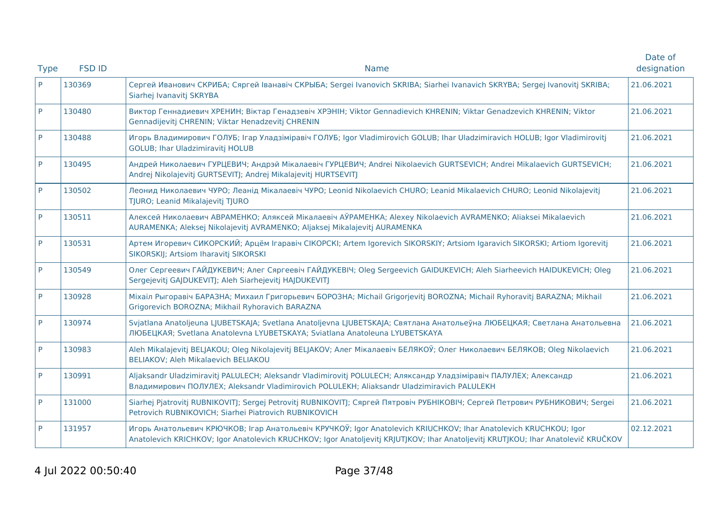|             |               |                                                                                                                                                                                                                                                       | Date of     |
|-------------|---------------|-------------------------------------------------------------------------------------------------------------------------------------------------------------------------------------------------------------------------------------------------------|-------------|
| <b>Type</b> | <b>FSD ID</b> | <b>Name</b>                                                                                                                                                                                                                                           | designation |
| P           | 130369        | Сергей Иванович СКРИБА; Сяргей Іванавіч СКРЫБА; Sergei Ivanovich SKRIBA; Siarhei Ivanavich SKRYBA; Sergej Ivanovitj SKRIBA;<br>Siarhej Ivanavitj SKRYBA                                                                                               | 21.06.2021  |
| P           | 130480        | Виктор Геннадиевич ХРЕНИН; Віктар Генадзевіч ХРЭНІН; Viktor Gennadievich KHRENIN; Viktar Genadzevich KHRENIN; Viktor<br>Gennadijevitj CHRENIN; Viktar Henadzevitj CHRENIN                                                                             | 21.06.2021  |
| P           | 130488        | Игорь Владимирович ГОЛУБ; Irap Уладзіміравіч ГОЛУБ; Igor Vladimirovich GOLUB; Ihar Uladzimiravich HOLUB; Igor Vladimirovitj<br><b>GOLUB</b> ; Ihar Uladzimiravitj HOLUB                                                                               | 21.06.2021  |
| P           | 130495        | Андрей Николаевич ГУРЦЕВИЧ; Андрэй Мікалаевіч ГУРЦЕВИЧ; Andrei Nikolaevich GURTSEVICH; Andrei Mikalaevich GURTSEVICH;<br>Andrej Nikolajevitj GURTSEVITJ; Andrej Mikalajevitj HURTSEVITJ                                                               | 21.06.2021  |
| <b>P</b>    | 130502        | Леонид Николаевич ЧУРО; Леанід Мікалаевіч ЧУРО; Leonid Nikolaevich CHURO; Leanid Mikalaevich CHURO; Leonid Nikolajevitj<br>TJURO; Leanid Mikalajevitj TJURO                                                                                           | 21.06.2021  |
| P           | 130511        | Алексей Николаевич АВРАМЕНКО; Аляксей Мікалаевіч АЎРАМЕНКА; Alexey Nikolaevich AVRAMENKO; Aliaksei Mikalaevich<br>AURAMENKA; Aleksej Nikolajevitj AVRAMENKO; Aljaksej Mikalajevitj AURAMENKA                                                          | 21.06.2021  |
| P           | 130531        | Артем Игоревич СИКОРСКИЙ; Арцём Ігаравіч СІКОРСКІ; Artem Igorevich SIKORSKIY; Artsiom Igaravich SIKORSKI; Artiom Igorevitj<br>SIKORSKIJ; Artsiom Iharavitj SIKORSKI                                                                                   | 21.06.2021  |
| P           | 130549        | Олег Сергеевич ГАЙДУКЕВИЧ; Алег Сяргеевіч ГАЙДУКЕВІЧ; Oleg Sergeevich GAIDUKEVICH; Aleh Siarheevich HAIDUKEVICH; Oleg<br>Sergejevitj GAJDUKEVITJ; Aleh Siarhejevitj HAJDUKEVITJ                                                                       | 21.06.2021  |
| P           | 130928        | Міхаіл Рыгоравіч БАРАЗНА; Михаил Григорьевич БОРОЗНА; Michail Grigorjevitj BOROZNA; Michail Ryhoravitj BARAZNA; Mikhail<br>Grigorevich BOROZNA; Mikhail Ryhoravich BARAZNA                                                                            | 21.06.2021  |
| P           | 130974        | Svjatlana Anatoljeuna LJUBETSKAJA; Svetlana Anatoljevna LJUBETSKAJA; Святлана Анатольеўна ЛЮБЕЦКАЯ; Светлана Анатольевна<br>ЛЮБЕЦКАЯ; Svetlana Anatolevna LYUBETSKAYA; Sviatlana Anatoleuna LYUBETSKAYA                                               | 21.06.2021  |
| P           | 130983        | Aleh Mikalajevitj BELJAKOU; Oleg Nikolajevitj BELJAKOV; Алег Мікалаевіч БЕЛЯКОЎ; Олег Николаевич БЕЛЯКОВ; Oleg Nikolaevich<br>BELIAKOV; Aleh Mikalaevich BELIAKOU                                                                                     | 21.06.2021  |
| P           | 130991        | Aljaksandr Uladzimiravitj PALULECH; Aleksandr Vladimirovitj POLULECH; Аляксандр Уладзіміравіч ПАЛУЛЕХ; Александр<br>Владимирович ПОЛУЛЕХ; Aleksandr Vladimirovich POLULEKH; Aliaksandr Uladzimiravich PALULEKH                                        | 21.06.2021  |
| <b>P</b>    | 131000        | Siarhej Pjatrovitj RUBNIKOVITJ; Sergej Petrovitj RUBNIKOVITJ; Сяргей Пятровіч РУБНІКОВІЧ; Сергей Петрович РУБНИКОВИЧ; Sergei<br>Petrovich RUBNIKOVICH; Siarhei Piatrovich RUBNIKOVICH                                                                 | 21.06.2021  |
| P           | 131957        | Игорь Анатольевич КРЮЧКОВ; Ігар Анатольевіч КРУЧКОЎ; Igor Anatolevich KRIUCHKOV; Ihar Anatolevich KRUCHKOU; Igor<br>Anatolevich KRICHKOV; Igor Anatolevich KRUCHKOV; Igor Anatoljevitj KRJUTJKOV; Ihar Anatoljevitj KRUTJKOU; Ihar Anatolevič KRUČKOV | 02.12.2021  |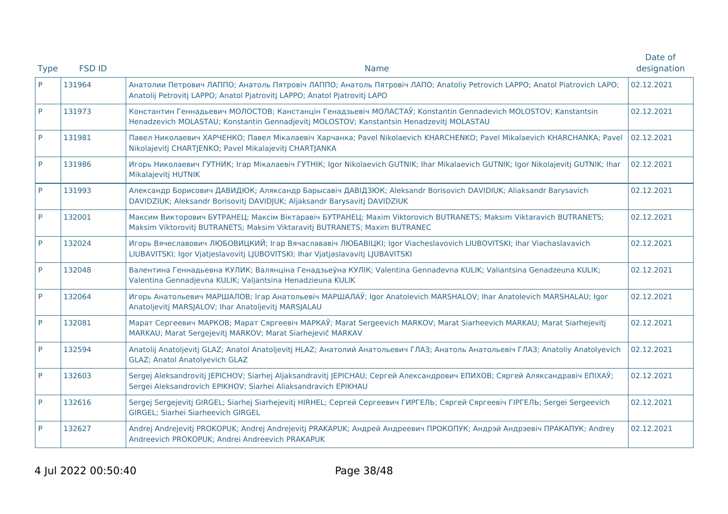| <b>Type</b> | <b>FSD ID</b><br><b>Name</b> |                                                                                                                                                                                                            | Date of<br>designation |
|-------------|------------------------------|------------------------------------------------------------------------------------------------------------------------------------------------------------------------------------------------------------|------------------------|
| P           | 131964                       | Анатолии Петрович ЛАППО; Анатоль Пятровіч ЛАППО; Анатоль Пятровіч ЛАПО; Anatoliy Petrovich LAPPO; Anatol Piatrovich LAPO;<br>Anatolij Petrovitj LAPPO; Anatol Pjatrovitj LAPPO; Anatol Pjatrovitj LAPO     |                        |
| P           | 131973                       | Константин Геннадьевич МОЛОСТОВ; Канстанцін Генадзьевіч МОЛАСТАЎ; Konstantin Gennadevich MOLOSTOV; Kanstantsin<br>Henadzevich MOLASTAU; Konstantin Gennadjevitj MOLOSTOV; Kanstantsin Henadzevitj MOLASTAU | 02.12.2021             |
| P           | 131981                       | Павел Николаевич ХАРЧЕНКО; Павел Мікалаевіч Харчанка; Pavel Nikolaevich KHARCHENKO; Pavel Mikalaevich KHARCHANKA; Pavel<br>Nikolajevitj CHARTJENKO; Pavel Mikalajevitj CHARTJANKA                          | 02.12.2021             |
| P           | 131986                       | Игорь Николаевич ГУТНИК; Iгар Мікалаевіч ГУТНІК; Igor Nikolaevich GUTNIK; Ihar Mikalaevich GUTNIK; Igor Nikolajevitj GUTNIK; Ihar<br>Mikalajevitj HUTNIK                                                   | 02.12.2021             |
| P           | 131993                       | Александр Борисович ДАВИДЮК; Аляксандр Барысавіч ДАВІДЗЮК; Aleksandr Borisovich DAVIDIUK; Aliaksandr Barysavich<br>DAVIDZIUK; Aleksandr Borisovitj DAVIDJUK; Aljaksandr Barysavitj DAVIDZIUK               | 02.12.2021             |
| P           | 132001                       | Максим Викторович БУТРАНЕЦ; Максім Віктаравіч БУТРАНЕЦ; Maxim Viktorovich BUTRANETS; Maksim Viktaravich BUTRANETS;<br>Maksim Viktorovitj BUTRANETS; Maksim Viktaravitj BUTRANETS; Maxim BUTRANEC           |                        |
| P           | 132024                       | Игорь Вячеславович ЛЮБОВИЦКИЙ; Ігар Вячаслававіч ЛЮБАВІЦКІ; Igor Viacheslavovich LIUBOVITSKI; Ihar Viachaslavavich<br>LIUBAVITSKI; Igor Vjatjeslavovitj LJUBOVITSKI; Ihar Vjatjaslavavitj LJUBAVITSKI      |                        |
| P           | 132048                       | Валентина Геннадьевна КУЛИК; Валянціна Генадзьеўна КУЛІК; Valentina Gennadevna KULIK; Valiantsina Genadzeuna KULIK;<br>Valentina Gennadjevna KULIK; Valjantsina Henadzieuna KULIK                          |                        |
| P           | 132064                       | Игорь Анатольевич МАРШАЛОВ; Ігар Анатольевіч МАРШАЛАЎ; Igor Anatolevich MARSHALOV; Ihar Anatolevich MARSHALAU; Igor<br>Anatoljevitj MARSJALOV; Ihar Anatoljevitj MARSJALAU                                 | 02.12.2021             |
| P           | 132081                       | Марат Сергеевич МАРКОВ; Марат Сяргеевіч МАРКАЎ; Marat Sergeevich MARKOV; Marat Siarheevich MARKAU; Marat Siarhejevitj<br>MARKAU; Marat Sergejevitj MARKOV; Marat Siarhejevič MARKAV                        | 02.12.2021             |
| P           | 132594                       | Anatolij Anatoljevitj GLAZ; Anatol Anatoljevitj HLAZ; Анатолий Анатольевич ГЛАЗ; Анатоль Анатольевіч ГЛАЗ; Anatoliy Anatolyevich<br><b>GLAZ</b> ; Anatol Anatolyevich GLAZ                                 |                        |
| P           | 132603                       | Sergej Aleksandrovitj JEPICHOV; Siarhej Aljaksandravitj JEPICHAU; Сергей Александрович ЕПИХОВ; Сяргей Аляксандравіч ЕПІХАЎ;<br>Sergei Aleksandrovich EPIKHOV; Siarhei Aliaksandravich EPIKHAU              | 02.12.2021             |
| P           | 132616                       | Sergej Sergejevitj GIRGEL; Siarhej Siarhejevitj HIRHEL; Сергей Сергеевич ГИРГЕЛЬ; Сяргей Сяргеевіч ГІРГЕЛЬ; Sergei Sergeevich<br><b>GIRGEL; Siarhei Siarheevich GIRGEL</b>                                 | 02.12.2021             |
| P           | 132627                       | Andrej Andrejevitj PROKOPUK; Andrej Andrejevitj PRAKAPUK; Андрей Андреевич ПРОКОПУК; Андрэй Андрэевіч ПРАКАПУК; Andrey<br>Andreevich PROKOPUK; Andrei Andreevich PRAKAPUK                                  |                        |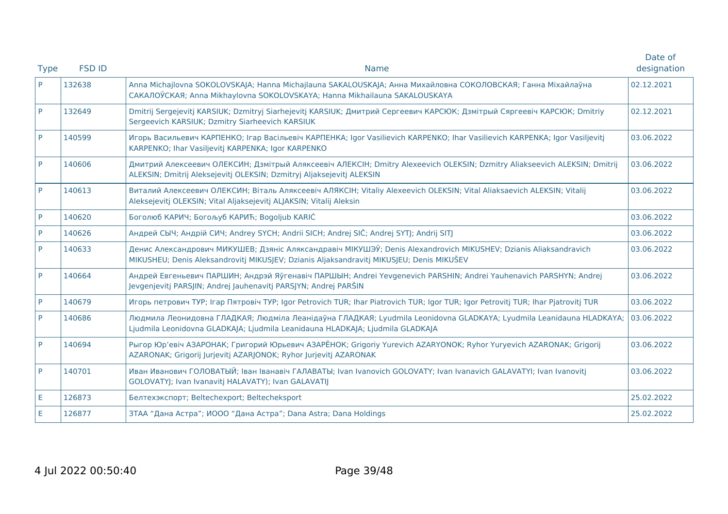| <b>Type</b> | <b>FSD ID</b><br><b>Name</b> |                                                                                                                                                                                                              | Date of<br>designation |
|-------------|------------------------------|--------------------------------------------------------------------------------------------------------------------------------------------------------------------------------------------------------------|------------------------|
| P           | 132638                       | Anna Michajlovna SOKOLOVSKAJA; Hanna Michajlauna SAKALOUSKAJA; Анна Михайловна СОКОЛОВСКАЯ; Ганна Міхайлаўна<br>CAKAJIOЎCKAЯ; Anna Mikhaylovna SOKOLOVSKAYA; Hanna Mikhailauna SAKALOUSKAYA                  |                        |
| P           | 132649                       | Dmitrij Sergejevitj KARSIUK; Dzmitryj Siarhejevitj KARSIUK; Дмитрий Сергеевич КАРСЮК; Дзмітрый Сяргеевіч КАРСЮК; Dmitriy<br>Sergeevich KARSIUK; Dzmitry Siarheevich KARSIUK                                  |                        |
| P           | 140599                       | Игорь Васильевич КАРПЕНКО; Ігар Васільевіч КАРПЕНКА; Igor Vasilievich KARPENKO; Ihar Vasilievich KARPENKA; Igor Vasiljevitj<br>KARPENKO; Ihar Vasiljevitj KARPENKA; Igor KARPENKO                            | 03.06.2022             |
| P           | 140606                       | Дмитрий Алексеевич ОЛЕКСИН; Дзмітрый Аляксеевіч АЛЕКСІН; Dmitry Alexeevich OLEKSIN; Dzmitry Aliakseevich ALEKSIN; Dmitrij<br>ALEKSIN; Dmitrij Aleksejevitj OLEKSIN; Dzmitryj Aljaksejevitj ALEKSIN           | 03.06.2022             |
| P           | 140613                       | Виталий Алексеевич ОЛЕКСИН; Віталь Аляксеевіч АЛЯКСІН; Vitaliy Alexeevich OLEKSIN; Vital Aliaksaevich ALEKSIN; Vitalij<br>Aleksejevitj OLEKSIN; Vital Aljaksejevitj ALJAKSIN; Vitalij Aleksin                |                        |
| P           | 140620                       | Боголюб КАРИЧ; Богољуб КАРИЋ; Bogoljub KARIĆ                                                                                                                                                                 | 03.06.2022             |
| P           | 140626                       | Андрей СЫЧ; Андрій СИЧ; Andrey SYCH; Andrii SICH; Andrej SIČ; Andrej SYTJ; Andrij SITJ                                                                                                                       |                        |
| P           | 140633                       | Денис Александрович МИКУШЕВ; Дзяніс Аляксандравіч МІКУШЭЎ; Denis Alexandrovich MIKUSHEV; Dzianis Aliaksandravich<br>MIKUSHEU; Denis Aleksandrovitį MIKUSĮEV; Dzianis Aljaksandravitį MIKUSĮEU; Denis MIKUŠEV |                        |
| P           | 140664                       | Андрей Евгеньевич ПАРШИН; Андрэй Яўгенавіч ПАРШЫН; Andrei Yevgenevich PARSHIN; Andrei Yauhenavich PARSHYN; Andrej<br>Jevgenjevitj PARSJIN; Andrej Jauhenavitj PARSJYN; Andrej PARŠIN                         | 03.06.2022             |
| P           | 140679                       | Игорь петрович ТУР; Irap Пятровіч ТУР; Igor Petrovich TUR; Ihar Piatrovich TUR; Igor TUR; Igor Petrovitj TUR; Ihar Pjatrovitj TUR                                                                            | 03.06.2022             |
| P           | 140686                       | Людмила Леонидовна ГЛАДКАЯ; Людміла Леанідаўна ГЛАДКАЯ; Lyudmila Leonidovna GLADKAYA; Lyudmila Leanidauna HLADKAYA;<br>Ljudmila Leonidovna GLADKAJA; Ljudmila Leanidauna HLADKAJA; Ljudmila GLADKAJA         |                        |
| P           | 140694                       | Рыгор Юр'евіч АЗАРОНАК; Григорий Юрьевич АЗАРЁНОК; Grigoriy Yurevich AZARYONOK; Ryhor Yuryevich AZARONAK; Grigorij<br>AZARONAK; Grigorij Jurjevitj AZARJONOK; Ryhor Jurjevitj AZARONAK                       |                        |
| P           | 140701                       | Иван Иванович ГОЛОВАТЫЙ; Іван Іванавіч ГАЛАВАТЫ; Ivan Ivanovich GOLOVATY; Ivan Ivanavich GALAVATYI; Ivan Ivanovitj<br>GOLOVATYJ; Ivan Ivanavitj HALAVATY); Ivan GALAVATIJ                                    | 03.06.2022             |
| Е           | 126873                       | Белтехэкспорт; Beltechexport; Beltecheksport                                                                                                                                                                 | 25.02.2022             |
| E           | 126877                       | ЗТАА "Дана Астра"; ИООО "Дана Астра"; Dana Astra; Dana Holdings                                                                                                                                              | 25.02.2022             |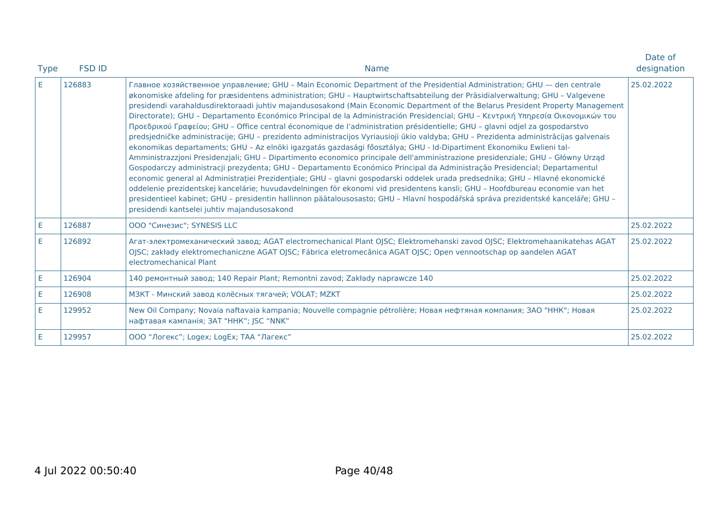| <b>Type</b> | <b>FSD ID</b><br><b>Name</b>                                                                                                                                                                                                                                                                                                                                                                                                                                                                                                                                                                                                                                                                                                                                                                                                                                                                                                                                                                                                                                                                                                                                                                                                                                                                                                                                                                                                                                                                                                                                                                                                                               |                                                                                                                                                                                                                                                                          | Date of<br>designation |  |
|-------------|------------------------------------------------------------------------------------------------------------------------------------------------------------------------------------------------------------------------------------------------------------------------------------------------------------------------------------------------------------------------------------------------------------------------------------------------------------------------------------------------------------------------------------------------------------------------------------------------------------------------------------------------------------------------------------------------------------------------------------------------------------------------------------------------------------------------------------------------------------------------------------------------------------------------------------------------------------------------------------------------------------------------------------------------------------------------------------------------------------------------------------------------------------------------------------------------------------------------------------------------------------------------------------------------------------------------------------------------------------------------------------------------------------------------------------------------------------------------------------------------------------------------------------------------------------------------------------------------------------------------------------------------------------|--------------------------------------------------------------------------------------------------------------------------------------------------------------------------------------------------------------------------------------------------------------------------|------------------------|--|
| E           | Главное хозяйственное управление; GHU - Main Economic Department of the Presidential Administration; GHU - den centrale<br>126883<br>økonomiske afdeling for præsidentens administration; GHU - Hauptwirtschaftsabteilung der Präsidialverwaltung; GHU - Valgevene<br>presidendi varahaldusdirektoraadi juhtiv majandusosakond (Main Economic Department of the Belarus President Property Management<br>Directorate); GHU - Departamento Económico Principal de la Administración Presidencial; GHU - Κεντρική Υπηρεσία Οικονομικών του<br>Προεδρικού Γραφείου; GHU - Office central économique de l'administration présidentielle; GHU - glavni odjel za gospodarstvo<br>predsjedničke administracije; GHU - prezidento administracijos Vyriausioji ūkio valdyba; GHU - Prezidenta administrācijas galvenais<br>ekonomikas departaments; GHU - Az elnöki igazgatás gazdasági főosztálya; GHU - Id-Dipartiment Ekonomiku Ewlieni tal-<br>Amministrazzjoni Presidenzjali; GHU - Dipartimento economico principale dell'amministrazione presidenziale; GHU - Główny Urząd<br>Gospodarczy administracji prezydenta; GHU - Departamento Económico Principal da Administração Presidencial; Departamentul<br>economic general al Administrației Prezidențiale; GHU - glavni gospodarski oddelek urada predsednika; GHU - Hlavné ekonomické<br>oddelenie prezidentskej kancelárie; huvudavdelningen för ekonomi vid presidentens kansli; GHU - Hoofdbureau economie van het<br>presidentieel kabinet; GHU - presidentin hallinnon päätalousosasto; GHU - Hlavní hospodářská správa prezidentské kanceláře; GHU -<br>presidendi kantselei juhtiv majandusosakond |                                                                                                                                                                                                                                                                          | 25.02.2022             |  |
| E           | 126887                                                                                                                                                                                                                                                                                                                                                                                                                                                                                                                                                                                                                                                                                                                                                                                                                                                                                                                                                                                                                                                                                                                                                                                                                                                                                                                                                                                                                                                                                                                                                                                                                                                     | ООО "Синезис"; SYNESIS LLC                                                                                                                                                                                                                                               |                        |  |
| E.          | 126892                                                                                                                                                                                                                                                                                                                                                                                                                                                                                                                                                                                                                                                                                                                                                                                                                                                                                                                                                                                                                                                                                                                                                                                                                                                                                                                                                                                                                                                                                                                                                                                                                                                     | Агат-электромеханический завод; AGAT electromechanical Plant OJSC; Elektromehanski zavod OJSC; Elektromehaanikatehas AGAT<br>OJSC; zakłady elektromechaniczne AGAT OJSC; Fábrica eletromecânica AGAT OJSC; Open vennootschap op aandelen AGAT<br>electromechanical Plant |                        |  |
| E           | 126904                                                                                                                                                                                                                                                                                                                                                                                                                                                                                                                                                                                                                                                                                                                                                                                                                                                                                                                                                                                                                                                                                                                                                                                                                                                                                                                                                                                                                                                                                                                                                                                                                                                     | 140 ремонтный завод; 140 Repair Plant; Remontni zavod; Zakłady naprawcze 140                                                                                                                                                                                             | 25.02.2022             |  |
| E           | 126908                                                                                                                                                                                                                                                                                                                                                                                                                                                                                                                                                                                                                                                                                                                                                                                                                                                                                                                                                                                                                                                                                                                                                                                                                                                                                                                                                                                                                                                                                                                                                                                                                                                     | МЗКТ - Минский завод колёсных тягачей; VOLAT; MZKT                                                                                                                                                                                                                       | 25.02.2022             |  |
| E.          | 129952                                                                                                                                                                                                                                                                                                                                                                                                                                                                                                                                                                                                                                                                                                                                                                                                                                                                                                                                                                                                                                                                                                                                                                                                                                                                                                                                                                                                                                                                                                                                                                                                                                                     | New Oil Company; Novaia naftavaia kampania; Nouvelle compagnie pétrolière; Новая нефтяная компания; ЗАО "ННК"; Новая<br>нафтавая кампанія; ЗАТ "ННК"; JSC "NNK"                                                                                                          | 25.02.2022             |  |
| E           | 129957                                                                                                                                                                                                                                                                                                                                                                                                                                                                                                                                                                                                                                                                                                                                                                                                                                                                                                                                                                                                                                                                                                                                                                                                                                                                                                                                                                                                                                                                                                                                                                                                                                                     | ООО "Логекс"; Logex; LogEx; ТАА "Лагекс"                                                                                                                                                                                                                                 | 25.02.2022             |  |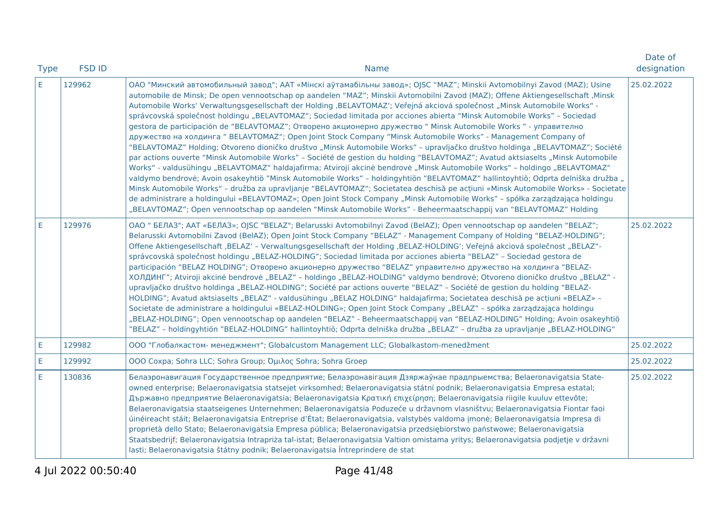| <b>Type</b> | <b>FSD ID</b><br><b>Name</b> |                                                                                                                                                                                                                                                                                                                                                                                                                                                                                                                                                                                                                                                                                                                                                                                                                                                                                                                                                                                                                                                                                                                                                                                                                                                                                                                                                                                                                                                                                                                                                                                                                                                                                           |            |
|-------------|------------------------------|-------------------------------------------------------------------------------------------------------------------------------------------------------------------------------------------------------------------------------------------------------------------------------------------------------------------------------------------------------------------------------------------------------------------------------------------------------------------------------------------------------------------------------------------------------------------------------------------------------------------------------------------------------------------------------------------------------------------------------------------------------------------------------------------------------------------------------------------------------------------------------------------------------------------------------------------------------------------------------------------------------------------------------------------------------------------------------------------------------------------------------------------------------------------------------------------------------------------------------------------------------------------------------------------------------------------------------------------------------------------------------------------------------------------------------------------------------------------------------------------------------------------------------------------------------------------------------------------------------------------------------------------------------------------------------------------|------------|
| E.          | 129962                       | ОАО "Минский автомобильный завод"; ААТ «Мінскі аўтамабільны завод»; ОЈЅС "MAZ"; Minskii Avtomobilnyi Zavod (MAZ); Usine<br>automobile de Minsk; De open vennootschap op aandelen "MAZ"; Minskii Avtomobilni Zavod (MAZ); Offene Aktiengesellschaft , Minsk<br>Automobile Works' Verwaltungsgesellschaft der Holding ,BELAVTOMAZ'; Veřejná akciová společnost "Minsk Automobile Works" -<br>správcovská společnost holdingu "BELAVTOMAZ"; Sociedad limitada por acciones abierta "Minsk Automobile Works" - Sociedad<br>gestora de participación de "BELAVTOMAZ"; Отворено акционерно дружество " Minsk Automobile Works " - управително<br>дружество на холдинга "BELAVTOMAZ"; Open Joint Stock Company "Minsk Automobile Works" - Management Company of<br>"BELAVTOMAZ" Holding; Otvoreno dioničko društvo "Minsk Automobile Works" - upravljačko društvo holdinga "BELAVTOMAZ"; Société<br>par actions ouverte "Minsk Automobile Works" - Société de gestion du holding "BELAVTOMAZ"; Avatud aktsiaselts "Minsk Automobile<br>Works" - valdusühingu "BELAVTOMAZ" haldajafirma; Atviroji akcinė bendrovė "Minsk Automobile Works" - holdingo "BELAVTOMAZ"<br>valdymo bendrovė; Avoin osakeyhtiö "Minsk Automobile Works" - holdingyhtiön "BELAVTOMAZ" hallintoyhtiö; Odprta delniška družba "<br>Minsk Automobile Works" - družba za upravljanje "BELAVTOMAZ"; Societatea deschisă pe acțiuni «Minsk Automobile Works» - Societate<br>de administrare a holdingului «BELAVTOMAZ»; Open Joint Stock Company "Minsk Automobile Works" - spółka zarządzająca holdingu<br>"BELAVTOMAZ"; Open vennootschap op aandelen "Minsk Automobile Works" - Beheermaatschappij van "BELAVTOMAZ" Holding | 25.02.2022 |
| E.          | 129976                       | ОАО " БЕЛАЗ"; ААТ «БЕЛАЗ»; OJSC "BELAZ"; Belarusski Avtomobilnyi Zavod (BelAZ); Open vennootschap op aandelen "BELAZ";<br>Belarusski Avtomobilni Zavod (BelAZ); Open Joint Stock Company "BELAZ" - Management Company of Holding "BELAZ-HOLDING";<br>Offene Aktiengesellschaft ,BELAZ' - Verwaltungsgesellschaft der Holding ,BELAZ-HOLDING'; Veřejná akciová společnost "BELAZ"-<br>správcovská společnost holdingu "BELAZ-HOLDING"; Sociedad limitada por acciones abierta "BELAZ" - Sociedad gestora de<br>participación "BELAZ HOLDING"; Отворено акционерно дружество "BELAZ" управително дружество на холдинга "BELAZ-<br>ХОЛДИНГ"; Atviroji akcinė bendrovė "BELAZ" - holdingo "BELAZ-HOLDING" valdymo bendrovė; Otvoreno dioničko društvo "BELAZ" -<br>upravljačko društvo holdinga "BELAZ-HOLDING"; Société par actions ouverte "BELAZ" - Société de gestion du holding "BELAZ-<br>HOLDING"; Avatud aktsiaselts "BELAZ" - valdusühingu "BELAZ HOLDING" haldajafirma; Societatea deschisă pe acțiuni «BELAZ» -<br>Societate de administrare a holdingului «BELAZ-HOLDING»; Open Joint Stock Company "BELAZ" - spółka zarządzająca holdingu<br>"BELAZ-HOLDING"; Open vennootschap op aandelen "BELAZ" - Beheermaatschappij van "BELAZ-HOLDING" Holding; Avoin osakeyhtiö<br>"BELAZ" - holdingyhtiön "BELAZ-HOLDING" hallintoyhtiö; Odprta delniška družba "BELAZ" - družba za upravljanje "BELAZ-HOLDING"                                                                                                                                                                                                                                                                          | 25.02.2022 |
| E.          | 129982                       | ООО "Глобалкастом- менеджмент"; Globalcustom Management LLC; Globalkastom-menedžment                                                                                                                                                                                                                                                                                                                                                                                                                                                                                                                                                                                                                                                                                                                                                                                                                                                                                                                                                                                                                                                                                                                                                                                                                                                                                                                                                                                                                                                                                                                                                                                                      | 25.02.2022 |
| E.          | 129992                       | OOO Coxpa; Sohra LLC; Sohra Group; Όμιλος Sohra; Sohra Groep                                                                                                                                                                                                                                                                                                                                                                                                                                                                                                                                                                                                                                                                                                                                                                                                                                                                                                                                                                                                                                                                                                                                                                                                                                                                                                                                                                                                                                                                                                                                                                                                                              | 25.02.2022 |
| E.          | 130836                       | Белаэронавигация Государственное предприятие; Белаэронавігация Дзяржаўнае прадпрыемства; Belaeronavigatsia State-<br>owned enterprise; Belaeronavigatsia statsejet virksomhed; Belaeronavigatsia státní podnik; Belaeronavigatsia Empresa estatal;<br>Държавно предприятие Belaeronavigatsia; Belaeronavigatsia Κρατική επιχείρηση; Belaeronavigatsia riigile kuuluv ettevõte;<br>Belaeronavigatsia staatseigenes Unternehmen; Belaeronavigatsia Poduzeće u državnom vlasništvu; Belaeronavigatsia Fiontar faoi<br>úinéireacht stáit; Belaeronavigatsia Entreprise d'État; Belaeronavigatsia, valstybės valdoma įmonė; Belaeronavigatsia Impresa di<br>proprietà dello Stato; Belaeronavigatsia Empresa pública; Belaeronavigatsia przedsiębiorstwo państwowe; Belaeronavigatsia<br>Staatsbedrijf; Belaeronavigatsia Intrapriża tal-istat; Belaeronavigatsia Valtion omistama yritys; Belaeronavigatsia podjetje v državni<br>lasti; Belaeronavigatsia štátny podnik; Belaeronavigatsia Întreprindere de stat                                                                                                                                                                                                                                                                                                                                                                                                                                                                                                                                                                                                                                                                             | 25.02.2022 |

4 Jul 2022 00:50:40 Page 41/48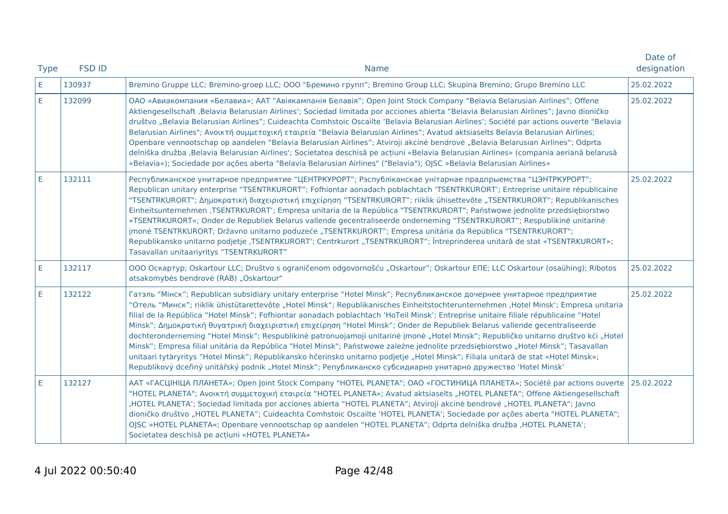| <b>Type</b> | <b>FSD ID</b><br><b>Name</b> |                                                                                                                                                                                                                                                                                                                                                                                                                                                                                                                                                                                                                                                                                                                                                                                                                                                                                                                                                                                                                                                                             | Date of<br>designation |
|-------------|------------------------------|-----------------------------------------------------------------------------------------------------------------------------------------------------------------------------------------------------------------------------------------------------------------------------------------------------------------------------------------------------------------------------------------------------------------------------------------------------------------------------------------------------------------------------------------------------------------------------------------------------------------------------------------------------------------------------------------------------------------------------------------------------------------------------------------------------------------------------------------------------------------------------------------------------------------------------------------------------------------------------------------------------------------------------------------------------------------------------|------------------------|
| E.          | 130937                       | Bremino Gruppe LLC; Bremino-groep LLC; ООО "Бремино групп"; Bremino Group LLC; Skupina Bremino; Grupo Bremino LLC                                                                                                                                                                                                                                                                                                                                                                                                                                                                                                                                                                                                                                                                                                                                                                                                                                                                                                                                                           |                        |
| E           | 132099                       | ОАО «Авиакомпания «Белавиа»; ААТ "Авіякампанія Белавія"; Open Joint Stock Company "Belavia Belarusian Airlines"; Offene<br>Aktiengesellschaft ,Belavia Belarusian Airlines'; Sociedad limitada por acciones abierta "Belavia Belarusian Airlines"; Javno dioničko<br>društvo "Belavia Belarusian Airlines"; Cuideachta Comhstoic Oscailte 'Belavia Belarusian Airlines'; Société par actions ouverte "Belavia<br>Belarusian Airlines"; Ανοικτή συμμετοχική εταιρεία "Belavia Belarusian Airlines"; Avatud aktsiaselts Belavia Belarusian Airlines;<br>Openbare vennootschap op aandelen "Belavia Belarusian Airlines"; Atviroji akcinė bendrovė "Belavia Belarusian Airlines"; Odprta<br>delniška družba ,Belavia Belarusian Airlines'; Societatea deschisă pe acțiuni «Belavia Belarusian Airlines» (compania aeriană belarusă<br>«Belavia»); Sociedade por ações aberta "Belavia Belarusian Airlines" ("Belavia"); OJSC »Belavia Belarusian Airlines«                                                                                                                     |                        |
| E           | 132111                       | Республиканское унитарное предприятие "ЦЕНТРКУРОРТ"; Рэспубліканскае унітарнае прадпрыемства "ЦЭНТРКУРОРТ";<br>Republican unitary enterprise "TSENTRKURORT"; Fofhiontar aonadach poblachtach 'TSENTRKURORT'; Entreprise unitaire républicaine<br>"TSENTRKURORT"; Δημοκρατική διαχειριστική επιχείρηση "TSENTRKURORT"; riiklik ühisettevõte "TSENTRKURORT"; Republikanisches<br>Einheitsunternehmen ,TSENTRKURORT'; Empresa unitaria de la República "TSENTRKURORT"; Państwowe jednolite przedsiębiorstwo<br>»TSENTRKURORT«; Onder de Republiek Belarus vallende gecentraliseerde onderneming "TSENTRKURORT"; Respublikinė unitarinė<br>jmonė TSENTRKURORT; Državno unitarno poduzeće "TSENTRKURORT"; Empresa unitária da República "TSENTRKURORT";<br>Republikansko unitarno podjetje ,TSENTRKURORT'; Centrkurort "TSENTRKURORT"; Întreprinderea unitară de stat «TSENTRKURORT»;<br>Tasavallan unitaariyritys "TSENTRKURORT"                                                                                                                                                |                        |
| E.          | 132117                       | ООО Оскартур; Oskartour LLC; Društvo s ograničenom odgovornošću "Oskartour"; Oskartour EПЕ; LLC Oskartour (osaühing); Ribotos<br>atsakomybės bendrovė (RAB) "Oskartour"                                                                                                                                                                                                                                                                                                                                                                                                                                                                                                                                                                                                                                                                                                                                                                                                                                                                                                     |                        |
| E           | 132122                       | Гатэль "Мінск"; Republican subsidiary unitary enterprise "Hotel Minsk"; Республиканское дочернее унитарное предприятие<br>"Отель "Минск"; riiklik ühistütarettevõte "Hotel Minsk"; Republikanisches Einheitstochterunternehmen ,Hotel Minsk'; Empresa unitaria<br>filial de la República "Hotel Minsk"; Fofhiontar aonadach poblachtach 'HoTeil Minsk'; Entreprise unitaire filiale républicaine "Hotel<br>Minsk"; Δημοκρατική θυγατρική διαχειριστική επιχείρηση "Hotel Minsk"; Onder de Republiek Belarus vallende gecentraliseerde<br>dochteronderneming "Hotel Minsk"; Respublikinė patronuojamoji unitarinė įmonė "Hotel Minsk"; Republičko unitarno društvo kći "Hotel<br>Minsk"; Empresa filial unitária da República "Hotel Minsk"; Państwowe zależne jednolite przedsiębiorstwo "Hotel Minsk"; Tasavallan<br>unitaari tytäryritys "Hotel Minsk"; Republikansko hčerinsko unitarno podjetje "Hotel Minsk"; Filiala unitară de stat «Hotel Minsk»;<br>Republikový dceřiný unitářský podnik "Hotel Minsk"; Републиканско субсидиарно унитарно дружество 'Hotel Minsk' |                        |
| E           | 132127                       | ААТ «ГАСЦІНІЦА ПЛАНЕТА»; Open Joint Stock Company "HOTEL PLANETA"; ОАО «ГОСТИНИЦА ПЛАНЕТА»; Société par actions ouverte   25.02.2022<br>"HOTEL PLANETA"; Ανοικτή συμμετοχική εταιρεία "HOTEL PLANETA»; Avatud aktsiaselts "HOTEL PLANETA"; Offene Aktiengesellschaft<br>HOTEL PLANETA'; Sociedad limitada por acciones abierta "HOTEL PLANETA"; Atviroji akcinė bendrovė "HOTEL PLANETA"; Javno<br>dioničko društvo "HOTEL PLANETA"; Cuideachta Comhstoic Oscailte 'HOTEL PLANETA'; Sociedade por ações aberta "HOTEL PLANETA";<br>OJSC »HOTEL PLANETA«; Openbare vennootschap op aandelen "HOTEL PLANETA"; Odprta delniška družba ,HOTEL PLANETA';<br>Societatea deschisă pe acțiuni «HOTEL PLANETA»                                                                                                                                                                                                                                                                                                                                                                       |                        |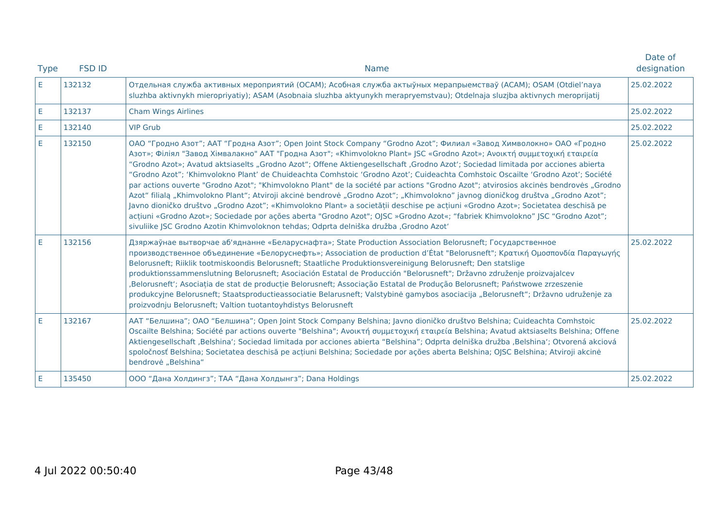| <b>Type</b> | <b>FSD ID</b> | <b>Name</b>                                                                                                                                                                                                                                                                                                                                                                                                                                                                                                                                                                                                                                                                                                                                                                                                                                                                                                                                                                                                                                                                                                                                                      | Date of<br>designation |
|-------------|---------------|------------------------------------------------------------------------------------------------------------------------------------------------------------------------------------------------------------------------------------------------------------------------------------------------------------------------------------------------------------------------------------------------------------------------------------------------------------------------------------------------------------------------------------------------------------------------------------------------------------------------------------------------------------------------------------------------------------------------------------------------------------------------------------------------------------------------------------------------------------------------------------------------------------------------------------------------------------------------------------------------------------------------------------------------------------------------------------------------------------------------------------------------------------------|------------------------|
| E.          | 132132        | Отдельная служба активных мероприятий (ОСАМ); Асобная служба актыўных мерапрыемстваў (АСАМ); OSAM (Otdiel'naya<br>sluzhba aktivnykh mieropriyatiy); ASAM (Asobnaia sluzhba aktyunykh merapryemstvau); Otdelnaja sluzjba aktivnych meroprijatij                                                                                                                                                                                                                                                                                                                                                                                                                                                                                                                                                                                                                                                                                                                                                                                                                                                                                                                   |                        |
| E           | 132137        | <b>Cham Wings Airlines</b>                                                                                                                                                                                                                                                                                                                                                                                                                                                                                                                                                                                                                                                                                                                                                                                                                                                                                                                                                                                                                                                                                                                                       | 25.02.2022             |
| E.          | 132140        | <b>VIP Grub</b>                                                                                                                                                                                                                                                                                                                                                                                                                                                                                                                                                                                                                                                                                                                                                                                                                                                                                                                                                                                                                                                                                                                                                  | 25.02.2022             |
| E.          | 132150        | ОАО "Гродно Азот"; ААТ "Гродна Азот"; Open Joint Stock Company "Grodno Azot"; Филиал «Завод Химволокно» ОАО «Гродно<br>Азот»; Філіял "Завод Хімвалакно" ААТ "Гродна Азот"; «Khimvolokno Plant» JSC «Grodno Azot»; Ανοικτή συμμετοχική εταιρεία<br>"Grodno Azot»; Avatud aktsiaselts "Grodno Azot"; Offene Aktiengesellschaft "Grodno Azot"; Sociedad limitada por acciones abierta<br>"Grodno Azot"; 'Khimvolokno Plant' de Chuideachta Comhstoic 'Grodno Azot'; Cuideachta Comhstoic Oscailte 'Grodno Azot'; Société<br>par actions ouverte "Grodno Azot"; "Khimvolokno Plant" de la société par actions "Grodno Azot"; atvirosios akcines bendroves "Grodno<br>Azot" filialą "Khimvolokno Plant"; Atviroji akcinė bendrovė "Grodno Azot"; "Khimvolokno" javnog dioničkog društva "Grodno Azot";<br>Javno dioničko društvo "Grodno Azot"; «Khimvolokno Plant» a societății deschise pe acțiuni «Grodno Azot»; Societatea deschisă pe<br>acțiuni «Grodno Azot»; Sociedade por ações aberta "Grodno Azot"; OJSC »Grodno Azot«; "fabriek Khimvolokno" JSC "Grodno Azot";<br>sivuliike JSC Grodno Azotin Khimvoloknon tehdas; Odprta delniška družba , Grodno Azot' |                        |
| E           | 132156        | Дзяржаўнае вытворчае аб'яднанне «Беларуснафта»; State Production Association Belorusneft; Государственное<br>προизводственное объединение «Белоруснефть»; Association de production d'État "Belorusneft"; Κρατική Ομοσπονδία Παραγωγής<br>Belorusneft; Riiklik tootmiskoondis Belorusneft; Staatliche Produktionsvereinigung Belorusneft; Den statslige<br>produktionssammenslutning Belorusneft; Asociación Estatal de Producción "Belorusneft"; Državno združenje proizvajalcev<br>Belorusneft'; Asociația de stat de producție Belorusneft; Associação Estatal de Produção Belorusneft; Państwowe zrzeszenie,<br>produkcyjne Belorusneft; Staatsproductieassociatie Belarusneft; Valstybinė gamybos asociacija "Belorusneft"; Državno udruženje za<br>proizvodnju Belorusneft; Valtion tuotantoyhdistys Belorusneft                                                                                                                                                                                                                                                                                                                                           |                        |
| E           | 132167        | ААТ "Белшина"; ОАО "Белшина"; Open Joint Stock Company Belshina; Javno dioničko društvo Belshina; Cuideachta Comhstoic<br>Oscailte Belshina; Société par actions ouverte "Belshina"; Ανοικτή συμμετοχική εταιρεία Belshina; Avatud aktsiaselts Belshina; Offene<br>Aktiengesellschaft ,Belshina'; Sociedad limitada por acciones abierta "Belshina"; Odprta delniška družba ,Belshina'; Otvorená akciová<br>spoločnosť Belshina; Societatea deschisă pe acțiuni Belshina; Sociedade por ações aberta Belshina; OJSC Belshina; Atviroji akcinė<br>bendrovė "Belshina"                                                                                                                                                                                                                                                                                                                                                                                                                                                                                                                                                                                             | 25.02.2022             |
| E           | 135450        | ООО "Дана Холдингз"; ТАА "Дана Холдынгз"; Dana Holdings                                                                                                                                                                                                                                                                                                                                                                                                                                                                                                                                                                                                                                                                                                                                                                                                                                                                                                                                                                                                                                                                                                          | 25.02.2022             |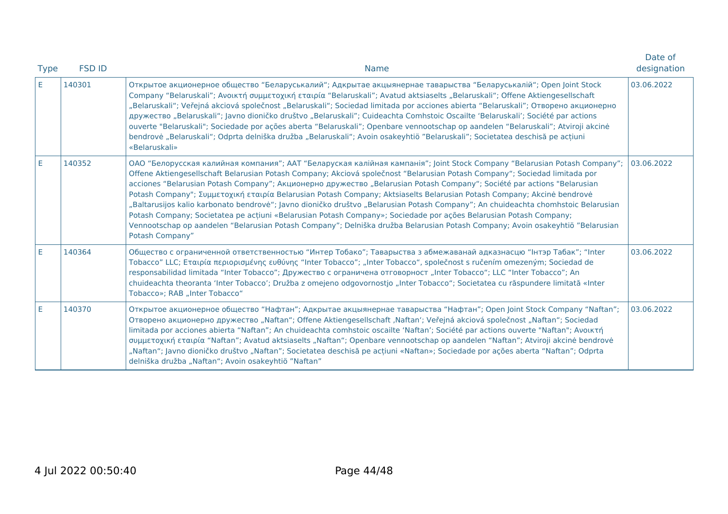| <b>Type</b> | <b>FSD ID</b> | <b>Name</b>                                                                                                                                                                                                                                                                                                                                                                                                                                                                                                                                                                                                                                                                                                                                                                                                                                                                                                                | Date of<br>designation |
|-------------|---------------|----------------------------------------------------------------------------------------------------------------------------------------------------------------------------------------------------------------------------------------------------------------------------------------------------------------------------------------------------------------------------------------------------------------------------------------------------------------------------------------------------------------------------------------------------------------------------------------------------------------------------------------------------------------------------------------------------------------------------------------------------------------------------------------------------------------------------------------------------------------------------------------------------------------------------|------------------------|
| E.          | 140301        | Открытое акционерное общество "Беларуськалий"; Адкрытае акцыянернае таварыства "Беларуськалій"; Open Joint Stock<br>Company "Belaruskali"; Ανοικτή συμμετοχική εταιρία "Belaruskali"; Avatud aktsiaselts "Belaruskali"; Offene Aktiengesellschaft<br>"Belaruskali"; Veřejná akciová společnost "Belaruskali"; Sociedad limitada por acciones abierta "Belaruskali"; Отворено акционерно<br>дружество "Belaruskali"; Javno dioničko društvo "Belaruskali"; Cuideachta Comhstoic Oscailte 'Belaruskali'; Société par actions<br>ouverte "Belaruskali"; Sociedade por ações aberta "Belaruskali"; Openbare vennootschap op aandelen "Belaruskali"; Atviroji akcinė<br>bendrovė "Belaruskali"; Odprta delniška družba "Belaruskali"; Avoin osakeyhtiö "Belaruskali"; Societatea deschisă pe acțiuni<br>«Belaruskali»                                                                                                           | 03.06.2022             |
| E           | 140352        | ОАО "Белорусская калийная компания"; ААТ "Беларуская калійная кампанія"; Joint Stock Company "Belarusian Potash Company";<br>Offene Aktiengesellschaft Belarusian Potash Company; Akciová společnost "Belarusian Potash Company"; Sociedad limitada por<br>acciones "Belarusian Potash Company"; Акционерно дружество "Belarusian Potash Company"; Société par actions "Belarusian<br>Potash Company"; Συμμετοχική εταιρία Belarusian Potash Company; Aktsiaselts Belarusian Potash Company; Akcinė bendrovė<br>"Baltarusijos kalio karbonato bendrovė"; Javno dioničko društvo "Belarusian Potash Company"; An chuideachta chomhstoic Belarusian<br>Potash Company; Societatea pe acțiuni «Belarusian Potash Company»; Sociedade por ações Belarusian Potash Company;<br>Vennootschap op aandelen "Belarusian Potash Company"; Delniška družba Belarusian Potash Company; Avoin osakeyhtiö "Belarusian<br>Potash Company" | 03.06.2022             |
| E.          | 140364        | Общество с ограниченной ответственностью "Интер Тобако"; Таварыства з абмежаванай адказнасцю "Інтэр Табак"; "Inter<br>Tobacco" LLC; Εταιρία περιορισμένης ευθύνης "Inter Tobacco"; "Inter Tobacco", společnost s ručením omezeným; Sociedad de<br>responsabilidad limitada "Inter Tobacco"; Дружество с ограничена отговорност "Inter Tobacco"; LLC "Inter Tobacco"; An<br>chuideachta theoranta 'Inter Tobacco'; Družba z omejeno odgovornostjo "Inter Tobacco"; Societatea cu răspundere limitată «Inter<br>Tobacco»; RAB "Inter Tobacco"                                                                                                                                                                                                                                                                                                                                                                                | 03.06.2022             |
| E           | 140370        | Открытое акционерное общество "Нафтан"; Адкрытае акцыянернае таварыства "Нафтан"; Open Joint Stock Company "Naftan";<br>Отворено акционерно дружество "Naftan"; Offene Aktiengesellschaft ,Naftan"; Veřejná akciová společnost "Naftan"; Sociedad<br>limitada por acciones abierta "Naftan"; An chuideachta comhstoic oscailte 'Naftan'; Société par actions ouverte "Naftan"; Aνοικτή<br>συμμετοχική εταιρία "Naftan"; Avatud aktsiaselts "Naftan"; Openbare vennootschap op aandelen "Naftan"; Atviroji akcinė bendrovė<br>"Naftan"; Javno dioničko društvo "Naftan"; Societatea deschisă pe acțiuni «Naftan»; Sociedade por ações aberta "Naftan"; Odprta<br>delniška družba "Naftan"; Avoin osakeyhtiö "Naftan"                                                                                                                                                                                                        | 03.06.2022             |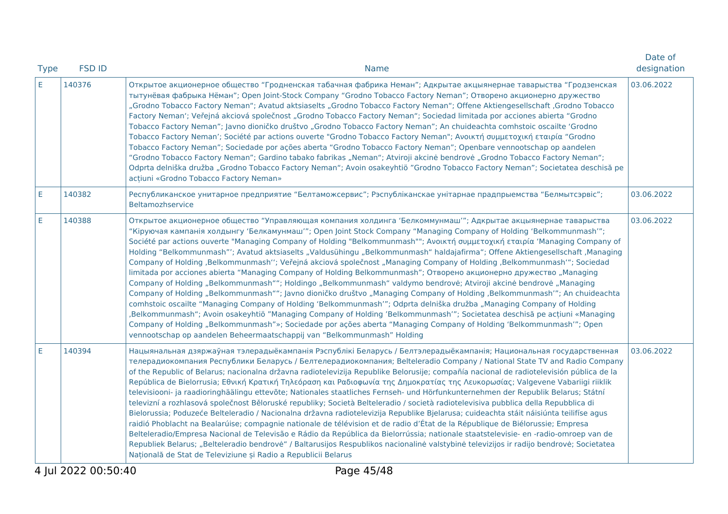| <b>FSD ID</b><br><b>Type</b><br><b>Name</b> |        | Date of<br>designation                                                                                                                                                                                                                                                                                                                                                                                                                                                                                                                                                                                                                                                                                                                                                                                                                                                                                                                                                                                                                                                                                                                                                                                                                                                                                                                                                                                                                                         |            |
|---------------------------------------------|--------|----------------------------------------------------------------------------------------------------------------------------------------------------------------------------------------------------------------------------------------------------------------------------------------------------------------------------------------------------------------------------------------------------------------------------------------------------------------------------------------------------------------------------------------------------------------------------------------------------------------------------------------------------------------------------------------------------------------------------------------------------------------------------------------------------------------------------------------------------------------------------------------------------------------------------------------------------------------------------------------------------------------------------------------------------------------------------------------------------------------------------------------------------------------------------------------------------------------------------------------------------------------------------------------------------------------------------------------------------------------------------------------------------------------------------------------------------------------|------------|
| E.                                          | 140376 | Открытое акционерное общество "Гродненская табачная фабрика Неман"; Адкрытае акцыянернае таварыства "Гродзенская<br>тытунёвая фабрыка Нёман"; Open Joint-Stock Company "Grodno Tobacco Factory Neman"; Отворено акционерно дружество<br>"Grodno Tobacco Factory Neman"; Avatud aktsiaselts "Grodno Tobacco Factory Neman"; Offene Aktiengesellschaft ,Grodno Tobacco<br>Factory Neman'; Veřejná akciová společnost "Grodno Tobacco Factory Neman"; Sociedad limitada por acciones abierta "Grodno<br>Tobacco Factory Neman"; Javno dioničko društvo "Grodno Tobacco Factory Neman"; An chuideachta comhstoic oscailte 'Grodno<br>Tobacco Factory Neman'; Société par actions ouverte "Grodno Tobacco Factory Neman"; Ανοικτή συμμετοχική εταιρία "Grodno<br>Tobacco Factory Neman"; Sociedade por ações aberta "Grodno Tobacco Factory Neman"; Openbare vennootschap op aandelen<br>"Grodno Tobacco Factory Neman"; Gardino tabako fabrikas "Neman"; Atviroji akcinė bendrovė "Grodno Tobacco Factory Neman";<br>Odprta delniška družba "Grodno Tobacco Factory Neman"; Avoin osakeyhtiö "Grodno Tobacco Factory Neman"; Societatea deschisă pe<br>acțiuni «Grodno Tobacco Factory Neman»                                                                                                                                                                                                                                                                      | 03.06.2022 |
| E                                           | 140382 | Республиканское унитарное предприятие "Белтаможсервис"; Рэспубліканскае унітарнае прадпрыемства "Белмытсэрвіс";<br>Beltamozhservice                                                                                                                                                                                                                                                                                                                                                                                                                                                                                                                                                                                                                                                                                                                                                                                                                                                                                                                                                                                                                                                                                                                                                                                                                                                                                                                            | 03.06.2022 |
| E                                           | 140388 | Открытое акционерное общество "Управляющая компания холдинга 'Белкоммунмаш'"; Адкрытае акцыянернае таварыства<br>"Кіруючая кампанія холдынгу 'Белкамунмаш'"; Open Joint Stock Company "Managing Company of Holding 'Belkommunmash'";<br>Société par actions ouverte "Managing Company of Holding "Belkommunmash""; Ανοικτή συμμετοχική εταιρία 'Managing Company of<br>Holding "Belkommunmash"'; Avatud aktsiaselts "Valdusühingu "Belkommunmash" haldajafirma"; Offene Aktiengesellschaft ,Managing<br>Company of Holding ,Belkommunmash"; Veřejná akciová společnost "Managing Company of Holding ,Belkommunmash"; Sociedad<br>limitada por acciones abierta "Managing Company of Holding Belkommunmash"; Отворено акционерно дружество "Managing<br>Company of Holding "Belkommunmash""; Holdingo "Belkommunmash" valdymo bendrovė; Atviroji akcinė bendrovė "Managing<br>Company of Holding "Belkommunmash""; Javno dioničko društvo "Managing Company of Holding ,Belkommunmash'"; An chuideachta<br>comhstoic oscailte "Managing Company of Holding 'Belkommunmash'"; Odprta delniška družba "Managing Company of Holding<br>,Belkommunmash"; Avoin osakeyhtiö "Managing Company of Holding 'Belkommunmash'"; Societatea deschisă pe acțiuni «Managing<br>Company of Holding "Belkommunmash"»; Sociedade por ações aberta "Managing Company of Holding 'Belkommunmash'"; Open<br>vennootschap op aandelen Beheermaatschappij van "Belkommunmash" Holding | 03.06.2022 |
| E                                           | 140394 | Нацыянальная дзяржаўная тэлерадыёкампанія Рэспублікі Беларусь / Белтэлерадыёкампанія; Национальная государственная<br>телерадиокомпания Республики Беларусь / Белтелерадиокомпания; Belteleradio Company / National State TV and Radio Company<br>of the Republic of Belarus; nacionalna državna radiotelevizija Republike Belorusije; compañía nacional de radiotelevisión pública de la<br>República de Bielorrusia; Εθνική Κρατική Τηλεόραση και Ραδιοφωνία της Δημοκρατίας της Λευκορωσίας; Valgevene Vabariigi riiklik<br>televisiooni- ja raadioringhäälingu ettevõte; Nationales staatliches Fernseh- und Hörfunkunternehmen der Republik Belarus; Státní<br>televizní a rozhlasová společnost Běloruské republiky; Società Belteleradio / società radiotelevisiva pubblica della Repubblica di<br>Bielorussia; Poduzeće Belteleradio / Nacionalna državna radiotelevizija Republike Bjelarusa; cuideachta stáit náisiúnta teilifíse agus<br>raidió Phoblacht na Bealarúise; compagnie nationale de télévision et de radio d'État de la République de Biélorussie; Empresa<br>Belteleradio/Empresa Nacional de Televisão e Rádio da República da Bielorrússia; nationale staatstelevisie- en -radio-omroep van de<br>Republiek Belarus; "Belteleradio bendrovė" / Baltarusijos Respublikos nacionalinė valstybinė televizijos ir radijo bendrovė; Societatea<br>Națională de Stat de Televiziune și Radio a Republicii Belarus                          | 03.06.2022 |
|                                             |        |                                                                                                                                                                                                                                                                                                                                                                                                                                                                                                                                                                                                                                                                                                                                                                                                                                                                                                                                                                                                                                                                                                                                                                                                                                                                                                                                                                                                                                                                |            |

4 Jul 2022 00:50:40 Page 45/48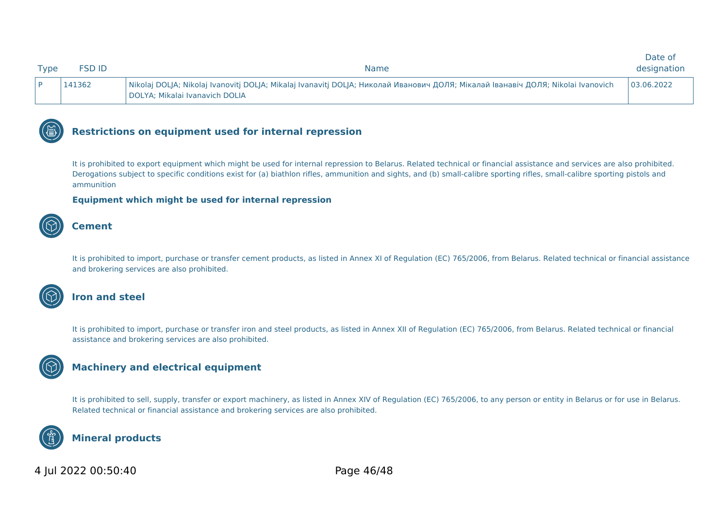| <b>Type</b> | SD ID- | <b>Name</b>                                                                                                                                                        | Date of<br>designation |
|-------------|--------|--------------------------------------------------------------------------------------------------------------------------------------------------------------------|------------------------|
|             | 141362 | Nikolaj DOLJA; Nikolaj Ivanovitj DOLJA; Mikalaj Ivanavitj DOLJA; Николай Иванович ДОЛЯ; Мікалай Іванавіч ДОЛЯ; Nikolai Ivanovich<br>DOLYA; Mikalai Ivanavich DOLIA | 03.06.2022             |



It is prohibited to export equipment which might be used for internal repression to Belarus. Related technical or financial assistance and services are also prohibited. Derogations subject to specific conditions exist for (a) biathlon rifles, ammunition and sights, and (b) small-calibre sporting rifles, small-calibre sporting pistols and ammunition

#### **Equipment which might be used for internal repression**



#### **Cement**

It is prohibited to import, purchase or transfer cement products, as listed in Annex XI of Regulation (EC) 765/2006, from Belarus. Related technical or financial assistance and brokering services are also prohibited.



#### **Iron and steel**

It is prohibited to import, purchase or transfer iron and steel products, as listed in Annex XII of Regulation (EC) 765/2006, from Belarus. Related technical or financial assistance and brokering services are also prohibited.

## **Machinery and electrical equipment**

It is prohibited to sell, supply, transfer or export machinery, as listed in Annex XIV of Regulation (EC) 765/2006, to any person or entity in Belarus or for use in Belarus. Related technical or financial assistance and brokering services are also prohibited.



### **Mineral products**

### 4 Jul 2022 00:50:40 Page 46/48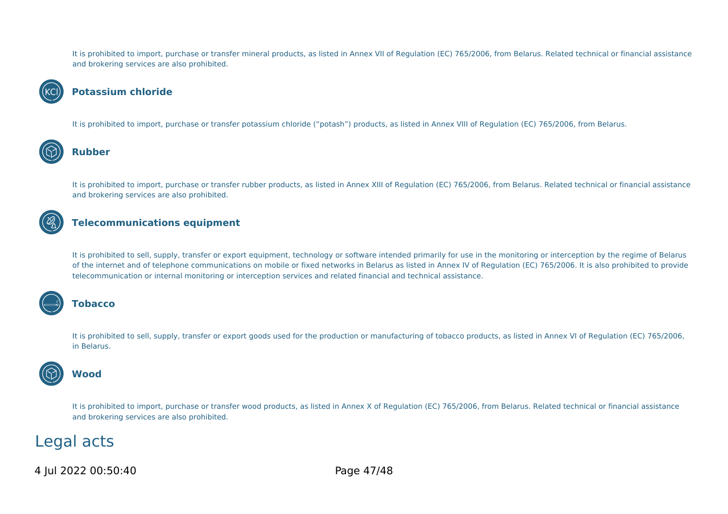It is prohibited to import, purchase or transfer mineral products, as listed in Annex VII of Regulation (EC) 765/2006, from Belarus. Related technical or financial assistance and brokering services are also prohibited.



#### **KCI)** Potassium chloride

It is prohibited to import, purchase or transfer potassium chloride ("potash") products, as listed in Annex VIII of Regulation (EC) 765/2006, from Belarus.



### **Rubber**

It is prohibited to import, purchase or transfer rubber products, as listed in Annex XIII of Regulation (EC) 765/2006, from Belarus. Related technical or financial assistance and brokering services are also prohibited.

## **Telecommunications equipment**

It is prohibited to sell, supply, transfer or export equipment, technology or software intended primarily for use in the monitoring or interception by the regime of Belarus of the internet and of telephone communications on mobile or fixed networks in Belarus as listed in Annex IV of Regulation (EC) 765/2006. It is also prohibited to provide telecommunication or internal monitoring or interception services and related financial and technical assistance.



#### **Tobacco**

It is prohibited to sell, supply, transfer or export goods used for the production or manufacturing of tobacco products, as listed in Annex VI of Regulation (EC) 765/2006, in Belarus.



#### It is prohibited to import, purchase or transfer wood products, as listed in Annex X of Regulation (EC) 765/2006, from Belarus. Related technical or financial assistance and brokering services are also prohibited.

## Legal acts

4 Jul 2022 00:50:40 Page 47/48

**Wood**